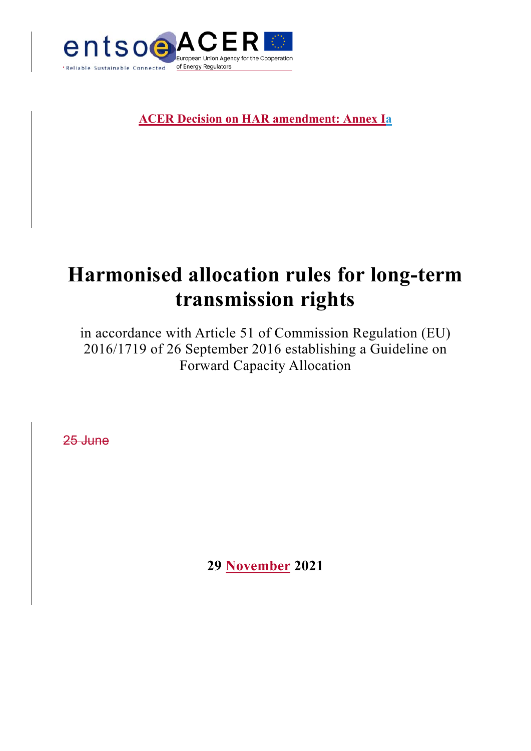

**ACER Decision on HAR amendment: Annex Ia**

# **Harmonised allocation rules for long-term transmission rights**

in accordance with Article 51 of Commission Regulation (EU) 2016/1719 of 26 September 2016 establishing a Guideline on Forward Capacity Allocation

25 June

**29 November 2021**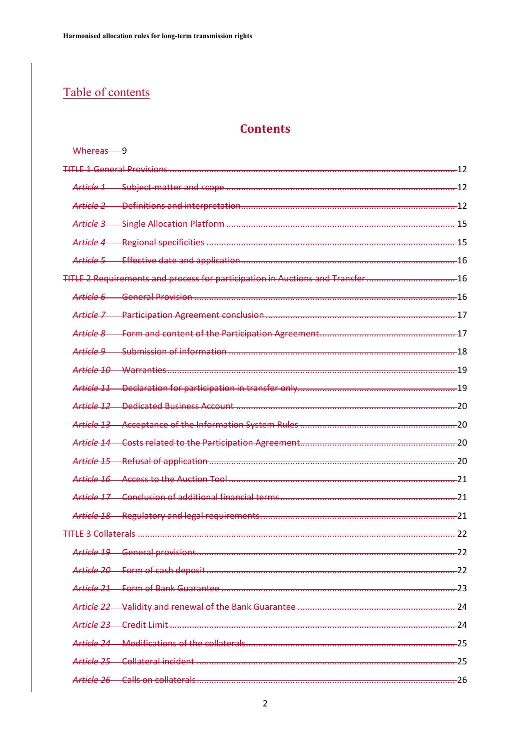# Table of contents

# **Contents**

| Whereas 9                                                                     |       |
|-------------------------------------------------------------------------------|-------|
| <b>TITLE 1 General Provisions</b>                                             | $-12$ |
| Article 1                                                                     |       |
|                                                                               |       |
|                                                                               |       |
|                                                                               |       |
|                                                                               |       |
| TITLE 2 Requirements and process for participation in Auctions and Transfer16 |       |
|                                                                               |       |
|                                                                               |       |
|                                                                               |       |
|                                                                               |       |
|                                                                               |       |
|                                                                               |       |
|                                                                               |       |
|                                                                               |       |
|                                                                               |       |
|                                                                               |       |
|                                                                               |       |
|                                                                               |       |
|                                                                               |       |
| <b>TITLE 3 Collaterals</b>                                                    |       |
|                                                                               |       |
|                                                                               |       |
|                                                                               |       |
|                                                                               |       |
|                                                                               |       |
|                                                                               |       |
|                                                                               |       |
|                                                                               |       |
|                                                                               |       |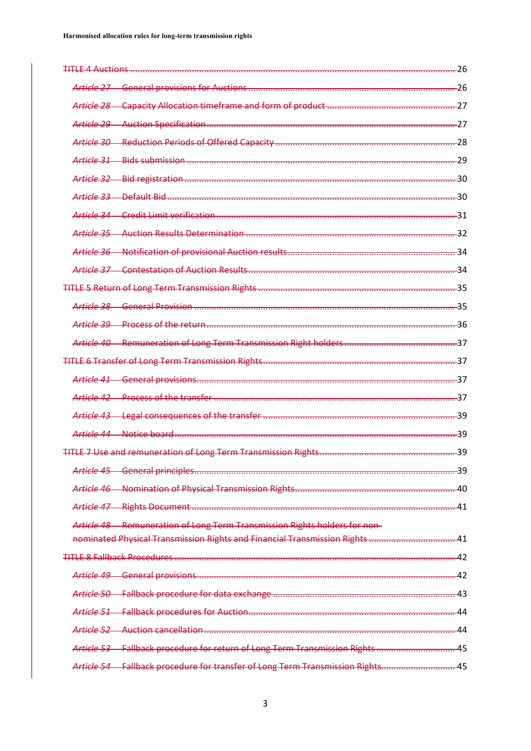| <b>TITLE 4 Auctions</b>                                                        | <del> 2</del> 6 |
|--------------------------------------------------------------------------------|-----------------|
| Article 27                                                                     |                 |
|                                                                                |                 |
|                                                                                |                 |
|                                                                                |                 |
|                                                                                |                 |
|                                                                                |                 |
|                                                                                |                 |
|                                                                                |                 |
|                                                                                |                 |
|                                                                                |                 |
|                                                                                |                 |
|                                                                                |                 |
|                                                                                | $-35$           |
|                                                                                |                 |
|                                                                                |                 |
|                                                                                |                 |
|                                                                                |                 |
|                                                                                |                 |
|                                                                                | -39             |
|                                                                                | -39             |
|                                                                                |                 |
|                                                                                |                 |
|                                                                                | $-40$           |
|                                                                                |                 |
| Article 48 Remuneration of Long Term Transmission Rights holders for non-      |                 |
|                                                                                |                 |
|                                                                                |                 |
|                                                                                |                 |
|                                                                                |                 |
|                                                                                | $-44$           |
|                                                                                |                 |
| Article 53 Fallback procedure for return of Long Term Transmission Rights 45   |                 |
| Article 54 Fallback procedure for transfer of Long Term Transmission Rights 45 |                 |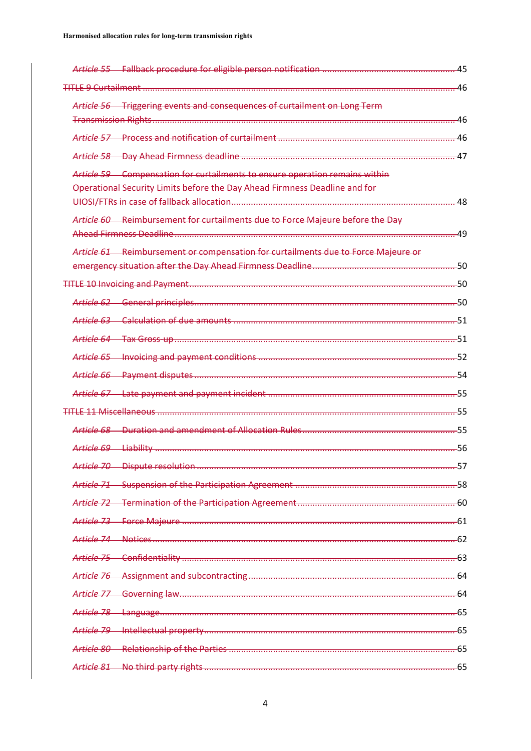|                                                                                   | $-45$           |
|-----------------------------------------------------------------------------------|-----------------|
|                                                                                   | -46             |
| Article 56 Triggering events and consequences of curtailment on Long Term         |                 |
|                                                                                   | -46             |
|                                                                                   | -46             |
|                                                                                   |                 |
| Article 59 Compensation for curtailments to ensure operation remains within       |                 |
| Operational Security Limits before the Day Ahead Firmness Deadline and for        |                 |
|                                                                                   | 48              |
| Article 60 Reimbursement for curtailments due to Force Majeure before the Day     | -49             |
|                                                                                   |                 |
| Article 61 Reimbursement or compensation for curtailments due to Force Maieure or |                 |
|                                                                                   | -50             |
|                                                                                   |                 |
|                                                                                   |                 |
|                                                                                   |                 |
|                                                                                   |                 |
|                                                                                   |                 |
|                                                                                   | $-54$           |
|                                                                                   |                 |
|                                                                                   |                 |
|                                                                                   |                 |
|                                                                                   | -56             |
|                                                                                   | <del> </del> 57 |
|                                                                                   |                 |
|                                                                                   |                 |
|                                                                                   |                 |
|                                                                                   |                 |
|                                                                                   |                 |
|                                                                                   |                 |
|                                                                                   |                 |
|                                                                                   |                 |
|                                                                                   |                 |
|                                                                                   |                 |
|                                                                                   |                 |
|                                                                                   |                 |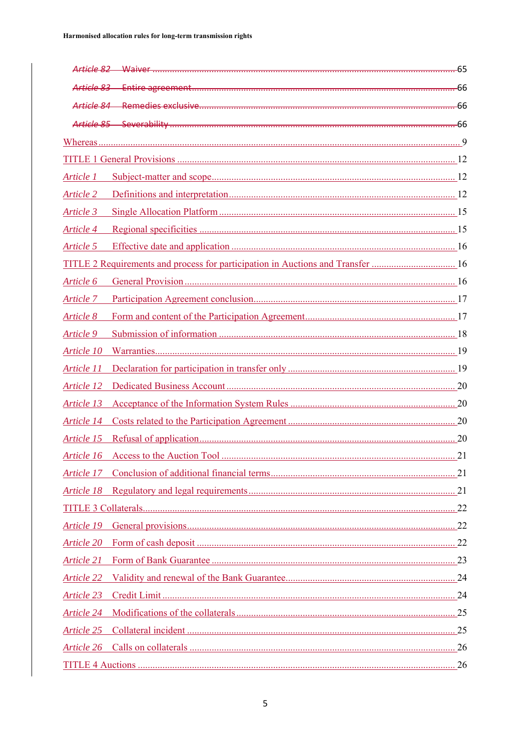| Article 1             |                                                                                 |  |
|-----------------------|---------------------------------------------------------------------------------|--|
| <b>Article 2</b>      |                                                                                 |  |
| Article 3             |                                                                                 |  |
| Article 4             |                                                                                 |  |
| Article 5             |                                                                                 |  |
|                       | TITLE 2 Requirements and process for participation in Auctions and Transfer  16 |  |
| Article 6             |                                                                                 |  |
| Article 7             |                                                                                 |  |
| Article 8             |                                                                                 |  |
| Article 9             |                                                                                 |  |
| Article 10            |                                                                                 |  |
|                       |                                                                                 |  |
|                       |                                                                                 |  |
| Article 13            |                                                                                 |  |
|                       |                                                                                 |  |
| Article 15            |                                                                                 |  |
|                       |                                                                                 |  |
|                       |                                                                                 |  |
|                       |                                                                                 |  |
|                       |                                                                                 |  |
| Article 19            |                                                                                 |  |
| Article 20            |                                                                                 |  |
| Article 21            |                                                                                 |  |
| Article 22            |                                                                                 |  |
| Article 23            |                                                                                 |  |
| Article 24            |                                                                                 |  |
| Article <sub>25</sub> |                                                                                 |  |
| Article 26            |                                                                                 |  |
|                       |                                                                                 |  |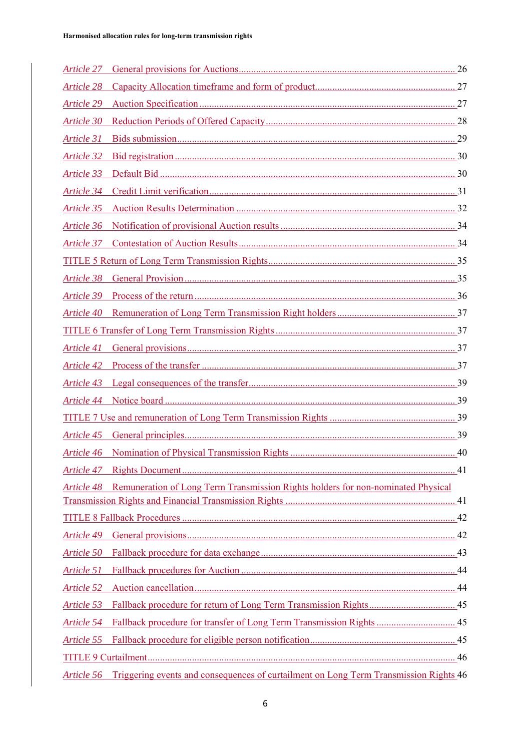| Article 27         |                                                                                       |  |
|--------------------|---------------------------------------------------------------------------------------|--|
| <u>Article 2</u> 8 |                                                                                       |  |
|                    |                                                                                       |  |
| Article 30         |                                                                                       |  |
| <i>Article 31</i>  |                                                                                       |  |
| <i>Article 32</i>  |                                                                                       |  |
|                    |                                                                                       |  |
|                    |                                                                                       |  |
|                    |                                                                                       |  |
|                    |                                                                                       |  |
|                    |                                                                                       |  |
|                    |                                                                                       |  |
| Article 38         |                                                                                       |  |
|                    |                                                                                       |  |
|                    |                                                                                       |  |
|                    |                                                                                       |  |
|                    |                                                                                       |  |
|                    |                                                                                       |  |
|                    |                                                                                       |  |
|                    |                                                                                       |  |
|                    |                                                                                       |  |
|                    |                                                                                       |  |
|                    |                                                                                       |  |
| <i>Article 47</i>  |                                                                                       |  |
| Article 48         | Remuneration of Long Term Transmission Rights holders for non-nominated Physical      |  |
|                    |                                                                                       |  |
|                    |                                                                                       |  |
| <i>Article 49</i>  |                                                                                       |  |
| Article 50         |                                                                                       |  |
| Article 51         |                                                                                       |  |
| Article 52         |                                                                                       |  |
| Article 53         |                                                                                       |  |
| <i>Article</i> 54  |                                                                                       |  |
| Article 55         |                                                                                       |  |
|                    |                                                                                       |  |
| Article 56         | Triggering events and consequences of curtailment on Long Term Transmission Rights 46 |  |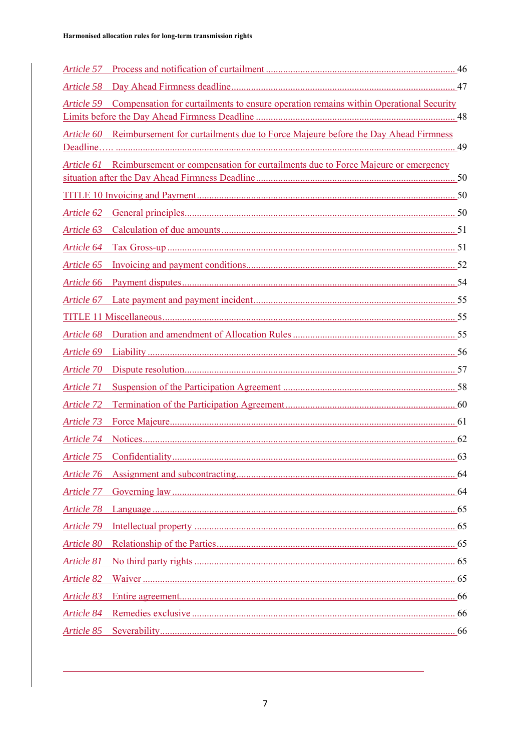|                   | Article 59 Compensation for curtailments to ensure operation remains within Operational Security |  |
|-------------------|--------------------------------------------------------------------------------------------------|--|
|                   | Article 60 Reimbursement for curtailments due to Force Majeure before the Day Ahead Firmness     |  |
|                   | Article 61 Reimbursement or compensation for curtailments due to Force Majeure or emergency      |  |
|                   |                                                                                                  |  |
|                   |                                                                                                  |  |
|                   |                                                                                                  |  |
|                   |                                                                                                  |  |
|                   |                                                                                                  |  |
|                   |                                                                                                  |  |
|                   |                                                                                                  |  |
|                   |                                                                                                  |  |
|                   |                                                                                                  |  |
|                   |                                                                                                  |  |
| Article 70        |                                                                                                  |  |
| Article 71        |                                                                                                  |  |
| Article 72        |                                                                                                  |  |
| Article 73        |                                                                                                  |  |
|                   |                                                                                                  |  |
|                   |                                                                                                  |  |
| Article 76        |                                                                                                  |  |
| Article 77        |                                                                                                  |  |
| <b>Article 78</b> |                                                                                                  |  |
| Article 79        |                                                                                                  |  |
| Article 80        |                                                                                                  |  |
| Article 81        |                                                                                                  |  |
| Article 82        |                                                                                                  |  |
| Article 83        |                                                                                                  |  |
| Article 84        |                                                                                                  |  |
| Article 85        |                                                                                                  |  |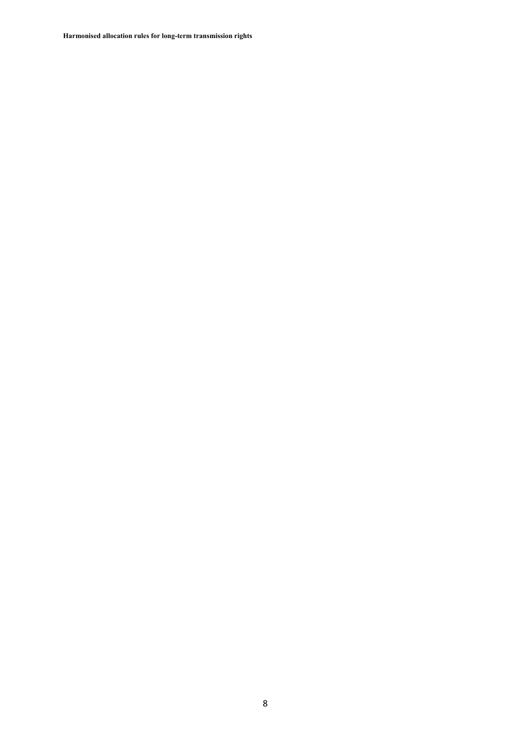**Harmonised allocation rules for long-term transmission rights**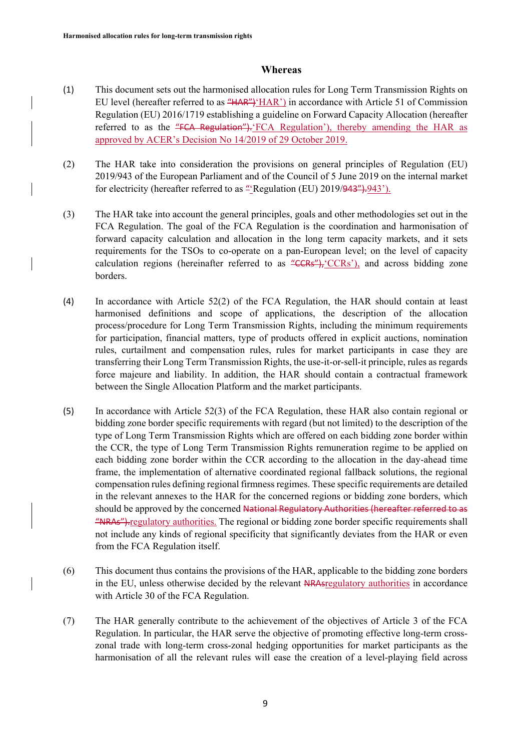#### **Whereas**

- (1) This document sets out the harmonised allocation rules for Long Term Transmission Rights on EU level (hereafter referred to as "HAR")'HAR') in accordance with Article 51 of Commission Regulation (EU) 2016/1719 establishing a guideline on Forward Capacity Allocation (hereafter referred to as the "FCA Regulation"). 'FCA Regulation'), thereby amending the HAR as approved by ACER's Decision No 14/2019 of 29 October 2019.
- (2) The HAR take into consideration the provisions on general principles of Regulation (EU) 2019/943 of the European Parliament and of the Council of 5 June 2019 on the internal market for electricity (hereafter referred to as "'Regulation (EU) 2019/943"). 943').
- (3) The HAR take into account the general principles, goals and other methodologies set out in the FCA Regulation. The goal of the FCA Regulation is the coordination and harmonisation of forward capacity calculation and allocation in the long term capacity markets, and it sets requirements for the TSOs to co-operate on a pan-European level; on the level of capacity calculation regions (hereinafter referred to as " $CCRs$ "),  $CCRs$ "), and across bidding zone borders.
- (4) In accordance with Article 52(2) of the FCA Regulation, the HAR should contain at least harmonised definitions and scope of applications, the description of the allocation process/procedure for Long Term Transmission Rights, including the minimum requirements for participation, financial matters, type of products offered in explicit auctions, nomination rules, curtailment and compensation rules, rules for market participants in case they are transferring their Long Term Transmission Rights, the use-it-or-sell-it principle, rules as regards force majeure and liability. In addition, the HAR should contain a contractual framework between the Single Allocation Platform and the market participants.
- (5) In accordance with Article 52(3) of the FCA Regulation, these HAR also contain regional or bidding zone border specific requirements with regard (but not limited) to the description of the type of Long Term Transmission Rights which are offered on each bidding zone border within the CCR, the type of Long Term Transmission Rights remuneration regime to be applied on each bidding zone border within the CCR according to the allocation in the day-ahead time frame, the implementation of alternative coordinated regional fallback solutions, the regional compensation rules defining regional firmness regimes. These specific requirements are detailed in the relevant annexes to the HAR for the concerned regions or bidding zone borders, which should be approved by the concerned National Regulatory Authorities (hereafter referred to as "NRAs").regulatory authorities. The regional or bidding zone border specific requirements shall not include any kinds of regional specificity that significantly deviates from the HAR or even from the FCA Regulation itself.
- (6) This document thus contains the provisions of the HAR, applicable to the bidding zone borders in the EU, unless otherwise decided by the relevant NRAsregulatory authorities in accordance with Article 30 of the FCA Regulation.
- (7) The HAR generally contribute to the achievement of the objectives of Article 3 of the FCA Regulation. In particular, the HAR serve the objective of promoting effective long-term crosszonal trade with long‐term cross‐zonal hedging opportunities for market participants as the harmonisation of all the relevant rules will ease the creation of a level-playing field across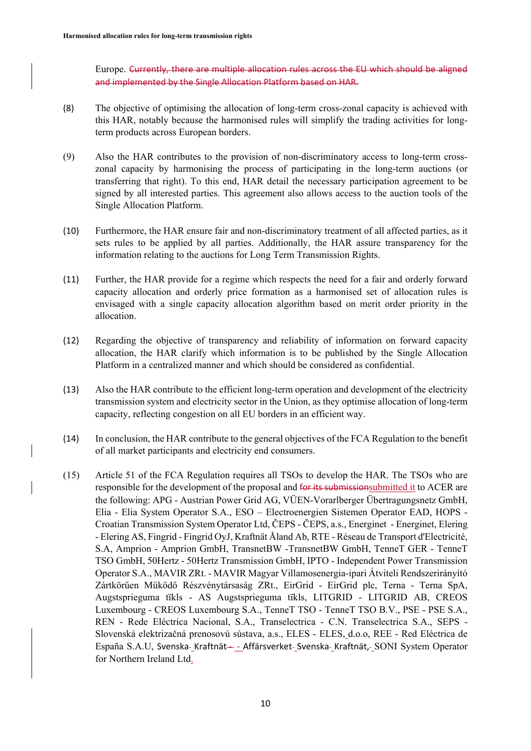Europe. Currently, there are multiple allocation rules across the EU which should be aligned and implemented by the Single Allocation Platform based on HAR.

- (8) The objective of optimising the allocation of long-term cross-zonal capacity is achieved with this HAR, notably because the harmonised rules will simplify the trading activities for longterm products across European borders.
- (9) Also the HAR contributes to the provision of non-discriminatory access to long-term crosszonal capacity by harmonising the process of participating in the long-term auctions (or transferring that right). To this end, HAR detail the necessary participation agreement to be signed by all interested parties. This agreement also allows access to the auction tools of the Single Allocation Platform.
- (10) Furthermore, the HAR ensure fair and non-discriminatory treatment of all affected parties, as it sets rules to be applied by all parties. Additionally, the HAR assure transparency for the information relating to the auctions for Long Term Transmission Rights.
- (11) Further, the HAR provide for a regime which respects the need for a fair and orderly forward capacity allocation and orderly price formation as a harmonised set of allocation rules is envisaged with a single capacity allocation algorithm based on merit order priority in the allocation.
- (12) Regarding the objective of transparency and reliability of information on forward capacity allocation, the HAR clarify which information is to be published by the Single Allocation Platform in a centralized manner and which should be considered as confidential.
- (13) Also the HAR contribute to the efficient long-term operation and development of the electricity transmission system and electricity sector in the Union, as they optimise allocation of long-term capacity, reflecting congestion on all EU borders in an efficient way.
- (14) In conclusion, the HAR contribute to the general objectives of the FCA Regulation to the benefit of all market participants and electricity end consumers.
- (15) Article 51 of the FCA Regulation requires all TSOs to develop the HAR. The TSOs who are responsible for the development of the proposal and for its submissions up in the development of the proposal and for its submissionsubmitted it to ACER are the following: APG - Austrian Power Grid AG, VÜEN-Vorarlberger Übertragungsnetz GmbH, Elia - Elia System Operator S.A., ESO – Electroenergien Sistemen Operator EAD, HOPS - Croatian Transmission System Operator Ltd, ČEPS - ČEPS, a.s., Energinet - Energinet, Elering - Elering AS, Fingrid - Fingrid OyJ, Kraftnät Åland Ab, RTE - Réseau de Transport d'Electricité, S.A, Amprion - Amprion GmbH, TransnetBW -TransnetBW GmbH, TenneT GER - TenneT TSO GmbH, 50Hertz - 50Hertz Transmission GmbH, IPTO - Independent Power Transmission Operator S.A., MAVIR ZRt. - MAVIR Magyar Villamosenergia-ipari Átviteli Rendszerirányító Zártkörűen Működő Részvénytársaság ZRt., EirGrid - EirGrid plc, Terna - Terna SpA, Augstsprieguma tïkls - AS Augstsprieguma tïkls, LITGRID - LITGRID AB, CREOS Luxembourg - CREOS Luxembourg S.A., TenneT TSO - TenneT TSO B.V., PSE - PSE S.A., REN - Rede Eléctrica Nacional, S.A., Transelectrica - C.N. Transelectrica S.A., SEPS - Slovenská elektrizačná prenosovú sústava, a.s., ELES - ELES, d.o.o, REE - Red Eléctrica de España S.A.U, Svenska-Kraftnät- - Affärsverket-Svenska-Kraftnät,-SONI System Operator for Northern Ireland Ltd.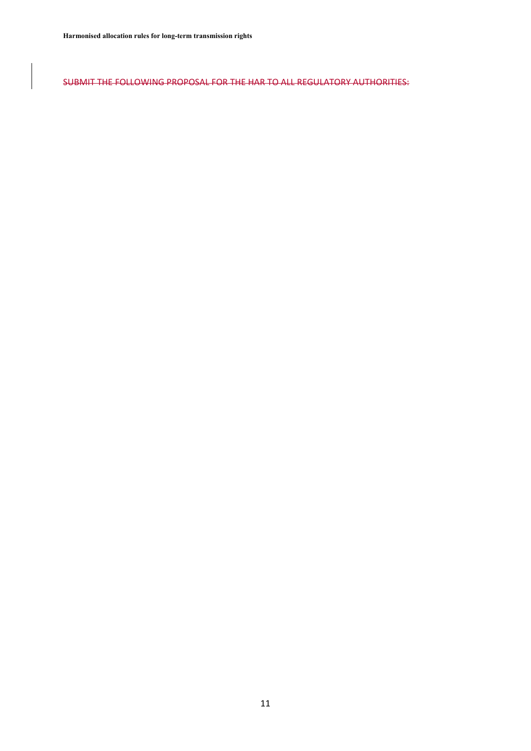SUBMIT THE FOLLOWING PROPOSAL FOR THE HAR TO ALL REGULATORY AUTHORITIES: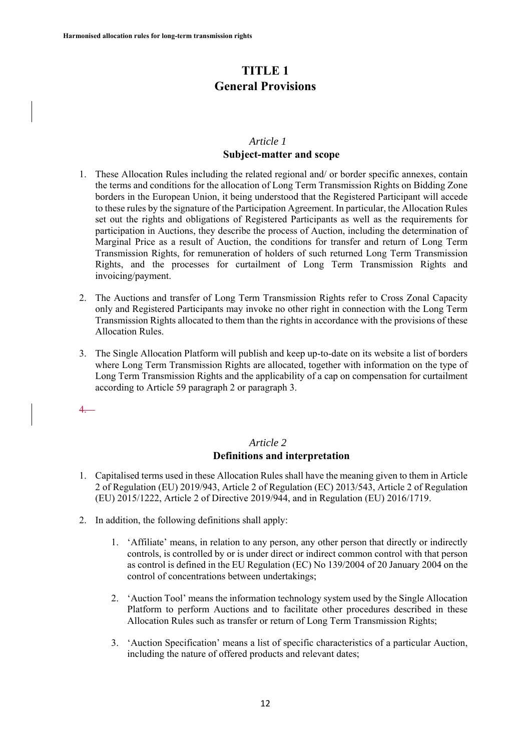# **TITLE 1 General Provisions**

### *Article 1* **Subject-matter and scope**

- 1. These Allocation Rules including the related regional and/ or border specific annexes, contain the terms and conditions for the allocation of Long Term Transmission Rights on Bidding Zone borders in the European Union, it being understood that the Registered Participant will accede to these rules by the signature of the Participation Agreement. In particular, the Allocation Rules set out the rights and obligations of Registered Participants as well as the requirements for participation in Auctions, they describe the process of Auction, including the determination of Marginal Price as a result of Auction, the conditions for transfer and return of Long Term Transmission Rights, for remuneration of holders of such returned Long Term Transmission Rights, and the processes for curtailment of Long Term Transmission Rights and invoicing/payment.
- 2. The Auctions and transfer of Long Term Transmission Rights refer to Cross Zonal Capacity only and Registered Participants may invoke no other right in connection with the Long Term Transmission Rights allocated to them than the rights in accordance with the provisions of these Allocation Rules.
- 3. The Single Allocation Platform will publish and keep up-to-date on its website a list of borders where Long Term Transmission Rights are allocated, together with information on the type of Long Term Transmission Rights and the applicability of a cap on compensation for curtailment according to Article 59 paragraph 2 or paragraph 3.
- 4.

# *Article 2* **Definitions and interpretation**

- 1. Capitalised terms used in these Allocation Rules shall have the meaning given to them in Article 2 of Regulation (EU) 2019/943, Article 2 of Regulation (EC) 2013/543, Article 2 of Regulation (EU) 2015/1222, Article 2 of Directive 2019/944, and in Regulation (EU) 2016/1719.
- 2. In addition, the following definitions shall apply:
	- 1. 'Affiliate' means, in relation to any person, any other person that directly or indirectly controls, is controlled by or is under direct or indirect common control with that person as control is defined in the EU Regulation (EC) No 139/2004 of 20 January 2004 on the control of concentrations between undertakings;
	- 2. 'Auction Tool' means the information technology system used by the Single Allocation Platform to perform Auctions and to facilitate other procedures described in these Allocation Rules such as transfer or return of Long Term Transmission Rights;
	- 3. 'Auction Specification' means a list of specific characteristics of a particular Auction, including the nature of offered products and relevant dates;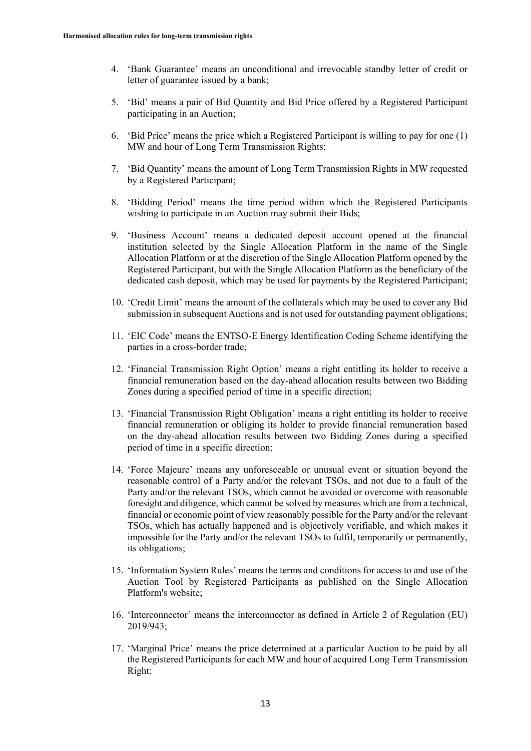- 4. 'Bank Guarantee' means an unconditional and irrevocable standby letter of credit or letter of guarantee issued by a bank;
- 5. 'Bid' means a pair of Bid Quantity and Bid Price offered by a Registered Participant participating in an Auction;
- 6. 'Bid Price' means the price which a Registered Participant is willing to pay for one (1) MW and hour of Long Term Transmission Rights;
- 7. 'Bid Quantity' means the amount of Long Term Transmission Rights in MW requested by a Registered Participant;
- 8. 'Bidding Period' means the time period within which the Registered Participants wishing to participate in an Auction may submit their Bids;
- 9. 'Business Account' means a dedicated deposit account opened at the financial institution selected by the Single Allocation Platform in the name of the Single Allocation Platform or at the discretion of the Single Allocation Platform opened by the Registered Participant, but with the Single Allocation Platform as the beneficiary of the dedicated cash deposit, which may be used for payments by the Registered Participant;
- 10. 'Credit Limit' means the amount of the collaterals which may be used to cover any Bid submission in subsequent Auctions and is not used for outstanding payment obligations;
- 11. 'EIC Code' means the ENTSO-E Energy Identification Coding Scheme identifying the parties in a cross-border trade;
- 12. 'Financial Transmission Right Option' means a right entitling its holder to receive a financial remuneration based on the day-ahead allocation results between two Bidding Zones during a specified period of time in a specific direction;
- 13. 'Financial Transmission Right Obligation' means a right entitling its holder to receive financial remuneration or obliging its holder to provide financial remuneration based on the day-ahead allocation results between two Bidding Zones during a specified period of time in a specific direction;
- 14. 'Force Majeure' means any unforeseeable or unusual event or situation beyond the reasonable control of a Party and/or the relevant TSOs, and not due to a fault of the Party and/or the relevant TSOs, which cannot be avoided or overcome with reasonable foresight and diligence, which cannot be solved by measures which are from a technical, financial or economic point of view reasonably possible for the Party and/or the relevant TSOs, which has actually happened and is objectively verifiable, and which makes it impossible for the Party and/or the relevant TSOs to fulfil, temporarily or permanently, its obligations;
- 15. 'Information System Rules' means the terms and conditions for access to and use of the Auction Tool by Registered Participants as published on the Single Allocation Platform's website;
- 16. 'Interconnector' means the interconnector as defined in Article 2 of Regulation (EU) 2019/943;
- 17. 'Marginal Price' means the price determined at a particular Auction to be paid by all the Registered Participants for each MW and hour of acquired Long Term Transmission Right;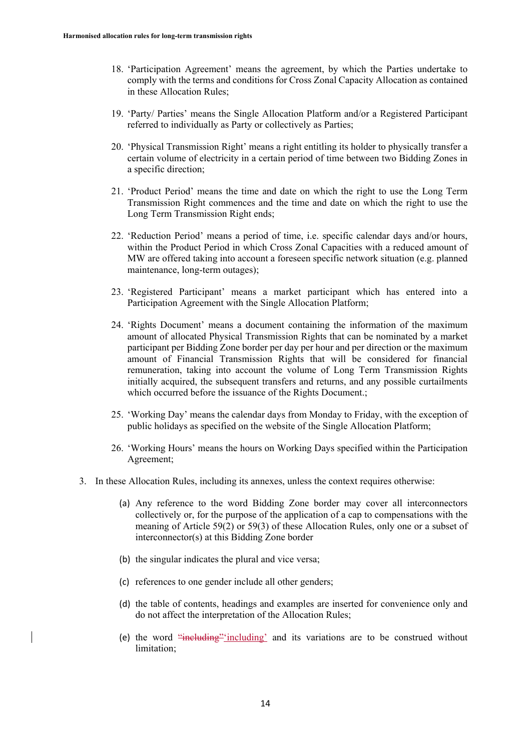- 18. 'Participation Agreement' means the agreement, by which the Parties undertake to comply with the terms and conditions for Cross Zonal Capacity Allocation as contained in these Allocation Rules;
- 19. 'Party/ Parties' means the Single Allocation Platform and/or a Registered Participant referred to individually as Party or collectively as Parties;
- 20. 'Physical Transmission Right' means a right entitling its holder to physically transfer a certain volume of electricity in a certain period of time between two Bidding Zones in a specific direction;
- 21. 'Product Period' means the time and date on which the right to use the Long Term Transmission Right commences and the time and date on which the right to use the Long Term Transmission Right ends;
- 22. 'Reduction Period' means a period of time, i.e. specific calendar days and/or hours, within the Product Period in which Cross Zonal Capacities with a reduced amount of MW are offered taking into account a foreseen specific network situation (e.g. planned maintenance, long-term outages);
- 23. 'Registered Participant' means a market participant which has entered into a Participation Agreement with the Single Allocation Platform;
- 24. 'Rights Document' means a document containing the information of the maximum amount of allocated Physical Transmission Rights that can be nominated by a market participant per Bidding Zone border per day per hour and per direction or the maximum amount of Financial Transmission Rights that will be considered for financial remuneration, taking into account the volume of Long Term Transmission Rights initially acquired, the subsequent transfers and returns, and any possible curtailments which occurred before the issuance of the Rights Document.;
- 25. 'Working Day' means the calendar days from Monday to Friday, with the exception of public holidays as specified on the website of the Single Allocation Platform;
- 26. 'Working Hours' means the hours on Working Days specified within the Participation Agreement;
- 3. In these Allocation Rules, including its annexes, unless the context requires otherwise:
	- (a) Any reference to the word Bidding Zone border may cover all interconnectors collectively or, for the purpose of the application of a cap to compensations with the meaning of Article 59(2) or 59(3) of these Allocation Rules, only one or a subset of interconnector(s) at this Bidding Zone border
	- (b) the singular indicates the plural and vice versa;
	- (c) references to one gender include all other genders;
	- (d) the table of contents, headings and examples are inserted for convenience only and do not affect the interpretation of the Allocation Rules;
	- (e) the word "including"'including' and its variations are to be construed without limitation;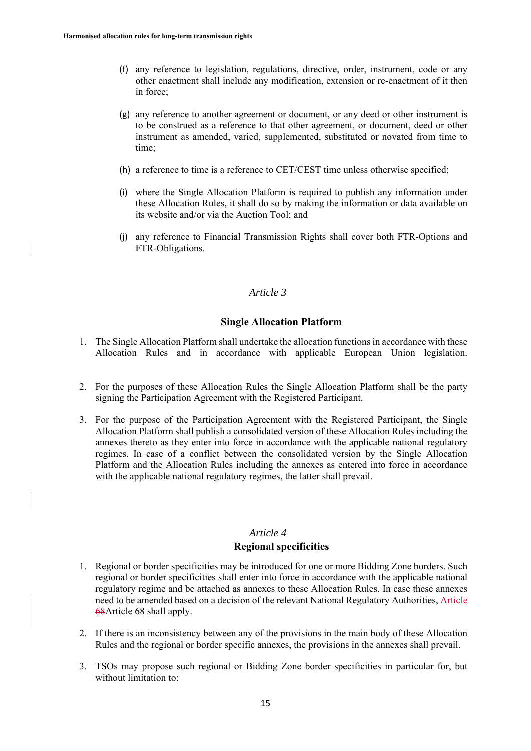- (f) any reference to legislation, regulations, directive, order, instrument, code or any other enactment shall include any modification, extension or re-enactment of it then in force;
- (g) any reference to another agreement or document, or any deed or other instrument is to be construed as a reference to that other agreement, or document, deed or other instrument as amended, varied, supplemented, substituted or novated from time to time;
- (h) a reference to time is a reference to CET/CEST time unless otherwise specified;
- (i) where the Single Allocation Platform is required to publish any information under these Allocation Rules, it shall do so by making the information or data available on its website and/or via the Auction Tool; and
- (j) any reference to Financial Transmission Rights shall cover both FTR-Options and FTR-Obligations.

#### **Single Allocation Platform**

- 1. The Single Allocation Platform shall undertake the allocation functions in accordance with these Allocation Rules and in accordance with applicable European Union legislation.
- 2. For the purposes of these Allocation Rules the Single Allocation Platform shall be the party signing the Participation Agreement with the Registered Participant.
- 3. For the purpose of the Participation Agreement with the Registered Participant, the Single Allocation Platform shall publish a consolidated version of these Allocation Rules including the annexes thereto as they enter into force in accordance with the applicable national regulatory regimes. In case of a conflict between the consolidated version by the Single Allocation Platform and the Allocation Rules including the annexes as entered into force in accordance with the applicable national regulatory regimes, the latter shall prevail.

#### *Article 4* **Regional specificities**

- 1. Regional or border specificities may be introduced for one or more Bidding Zone borders. Such regional or border specificities shall enter into force in accordance with the applicable national regulatory regime and be attached as annexes to these Allocation Rules. In case these annexes need to be amended based on a decision of the relevant National Regulatory Authorities, Article 68Article 68 shall apply.
- 2. If there is an inconsistency between any of the provisions in the main body of these Allocation Rules and the regional or border specific annexes, the provisions in the annexes shall prevail.
- 3. TSOs may propose such regional or Bidding Zone border specificities in particular for, but without limitation to: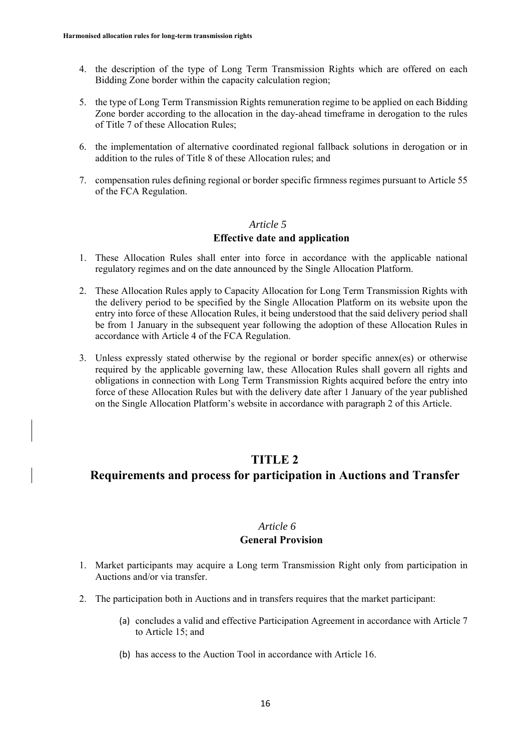- 4. the description of the type of Long Term Transmission Rights which are offered on each Bidding Zone border within the capacity calculation region;
- 5. the type of Long Term Transmission Rights remuneration regime to be applied on each Bidding Zone border according to the allocation in the day-ahead timeframe in derogation to the rules of Title 7 of these Allocation Rules;
- 6. the implementation of alternative coordinated regional fallback solutions in derogation or in addition to the rules of Title 8 of these Allocation rules; and
- 7. compensation rules defining regional or border specific firmness regimes pursuant to Article 55 of the FCA Regulation.

#### **Effective date and application**

- 1. These Allocation Rules shall enter into force in accordance with the applicable national regulatory regimes and on the date announced by the Single Allocation Platform.
- 2. These Allocation Rules apply to Capacity Allocation for Long Term Transmission Rights with the delivery period to be specified by the Single Allocation Platform on its website upon the entry into force of these Allocation Rules, it being understood that the said delivery period shall be from 1 January in the subsequent year following the adoption of these Allocation Rules in accordance with Article 4 of the FCA Regulation.
- 3. Unless expressly stated otherwise by the regional or border specific annex(es) or otherwise required by the applicable governing law, these Allocation Rules shall govern all rights and obligations in connection with Long Term Transmission Rights acquired before the entry into force of these Allocation Rules but with the delivery date after 1 January of the year published on the Single Allocation Platform's website in accordance with paragraph 2 of this Article.

#### **TITLE 2**

#### **Requirements and process for participation in Auctions and Transfer**

#### *Article 6* **General Provision**

- 1. Market participants may acquire a Long term Transmission Right only from participation in Auctions and/or via transfer.
- 2. The participation both in Auctions and in transfers requires that the market participant:
	- (a) concludes a valid and effective Participation Agreement in accordance with Article 7 to Article 15; and
	- (b) has access to the Auction Tool in accordance with Article 16.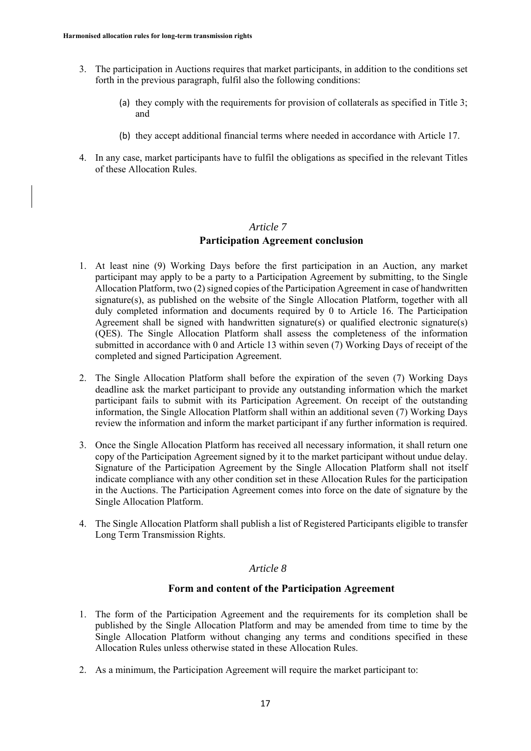- 3. The participation in Auctions requires that market participants, in addition to the conditions set forth in the previous paragraph, fulfil also the following conditions:
	- (a) they comply with the requirements for provision of collaterals as specified in Title 3; and
	- (b) they accept additional financial terms where needed in accordance with Article 17.
- 4. In any case, market participants have to fulfil the obligations as specified in the relevant Titles of these Allocation Rules.

#### *Article 7* **Participation Agreement conclusion**

- 1. At least nine (9) Working Days before the first participation in an Auction, any market participant may apply to be a party to a Participation Agreement by submitting, to the Single Allocation Platform, two (2) signed copies of the Participation Agreement in case of handwritten signature(s), as published on the website of the Single Allocation Platform, together with all duly completed information and documents required by 0 to Article 16. The Participation Agreement shall be signed with handwritten signature(s) or qualified electronic signature(s) (QES). The Single Allocation Platform shall assess the completeness of the information submitted in accordance with 0 and Article 13 within seven (7) Working Days of receipt of the completed and signed Participation Agreement.
- 2. The Single Allocation Platform shall before the expiration of the seven (7) Working Days deadline ask the market participant to provide any outstanding information which the market participant fails to submit with its Participation Agreement. On receipt of the outstanding information, the Single Allocation Platform shall within an additional seven (7) Working Days review the information and inform the market participant if any further information is required.
- 3. Once the Single Allocation Platform has received all necessary information, it shall return one copy of the Participation Agreement signed by it to the market participant without undue delay. Signature of the Participation Agreement by the Single Allocation Platform shall not itself indicate compliance with any other condition set in these Allocation Rules for the participation in the Auctions. The Participation Agreement comes into force on the date of signature by the Single Allocation Platform.
- 4. The Single Allocation Platform shall publish a list of Registered Participants eligible to transfer Long Term Transmission Rights.

#### *Article 8*

#### **Form and content of the Participation Agreement**

- 1. The form of the Participation Agreement and the requirements for its completion shall be published by the Single Allocation Platform and may be amended from time to time by the Single Allocation Platform without changing any terms and conditions specified in these Allocation Rules unless otherwise stated in these Allocation Rules.
- 2. As a minimum, the Participation Agreement will require the market participant to: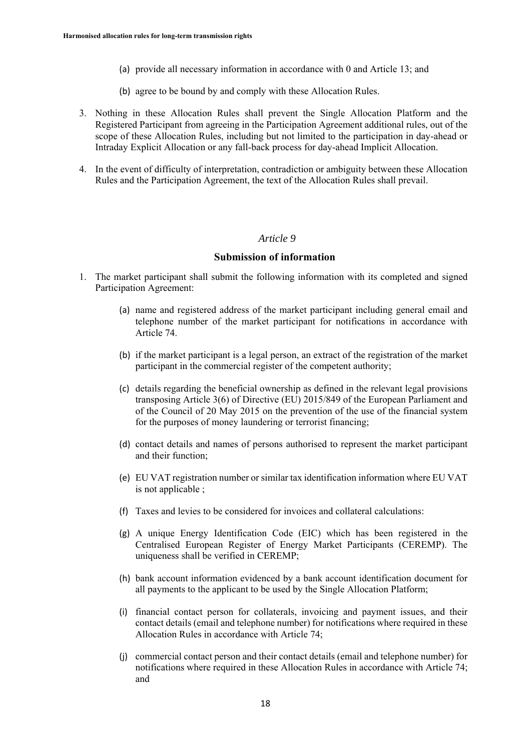- (a) provide all necessary information in accordance with 0 and Article 13; and
- (b) agree to be bound by and comply with these Allocation Rules.
- 3. Nothing in these Allocation Rules shall prevent the Single Allocation Platform and the Registered Participant from agreeing in the Participation Agreement additional rules, out of the scope of these Allocation Rules, including but not limited to the participation in day-ahead or Intraday Explicit Allocation or any fall-back process for day-ahead Implicit Allocation.
- 4. In the event of difficulty of interpretation, contradiction or ambiguity between these Allocation Rules and the Participation Agreement, the text of the Allocation Rules shall prevail.

#### **Submission of information**

- 1. The market participant shall submit the following information with its completed and signed Participation Agreement:
	- (a) name and registered address of the market participant including general email and telephone number of the market participant for notifications in accordance with Article 74.
	- (b) if the market participant is a legal person, an extract of the registration of the market participant in the commercial register of the competent authority;
	- (c) details regarding the beneficial ownership as defined in the relevant legal provisions transposing Article 3(6) of Directive (EU) 2015/849 of the European Parliament and of the Council of 20 May 2015 on the prevention of the use of the financial system for the purposes of money laundering or terrorist financing;
	- (d) contact details and names of persons authorised to represent the market participant and their function;
	- (e) EU VAT registration number or similar tax identification information where EU VAT is not applicable ;
	- (f) Taxes and levies to be considered for invoices and collateral calculations:
	- (g) A unique Energy Identification Code (EIC) which has been registered in the Centralised European Register of Energy Market Participants (CEREMP). The uniqueness shall be verified in CEREMP;
	- (h) bank account information evidenced by a bank account identification document for all payments to the applicant to be used by the Single Allocation Platform;
	- (i) financial contact person for collaterals, invoicing and payment issues, and their contact details (email and telephone number) for notifications where required in these Allocation Rules in accordance with Article 74;
	- (j) commercial contact person and their contact details (email and telephone number) for notifications where required in these Allocation Rules in accordance with Article 74; and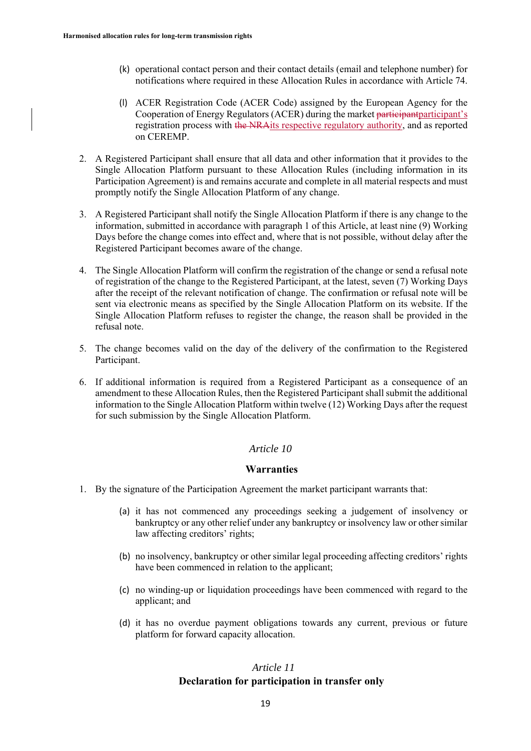- (k) operational contact person and their contact details (email and telephone number) for notifications where required in these Allocation Rules in accordance with Article 74.
- (l) ACER Registration Code (ACER Code) assigned by the European Agency for the Cooperation of Energy Regulators (ACER) during the market participantparticipant's registration process with the NRAits respective regulatory authority, and as reported on CEREMP.
- 2. A Registered Participant shall ensure that all data and other information that it provides to the Single Allocation Platform pursuant to these Allocation Rules (including information in its Participation Agreement) is and remains accurate and complete in all material respects and must promptly notify the Single Allocation Platform of any change.
- 3. A Registered Participant shall notify the Single Allocation Platform if there is any change to the information, submitted in accordance with paragraph 1 of this Article, at least nine (9) Working Days before the change comes into effect and, where that is not possible, without delay after the Registered Participant becomes aware of the change.
- 4. The Single Allocation Platform will confirm the registration of the change or send a refusal note of registration of the change to the Registered Participant, at the latest, seven (7) Working Days after the receipt of the relevant notification of change. The confirmation or refusal note will be sent via electronic means as specified by the Single Allocation Platform on its website. If the Single Allocation Platform refuses to register the change, the reason shall be provided in the refusal note.
- 5. The change becomes valid on the day of the delivery of the confirmation to the Registered Participant.
- 6. If additional information is required from a Registered Participant as a consequence of an amendment to these Allocation Rules, then the Registered Participant shall submit the additional information to the Single Allocation Platform within twelve (12) Working Days after the request for such submission by the Single Allocation Platform.

#### **Warranties**

- 1. By the signature of the Participation Agreement the market participant warrants that:
	- (a) it has not commenced any proceedings seeking a judgement of insolvency or bankruptcy or any other relief under any bankruptcy or insolvency law or other similar law affecting creditors' rights;
	- (b) no insolvency, bankruptcy or other similar legal proceeding affecting creditors' rights have been commenced in relation to the applicant:
	- (c) no winding-up or liquidation proceedings have been commenced with regard to the applicant; and
	- (d) it has no overdue payment obligations towards any current, previous or future platform for forward capacity allocation.

# *Article 11* **Declaration for participation in transfer only**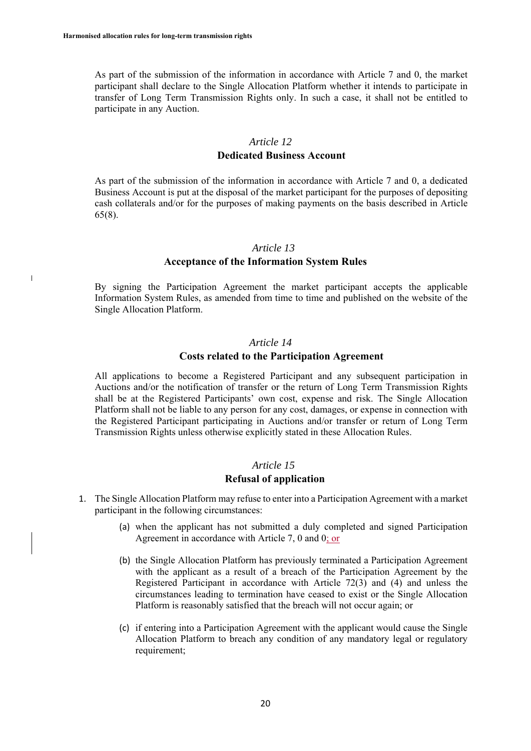$\overline{1}$ 

As part of the submission of the information in accordance with Article 7 and 0, the market participant shall declare to the Single Allocation Platform whether it intends to participate in transfer of Long Term Transmission Rights only. In such a case, it shall not be entitled to participate in any Auction.

#### *Article 12*

#### **Dedicated Business Account**

As part of the submission of the information in accordance with Article 7 and 0, a dedicated Business Account is put at the disposal of the market participant for the purposes of depositing cash collaterals and/or for the purposes of making payments on the basis described in Article 65(8).

#### *Article 13*

#### **Acceptance of the Information System Rules**

By signing the Participation Agreement the market participant accepts the applicable Information System Rules, as amended from time to time and published on the website of the Single Allocation Platform.

#### *Article 14*

#### **Costs related to the Participation Agreement**

All applications to become a Registered Participant and any subsequent participation in Auctions and/or the notification of transfer or the return of Long Term Transmission Rights shall be at the Registered Participants' own cost, expense and risk. The Single Allocation Platform shall not be liable to any person for any cost, damages, or expense in connection with the Registered Participant participating in Auctions and/or transfer or return of Long Term Transmission Rights unless otherwise explicitly stated in these Allocation Rules.

# *Article 15*

#### **Refusal of application**

- 1. The Single Allocation Platform may refuse to enter into a Participation Agreement with a market participant in the following circumstances:
	- (a) when the applicant has not submitted a duly completed and signed Participation Agreement in accordance with Article 7, 0 and 0; or
	- (b) the Single Allocation Platform has previously terminated a Participation Agreement with the applicant as a result of a breach of the Participation Agreement by the Registered Participant in accordance with Article 72(3) and (4) and unless the circumstances leading to termination have ceased to exist or the Single Allocation Platform is reasonably satisfied that the breach will not occur again; or
	- (c) if entering into a Participation Agreement with the applicant would cause the Single Allocation Platform to breach any condition of any mandatory legal or regulatory requirement;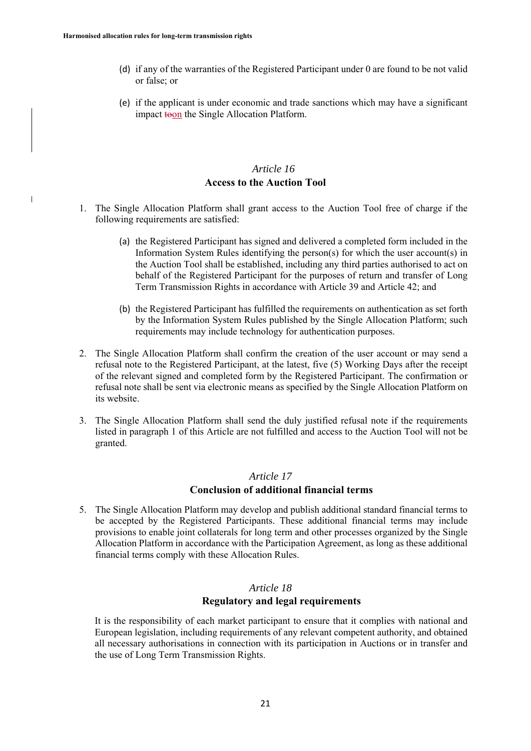$\overline{1}$ 

- (d) if any of the warranties of the Registered Participant under 0 are found to be not valid or false; or
- (e) if the applicant is under economic and trade sanctions which may have a significant impact toon the Single Allocation Platform.

#### *Article 16* **Access to the Auction Tool**

- 1. The Single Allocation Platform shall grant access to the Auction Tool free of charge if the following requirements are satisfied:
	- (a) the Registered Participant has signed and delivered a completed form included in the Information System Rules identifying the person(s) for which the user account(s) in the Auction Tool shall be established, including any third parties authorised to act on behalf of the Registered Participant for the purposes of return and transfer of Long Term Transmission Rights in accordance with Article 39 and Article 42; and
	- (b) the Registered Participant has fulfilled the requirements on authentication as set forth by the Information System Rules published by the Single Allocation Platform; such requirements may include technology for authentication purposes.
- 2. The Single Allocation Platform shall confirm the creation of the user account or may send a refusal note to the Registered Participant, at the latest, five (5) Working Days after the receipt of the relevant signed and completed form by the Registered Participant. The confirmation or refusal note shall be sent via electronic means as specified by the Single Allocation Platform on its website.
- 3. The Single Allocation Platform shall send the duly justified refusal note if the requirements listed in paragraph 1 of this Article are not fulfilled and access to the Auction Tool will not be granted.

#### *Article 17*

#### **Conclusion of additional financial terms**

5. The Single Allocation Platform may develop and publish additional standard financial terms to be accepted by the Registered Participants. These additional financial terms may include provisions to enable joint collaterals for long term and other processes organized by the Single Allocation Platform in accordance with the Participation Agreement, as long as these additional financial terms comply with these Allocation Rules.

#### *Article 18*

#### **Regulatory and legal requirements**

It is the responsibility of each market participant to ensure that it complies with national and European legislation, including requirements of any relevant competent authority, and obtained all necessary authorisations in connection with its participation in Auctions or in transfer and the use of Long Term Transmission Rights.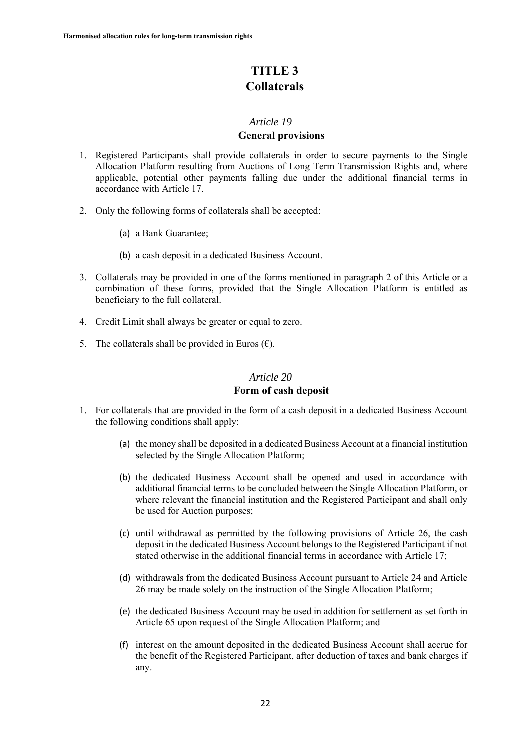# **TITLE 3 Collaterals**

#### *Article 19*

#### **General provisions**

- 1. Registered Participants shall provide collaterals in order to secure payments to the Single Allocation Platform resulting from Auctions of Long Term Transmission Rights and, where applicable, potential other payments falling due under the additional financial terms in accordance with Article 17.
- 2. Only the following forms of collaterals shall be accepted:
	- (a) a Bank Guarantee;
	- (b) a cash deposit in a dedicated Business Account.
- 3. Collaterals may be provided in one of the forms mentioned in paragraph 2 of this Article or a combination of these forms, provided that the Single Allocation Platform is entitled as beneficiary to the full collateral.
- 4. Credit Limit shall always be greater or equal to zero.
- 5. The collaterals shall be provided in Euros  $(\epsilon)$ .

#### *Article 20*

#### **Form of cash deposit**

- 1. For collaterals that are provided in the form of a cash deposit in a dedicated Business Account the following conditions shall apply:
	- (a) the money shall be deposited in a dedicated Business Account at a financial institution selected by the Single Allocation Platform;
	- (b) the dedicated Business Account shall be opened and used in accordance with additional financial terms to be concluded between the Single Allocation Platform, or where relevant the financial institution and the Registered Participant and shall only be used for Auction purposes;
	- (c) until withdrawal as permitted by the following provisions of Article 26, the cash deposit in the dedicated Business Account belongs to the Registered Participant if not stated otherwise in the additional financial terms in accordance with Article 17;
	- (d) withdrawals from the dedicated Business Account pursuant to Article 24 and Article 26 may be made solely on the instruction of the Single Allocation Platform;
	- (e) the dedicated Business Account may be used in addition for settlement as set forth in Article 65 upon request of the Single Allocation Platform; and
	- (f) interest on the amount deposited in the dedicated Business Account shall accrue for the benefit of the Registered Participant, after deduction of taxes and bank charges if any.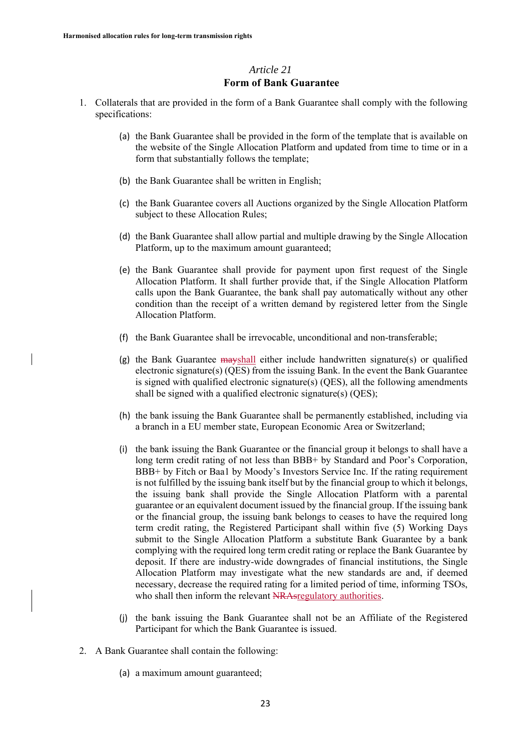#### *Article 21* **Form of Bank Guarantee**

- 1. Collaterals that are provided in the form of a Bank Guarantee shall comply with the following specifications:
	- (a) the Bank Guarantee shall be provided in the form of the template that is available on the website of the Single Allocation Platform and updated from time to time or in a form that substantially follows the template;
	- (b) the Bank Guarantee shall be written in English;
	- (c) the Bank Guarantee covers all Auctions organized by the Single Allocation Platform subject to these Allocation Rules;
	- (d) the Bank Guarantee shall allow partial and multiple drawing by the Single Allocation Platform, up to the maximum amount guaranteed;
	- (e) the Bank Guarantee shall provide for payment upon first request of the Single Allocation Platform. It shall further provide that, if the Single Allocation Platform calls upon the Bank Guarantee, the bank shall pay automatically without any other condition than the receipt of a written demand by registered letter from the Single Allocation Platform.
	- (f) the Bank Guarantee shall be irrevocable, unconditional and non-transferable;
	- (g) the Bank Guarantee  $\frac{1}{2}$  may shall either include handwritten signature(s) or qualified electronic signature(s) (QES) from the issuing Bank. In the event the Bank Guarantee is signed with qualified electronic signature(s) (QES), all the following amendments shall be signed with a qualified electronic signature(s) (QES);
	- (h) the bank issuing the Bank Guarantee shall be permanently established, including via a branch in a EU member state, European Economic Area or Switzerland;
	- (i) the bank issuing the Bank Guarantee or the financial group it belongs to shall have a long term credit rating of not less than BBB+ by Standard and Poor's Corporation, BBB+ by Fitch or Baa1 by Moody's Investors Service Inc. If the rating requirement is not fulfilled by the issuing bank itself but by the financial group to which it belongs, the issuing bank shall provide the Single Allocation Platform with a parental guarantee or an equivalent document issued by the financial group. If the issuing bank or the financial group, the issuing bank belongs to ceases to have the required long term credit rating, the Registered Participant shall within five (5) Working Days submit to the Single Allocation Platform a substitute Bank Guarantee by a bank complying with the required long term credit rating or replace the Bank Guarantee by deposit. If there are industry-wide downgrades of financial institutions, the Single Allocation Platform may investigate what the new standards are and, if deemed necessary, decrease the required rating for a limited period of time, informing TSOs, who shall then inform the relevant NRAsregulatory authorities.
	- (j) the bank issuing the Bank Guarantee shall not be an Affiliate of the Registered Participant for which the Bank Guarantee is issued.
- 2. A Bank Guarantee shall contain the following:
	- (a) a maximum amount guaranteed;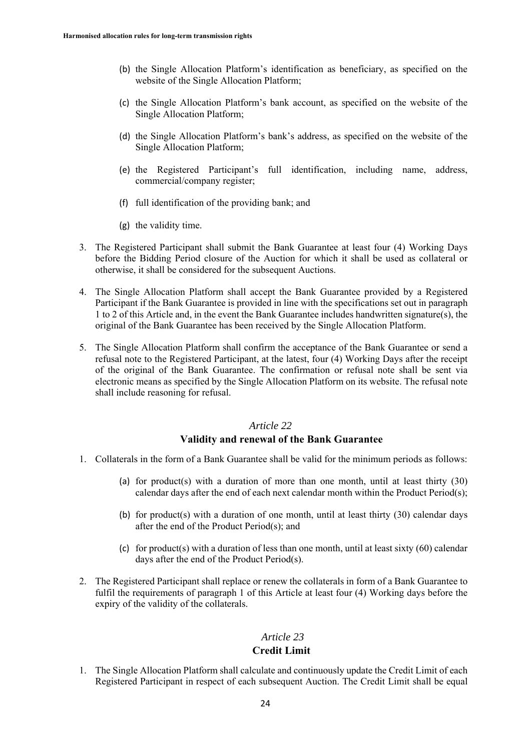- (b) the Single Allocation Platform's identification as beneficiary, as specified on the website of the Single Allocation Platform;
- (c) the Single Allocation Platform's bank account, as specified on the website of the Single Allocation Platform;
- (d) the Single Allocation Platform's bank's address, as specified on the website of the Single Allocation Platform;
- (e) the Registered Participant's full identification, including name, address, commercial/company register;
- (f) full identification of the providing bank; and
- (g) the validity time.
- 3. The Registered Participant shall submit the Bank Guarantee at least four (4) Working Days before the Bidding Period closure of the Auction for which it shall be used as collateral or otherwise, it shall be considered for the subsequent Auctions.
- 4. The Single Allocation Platform shall accept the Bank Guarantee provided by a Registered Participant if the Bank Guarantee is provided in line with the specifications set out in paragraph 1 to 2 of this Article and, in the event the Bank Guarantee includes handwritten signature(s), the original of the Bank Guarantee has been received by the Single Allocation Platform.
- 5. The Single Allocation Platform shall confirm the acceptance of the Bank Guarantee or send a refusal note to the Registered Participant, at the latest, four (4) Working Days after the receipt of the original of the Bank Guarantee. The confirmation or refusal note shall be sent via electronic means as specified by the Single Allocation Platform on its website. The refusal note shall include reasoning for refusal.

#### **Validity and renewal of the Bank Guarantee**

- 1. Collaterals in the form of a Bank Guarantee shall be valid for the minimum periods as follows:
	- (a) for product(s) with a duration of more than one month, until at least thirty (30) calendar days after the end of each next calendar month within the Product Period(s);
	- (b) for product(s) with a duration of one month, until at least thirty  $(30)$  calendar days after the end of the Product Period(s); and
	- (c) for product(s) with a duration of less than one month, until at least sixty (60) calendar days after the end of the Product Period(s).
- 2. The Registered Participant shall replace or renew the collaterals in form of a Bank Guarantee to fulfil the requirements of paragraph 1 of this Article at least four (4) Working days before the expiry of the validity of the collaterals.

#### *Article 23*

### **Credit Limit**

1. The Single Allocation Platform shall calculate and continuously update the Credit Limit of each Registered Participant in respect of each subsequent Auction. The Credit Limit shall be equal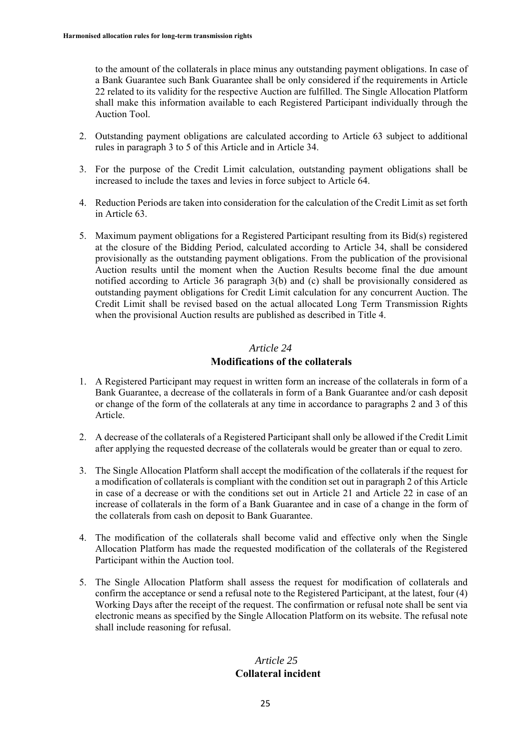to the amount of the collaterals in place minus any outstanding payment obligations. In case of a Bank Guarantee such Bank Guarantee shall be only considered if the requirements in Article 22 related to its validity for the respective Auction are fulfilled. The Single Allocation Platform shall make this information available to each Registered Participant individually through the Auction Tool.

- 2. Outstanding payment obligations are calculated according to Article 63 subject to additional rules in paragraph 3 to 5 of this Article and in Article 34.
- 3. For the purpose of the Credit Limit calculation, outstanding payment obligations shall be increased to include the taxes and levies in force subject to Article 64.
- 4. Reduction Periods are taken into consideration for the calculation of the Credit Limit as set forth in Article 63.
- 5. Maximum payment obligations for a Registered Participant resulting from its Bid(s) registered at the closure of the Bidding Period, calculated according to Article 34, shall be considered provisionally as the outstanding payment obligations. From the publication of the provisional Auction results until the moment when the Auction Results become final the due amount notified according to Article 36 paragraph 3(b) and (c) shall be provisionally considered as outstanding payment obligations for Credit Limit calculation for any concurrent Auction. The Credit Limit shall be revised based on the actual allocated Long Term Transmission Rights when the provisional Auction results are published as described in Title 4.

#### *Article 24*

#### **Modifications of the collaterals**

- 1. A Registered Participant may request in written form an increase of the collaterals in form of a Bank Guarantee, a decrease of the collaterals in form of a Bank Guarantee and/or cash deposit or change of the form of the collaterals at any time in accordance to paragraphs 2 and 3 of this Article.
- 2. A decrease of the collaterals of a Registered Participant shall only be allowed if the Credit Limit after applying the requested decrease of the collaterals would be greater than or equal to zero.
- 3. The Single Allocation Platform shall accept the modification of the collaterals if the request for a modification of collaterals is compliant with the condition set out in paragraph 2 of this Article in case of a decrease or with the conditions set out in Article 21 and Article 22 in case of an increase of collaterals in the form of a Bank Guarantee and in case of a change in the form of the collaterals from cash on deposit to Bank Guarantee.
- 4. The modification of the collaterals shall become valid and effective only when the Single Allocation Platform has made the requested modification of the collaterals of the Registered Participant within the Auction tool.
- 5. The Single Allocation Platform shall assess the request for modification of collaterals and confirm the acceptance or send a refusal note to the Registered Participant, at the latest, four (4) Working Days after the receipt of the request. The confirmation or refusal note shall be sent via electronic means as specified by the Single Allocation Platform on its website. The refusal note shall include reasoning for refusal.

### *Article 25* **Collateral incident**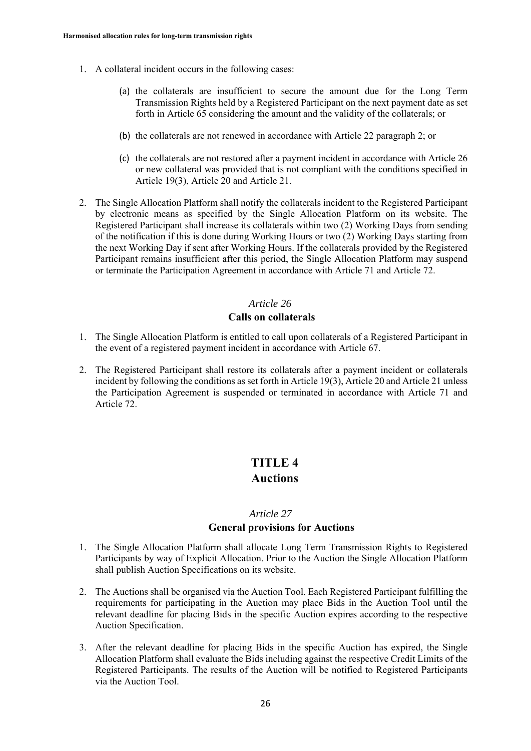- 1. A collateral incident occurs in the following cases:
	- (a) the collaterals are insufficient to secure the amount due for the Long Term Transmission Rights held by a Registered Participant on the next payment date as set forth in Article 65 considering the amount and the validity of the collaterals; or
	- (b) the collaterals are not renewed in accordance with Article 22 paragraph 2; or
	- (c) the collaterals are not restored after a payment incident in accordance with Article 26 or new collateral was provided that is not compliant with the conditions specified in Article 19(3), Article 20 and Article 21.
- 2. The Single Allocation Platform shall notify the collaterals incident to the Registered Participant by electronic means as specified by the Single Allocation Platform on its website. The Registered Participant shall increase its collaterals within two (2) Working Days from sending of the notification if this is done during Working Hours or two (2) Working Days starting from the next Working Day if sent after Working Hours. If the collaterals provided by the Registered Participant remains insufficient after this period, the Single Allocation Platform may suspend or terminate the Participation Agreement in accordance with Article 71 and Article 72.

#### **Calls on collaterals**

- 1. The Single Allocation Platform is entitled to call upon collaterals of a Registered Participant in the event of a registered payment incident in accordance with Article 67.
- 2. The Registered Participant shall restore its collaterals after a payment incident or collaterals incident by following the conditions as set forth in Article 19(3), Article 20 and Article 21 unless the Participation Agreement is suspended or terminated in accordance with Article 71 and Article 72.

# **TITLE 4 Auctions**

#### *Article 27*

#### **General provisions for Auctions**

- 1. The Single Allocation Platform shall allocate Long Term Transmission Rights to Registered Participants by way of Explicit Allocation. Prior to the Auction the Single Allocation Platform shall publish Auction Specifications on its website.
- 2. The Auctions shall be organised via the Auction Tool. Each Registered Participant fulfilling the requirements for participating in the Auction may place Bids in the Auction Tool until the relevant deadline for placing Bids in the specific Auction expires according to the respective Auction Specification.
- 3. After the relevant deadline for placing Bids in the specific Auction has expired, the Single Allocation Platform shall evaluate the Bids including against the respective Credit Limits of the Registered Participants. The results of the Auction will be notified to Registered Participants via the Auction Tool.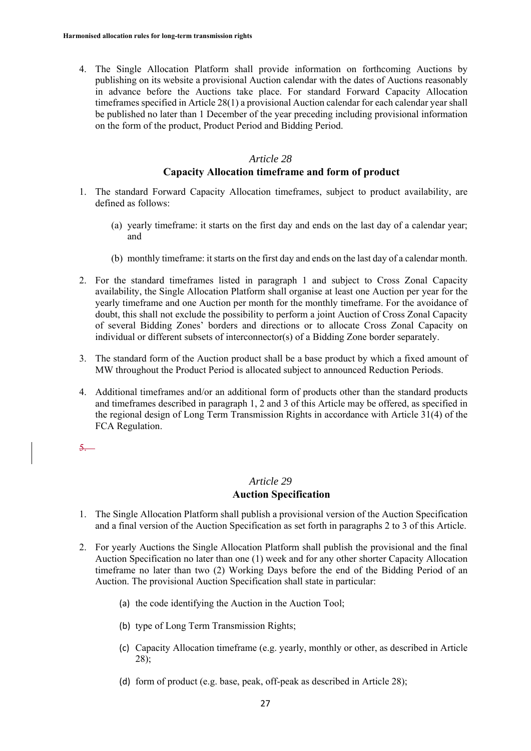4. The Single Allocation Platform shall provide information on forthcoming Auctions by publishing on its website a provisional Auction calendar with the dates of Auctions reasonably in advance before the Auctions take place. For standard Forward Capacity Allocation timeframes specified in Article 28(1) a provisional Auction calendar for each calendar year shall be published no later than 1 December of the year preceding including provisional information on the form of the product, Product Period and Bidding Period.

#### *Article 28*

#### **Capacity Allocation timeframe and form of product**

- 1. The standard Forward Capacity Allocation timeframes, subject to product availability, are defined as follows:
	- (a) yearly timeframe: it starts on the first day and ends on the last day of a calendar year; and
	- (b) monthly timeframe: it starts on the first day and ends on the last day of a calendar month.
- 2. For the standard timeframes listed in paragraph 1 and subject to Cross Zonal Capacity availability, the Single Allocation Platform shall organise at least one Auction per year for the yearly timeframe and one Auction per month for the monthly timeframe. For the avoidance of doubt, this shall not exclude the possibility to perform a joint Auction of Cross Zonal Capacity of several Bidding Zones' borders and directions or to allocate Cross Zonal Capacity on individual or different subsets of interconnector(s) of a Bidding Zone border separately.
- 3. The standard form of the Auction product shall be a base product by which a fixed amount of MW throughout the Product Period is allocated subject to announced Reduction Periods.
- 4. Additional timeframes and/or an additional form of products other than the standard products and timeframes described in paragraph 1, 2 and 3 of this Article may be offered, as specified in the regional design of Long Term Transmission Rights in accordance with Article 31(4) of the FCA Regulation.

5.

#### *Article 29*

#### **Auction Specification**

- 1. The Single Allocation Platform shall publish a provisional version of the Auction Specification and a final version of the Auction Specification as set forth in paragraphs 2 to 3 of this Article.
- 2. For yearly Auctions the Single Allocation Platform shall publish the provisional and the final Auction Specification no later than one (1) week and for any other shorter Capacity Allocation timeframe no later than two (2) Working Days before the end of the Bidding Period of an Auction. The provisional Auction Specification shall state in particular:
	- (a) the code identifying the Auction in the Auction Tool;
	- (b) type of Long Term Transmission Rights;
	- (c) Capacity Allocation timeframe (e.g. yearly, monthly or other, as described in Article 28);
	- (d) form of product (e.g. base, peak, off-peak as described in Article 28);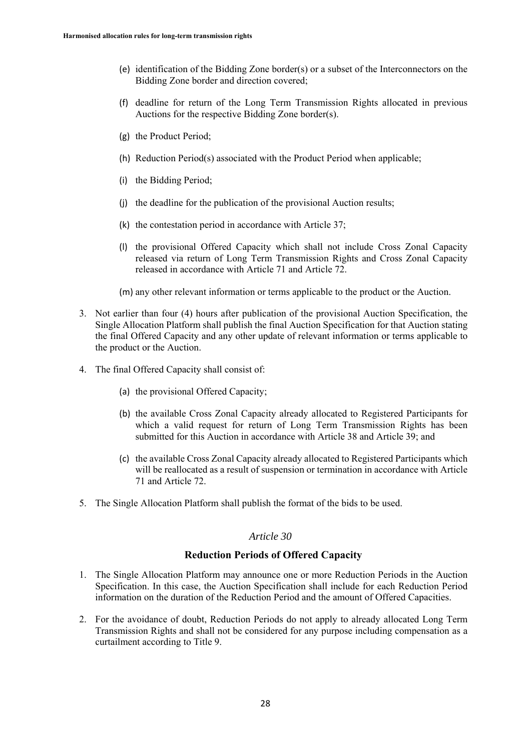- (e) identification of the Bidding Zone border(s) or a subset of the Interconnectors on the Bidding Zone border and direction covered;
- (f) deadline for return of the Long Term Transmission Rights allocated in previous Auctions for the respective Bidding Zone border(s).
- (g) the Product Period;
- (h) Reduction Period(s) associated with the Product Period when applicable;
- (i) the Bidding Period;
- (j) the deadline for the publication of the provisional Auction results;
- (k) the contestation period in accordance with Article 37;
- (l) the provisional Offered Capacity which shall not include Cross Zonal Capacity released via return of Long Term Transmission Rights and Cross Zonal Capacity released in accordance with Article 71 and Article 72.
- (m) any other relevant information or terms applicable to the product or the Auction.
- 3. Not earlier than four (4) hours after publication of the provisional Auction Specification, the Single Allocation Platform shall publish the final Auction Specification for that Auction stating the final Offered Capacity and any other update of relevant information or terms applicable to the product or the Auction.
- 4. The final Offered Capacity shall consist of:
	- (a) the provisional Offered Capacity;
	- (b) the available Cross Zonal Capacity already allocated to Registered Participants for which a valid request for return of Long Term Transmission Rights has been submitted for this Auction in accordance with Article 38 and Article 39; and
	- (c) the available Cross Zonal Capacity already allocated to Registered Participants which will be reallocated as a result of suspension or termination in accordance with Article 71 and Article 72.
- 5. The Single Allocation Platform shall publish the format of the bids to be used.

#### **Reduction Periods of Offered Capacity**

- 1. The Single Allocation Platform may announce one or more Reduction Periods in the Auction Specification. In this case, the Auction Specification shall include for each Reduction Period information on the duration of the Reduction Period and the amount of Offered Capacities.
- 2. For the avoidance of doubt, Reduction Periods do not apply to already allocated Long Term Transmission Rights and shall not be considered for any purpose including compensation as a curtailment according to Title 9.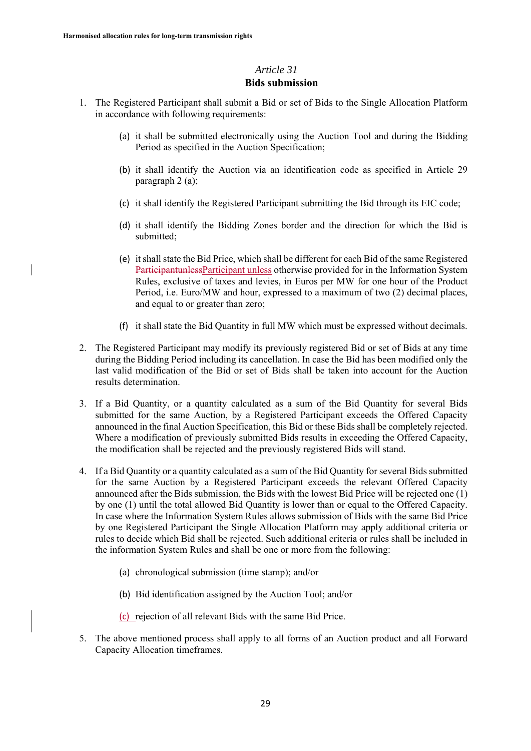#### **Bids submission**

- 1. The Registered Participant shall submit a Bid or set of Bids to the Single Allocation Platform in accordance with following requirements:
	- (a) it shall be submitted electronically using the Auction Tool and during the Bidding Period as specified in the Auction Specification;
	- (b) it shall identify the Auction via an identification code as specified in Article 29 paragraph 2 (a);
	- (c) it shall identify the Registered Participant submitting the Bid through its EIC code;
	- (d) it shall identify the Bidding Zones border and the direction for which the Bid is submitted;
	- (e) it shall state the Bid Price, which shall be different for each Bid of the same Registered ParticipantunlessParticipant unless otherwise provided for in the Information System Rules, exclusive of taxes and levies, in Euros per MW for one hour of the Product Period, i.e. Euro/MW and hour, expressed to a maximum of two (2) decimal places, and equal to or greater than zero;
	- (f) it shall state the Bid Quantity in full MW which must be expressed without decimals.
- 2. The Registered Participant may modify its previously registered Bid or set of Bids at any time during the Bidding Period including its cancellation. In case the Bid has been modified only the last valid modification of the Bid or set of Bids shall be taken into account for the Auction results determination.
- 3. If a Bid Quantity, or a quantity calculated as a sum of the Bid Quantity for several Bids submitted for the same Auction, by a Registered Participant exceeds the Offered Capacity announced in the final Auction Specification, this Bid or these Bids shall be completely rejected. Where a modification of previously submitted Bids results in exceeding the Offered Capacity, the modification shall be rejected and the previously registered Bids will stand.
- 4. If a Bid Quantity or a quantity calculated as a sum of the Bid Quantity for several Bids submitted for the same Auction by a Registered Participant exceeds the relevant Offered Capacity announced after the Bids submission, the Bids with the lowest Bid Price will be rejected one (1) by one (1) until the total allowed Bid Quantity is lower than or equal to the Offered Capacity. In case where the Information System Rules allows submission of Bids with the same Bid Price by one Registered Participant the Single Allocation Platform may apply additional criteria or rules to decide which Bid shall be rejected. Such additional criteria or rules shall be included in the information System Rules and shall be one or more from the following:
	- (a) chronological submission (time stamp); and/or
	- (b) Bid identification assigned by the Auction Tool; and/or
	- (c) rejection of all relevant Bids with the same Bid Price.
- 5. The above mentioned process shall apply to all forms of an Auction product and all Forward Capacity Allocation timeframes.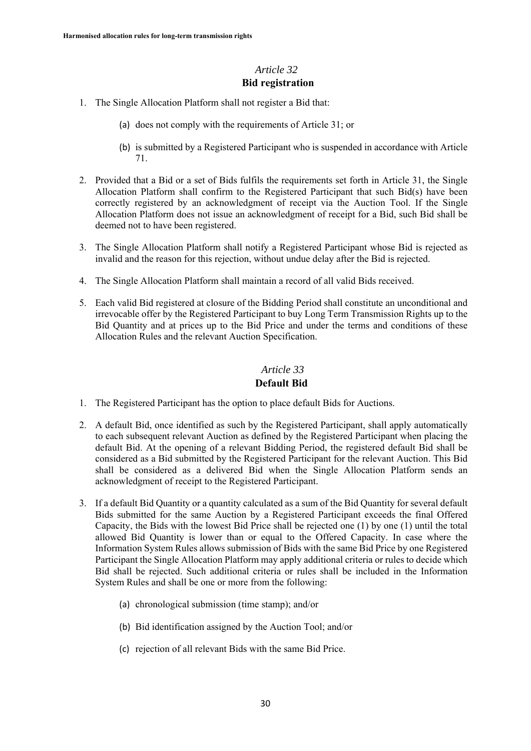### *Article 32* **Bid registration**

- 1. The Single Allocation Platform shall not register a Bid that:
	- (a) does not comply with the requirements of Article 31; or
	- (b) is submitted by a Registered Participant who is suspended in accordance with Article 71.
- 2. Provided that a Bid or a set of Bids fulfils the requirements set forth in Article 31, the Single Allocation Platform shall confirm to the Registered Participant that such Bid(s) have been correctly registered by an acknowledgment of receipt via the Auction Tool. If the Single Allocation Platform does not issue an acknowledgment of receipt for a Bid, such Bid shall be deemed not to have been registered.
- 3. The Single Allocation Platform shall notify a Registered Participant whose Bid is rejected as invalid and the reason for this rejection, without undue delay after the Bid is rejected.
- 4. The Single Allocation Platform shall maintain a record of all valid Bids received.
- 5. Each valid Bid registered at closure of the Bidding Period shall constitute an unconditional and irrevocable offer by the Registered Participant to buy Long Term Transmission Rights up to the Bid Quantity and at prices up to the Bid Price and under the terms and conditions of these Allocation Rules and the relevant Auction Specification.

#### *Article 33*

#### **Default Bid**

- 1. The Registered Participant has the option to place default Bids for Auctions.
- 2. A default Bid, once identified as such by the Registered Participant, shall apply automatically to each subsequent relevant Auction as defined by the Registered Participant when placing the default Bid. At the opening of a relevant Bidding Period, the registered default Bid shall be considered as a Bid submitted by the Registered Participant for the relevant Auction. This Bid shall be considered as a delivered Bid when the Single Allocation Platform sends an acknowledgment of receipt to the Registered Participant.
- 3. If a default Bid Quantity or a quantity calculated as a sum of the Bid Quantity for several default Bids submitted for the same Auction by a Registered Participant exceeds the final Offered Capacity, the Bids with the lowest Bid Price shall be rejected one (1) by one (1) until the total allowed Bid Quantity is lower than or equal to the Offered Capacity. In case where the Information System Rules allows submission of Bids with the same Bid Price by one Registered Participant the Single Allocation Platform may apply additional criteria or rules to decide which Bid shall be rejected. Such additional criteria or rules shall be included in the Information System Rules and shall be one or more from the following:
	- (a) chronological submission (time stamp); and/or
	- (b) Bid identification assigned by the Auction Tool; and/or
	- (c) rejection of all relevant Bids with the same Bid Price.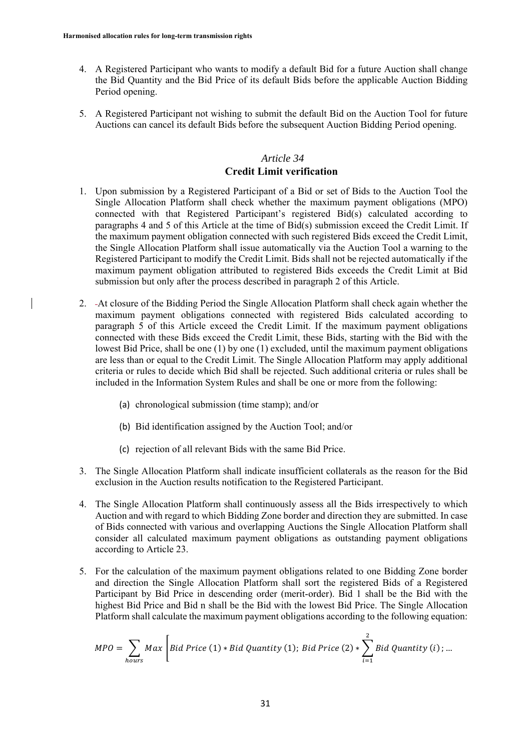- 4. A Registered Participant who wants to modify a default Bid for a future Auction shall change the Bid Quantity and the Bid Price of its default Bids before the applicable Auction Bidding Period opening.
- 5. A Registered Participant not wishing to submit the default Bid on the Auction Tool for future Auctions can cancel its default Bids before the subsequent Auction Bidding Period opening.

#### *Article 34* **Credit Limit verification**

- 1. Upon submission by a Registered Participant of a Bid or set of Bids to the Auction Tool the Single Allocation Platform shall check whether the maximum payment obligations (MPO) connected with that Registered Participant's registered Bid(s) calculated according to paragraphs 4 and 5 of this Article at the time of Bid(s) submission exceed the Credit Limit. If the maximum payment obligation connected with such registered Bids exceed the Credit Limit, the Single Allocation Platform shall issue automatically via the Auction Tool a warning to the Registered Participant to modify the Credit Limit. Bids shall not be rejected automatically if the maximum payment obligation attributed to registered Bids exceeds the Credit Limit at Bid submission but only after the process described in paragraph 2 of this Article.
- 2. At closure of the Bidding Period the Single Allocation Platform shall check again whether the maximum payment obligations connected with registered Bids calculated according to paragraph 5 of this Article exceed the Credit Limit. If the maximum payment obligations connected with these Bids exceed the Credit Limit, these Bids, starting with the Bid with the lowest Bid Price, shall be one (1) by one (1) excluded, until the maximum payment obligations are less than or equal to the Credit Limit. The Single Allocation Platform may apply additional criteria or rules to decide which Bid shall be rejected. Such additional criteria or rules shall be included in the Information System Rules and shall be one or more from the following:
	- (a) chronological submission (time stamp); and/or
	- (b) Bid identification assigned by the Auction Tool; and/or
	- (c) rejection of all relevant Bids with the same Bid Price.
- 3. The Single Allocation Platform shall indicate insufficient collaterals as the reason for the Bid exclusion in the Auction results notification to the Registered Participant.
- 4. The Single Allocation Platform shall continuously assess all the Bids irrespectively to which Auction and with regard to which Bidding Zone border and direction they are submitted. In case of Bids connected with various and overlapping Auctions the Single Allocation Platform shall consider all calculated maximum payment obligations as outstanding payment obligations according to Article 23.
- 5. For the calculation of the maximum payment obligations related to one Bidding Zone border and direction the Single Allocation Platform shall sort the registered Bids of a Registered Participant by Bid Price in descending order (merit-order). Bid 1 shall be the Bid with the highest Bid Price and Bid n shall be the Bid with the lowest Bid Price. The Single Allocation Platform shall calculate the maximum payment obligations according to the following equation:

$$
MPO = \sum_{hours} Max \left[ Bid\ Price\ (1) * Bid\ Quantity\ (1); Bid\ Price\ (2) * \sum_{i=1}^{2} Bid\ Quantity\ (i); ... \right]
$$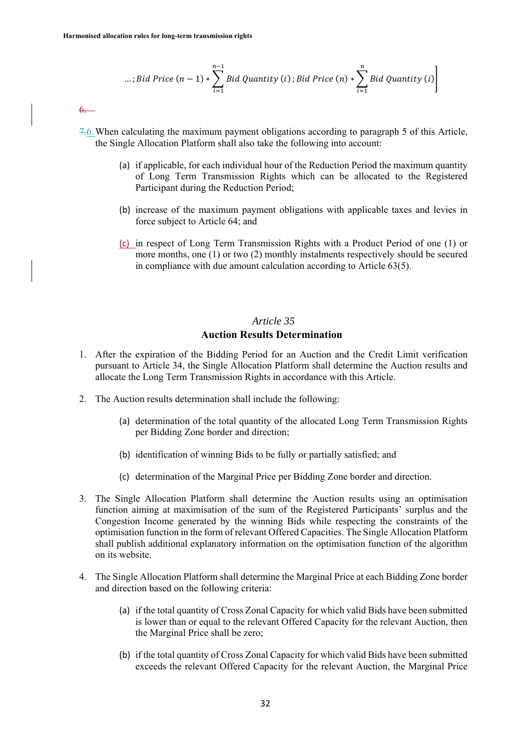...; Bid Price 
$$
(n-1) * \sum_{i=1}^{n-1} Bid Quantity(i)
$$
; Bid Price  $(n) * \sum_{i=1}^{n} Bid Quantity(i)$ 

 $6.$ 

- 7.6.When calculating the maximum payment obligations according to paragraph 5 of this Article, the Single Allocation Platform shall also take the following into account:
	- (a) if applicable, for each individual hour of the Reduction Period the maximum quantity of Long Term Transmission Rights which can be allocated to the Registered Participant during the Reduction Period;
	- (b) increase of the maximum payment obligations with applicable taxes and levies in force subject to Article 64; and
	- (c) in respect of Long Term Transmission Rights with a Product Period of one (1) or more months, one (1) or two (2) monthly instalments respectively should be secured in compliance with due amount calculation according to Article 63(5).

# *Article 35* **Auction Results Determination**

- 1. After the expiration of the Bidding Period for an Auction and the Credit Limit verification pursuant to Article 34, the Single Allocation Platform shall determine the Auction results and allocate the Long Term Transmission Rights in accordance with this Article.
- 2. The Auction results determination shall include the following:
	- (a) determination of the total quantity of the allocated Long Term Transmission Rights per Bidding Zone border and direction;
	- (b) identification of winning Bids to be fully or partially satisfied; and
	- (c) determination of the Marginal Price per Bidding Zone border and direction.
- 3. The Single Allocation Platform shall determine the Auction results using an optimisation function aiming at maximisation of the sum of the Registered Participants' surplus and the Congestion Income generated by the winning Bids while respecting the constraints of the optimisation function in the form of relevant Offered Capacities. The Single Allocation Platform shall publish additional explanatory information on the optimisation function of the algorithm on its website.
- 4. The Single Allocation Platform shall determine the Marginal Price at each Bidding Zone border and direction based on the following criteria:
	- (a) if the total quantity of Cross Zonal Capacity for which valid Bids have been submitted is lower than or equal to the relevant Offered Capacity for the relevant Auction, then the Marginal Price shall be zero;
	- (b) if the total quantity of Cross Zonal Capacity for which valid Bids have been submitted exceeds the relevant Offered Capacity for the relevant Auction, the Marginal Price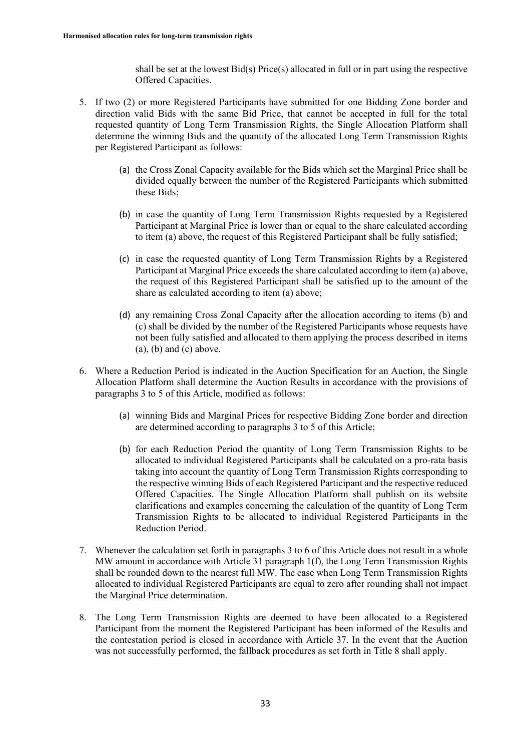shall be set at the lowest Bid(s) Price(s) allocated in full or in part using the respective Offered Capacities.

- 5. If two (2) or more Registered Participants have submitted for one Bidding Zone border and direction valid Bids with the same Bid Price, that cannot be accepted in full for the total requested quantity of Long Term Transmission Rights, the Single Allocation Platform shall determine the winning Bids and the quantity of the allocated Long Term Transmission Rights per Registered Participant as follows:
	- (a) the Cross Zonal Capacity available for the Bids which set the Marginal Price shall be divided equally between the number of the Registered Participants which submitted these Bids;
	- (b) in case the quantity of Long Term Transmission Rights requested by a Registered Participant at Marginal Price is lower than or equal to the share calculated according to item (a) above, the request of this Registered Participant shall be fully satisfied;
	- (c) in case the requested quantity of Long Term Transmission Rights by a Registered Participant at Marginal Price exceeds the share calculated according to item (a) above, the request of this Registered Participant shall be satisfied up to the amount of the share as calculated according to item (a) above;
	- (d) any remaining Cross Zonal Capacity after the allocation according to items (b) and (c) shall be divided by the number of the Registered Participants whose requests have not been fully satisfied and allocated to them applying the process described in items  $(a)$ ,  $(b)$  and  $(c)$  above.
- 6. Where a Reduction Period is indicated in the Auction Specification for an Auction, the Single Allocation Platform shall determine the Auction Results in accordance with the provisions of paragraphs 3 to 5 of this Article, modified as follows:
	- (a) winning Bids and Marginal Prices for respective Bidding Zone border and direction are determined according to paragraphs 3 to 5 of this Article;
	- (b) for each Reduction Period the quantity of Long Term Transmission Rights to be allocated to individual Registered Participants shall be calculated on a pro-rata basis taking into account the quantity of Long Term Transmission Rights corresponding to the respective winning Bids of each Registered Participant and the respective reduced Offered Capacities. The Single Allocation Platform shall publish on its website clarifications and examples concerning the calculation of the quantity of Long Term Transmission Rights to be allocated to individual Registered Participants in the Reduction Period.
- 7. Whenever the calculation set forth in paragraphs 3 to 6 of this Article does not result in a whole MW amount in accordance with Article 31 paragraph 1(f), the Long Term Transmission Rights shall be rounded down to the nearest full MW. The case when Long Term Transmission Rights allocated to individual Registered Participants are equal to zero after rounding shall not impact the Marginal Price determination.
- 8. The Long Term Transmission Rights are deemed to have been allocated to a Registered Participant from the moment the Registered Participant has been informed of the Results and the contestation period is closed in accordance with Article 37. In the event that the Auction was not successfully performed, the fallback procedures as set forth in Title 8 shall apply.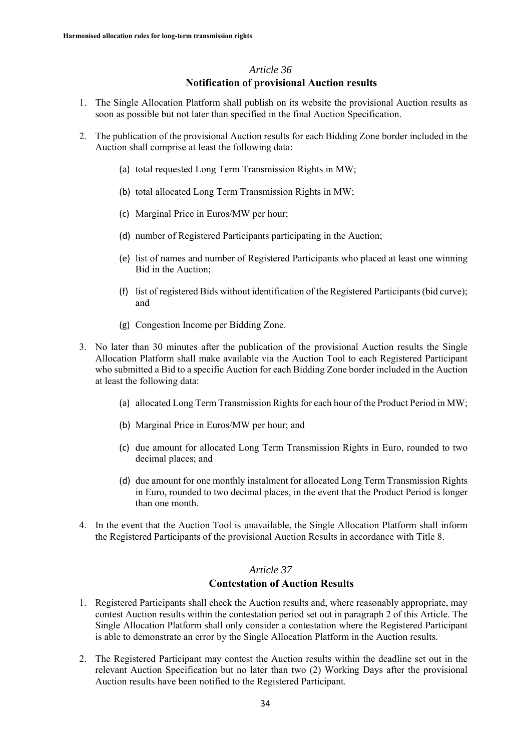#### *Article 36* **Notification of provisional Auction results**

- 1. The Single Allocation Platform shall publish on its website the provisional Auction results as soon as possible but not later than specified in the final Auction Specification.
- 2. The publication of the provisional Auction results for each Bidding Zone border included in the Auction shall comprise at least the following data:
	- (a) total requested Long Term Transmission Rights in MW;
	- (b) total allocated Long Term Transmission Rights in MW;
	- (c) Marginal Price in Euros/MW per hour;
	- (d) number of Registered Participants participating in the Auction;
	- (e) list of names and number of Registered Participants who placed at least one winning Bid in the Auction;
	- (f) list of registered Bids without identification of the Registered Participants (bid curve); and
	- (g) Congestion Income per Bidding Zone.
- 3. No later than 30 minutes after the publication of the provisional Auction results the Single Allocation Platform shall make available via the Auction Tool to each Registered Participant who submitted a Bid to a specific Auction for each Bidding Zone border included in the Auction at least the following data:
	- (a) allocated Long Term Transmission Rights for each hour of the Product Period in MW;
	- (b) Marginal Price in Euros/MW per hour; and
	- (c) due amount for allocated Long Term Transmission Rights in Euro, rounded to two decimal places; and
	- (d) due amount for one monthly instalment for allocated Long Term Transmission Rights in Euro, rounded to two decimal places, in the event that the Product Period is longer than one month.
- 4. In the event that the Auction Tool is unavailable, the Single Allocation Platform shall inform the Registered Participants of the provisional Auction Results in accordance with Title 8.

#### *Article 37* **Contestation of Auction Results**

- 1. Registered Participants shall check the Auction results and, where reasonably appropriate, may contest Auction results within the contestation period set out in paragraph 2 of this Article. The Single Allocation Platform shall only consider a contestation where the Registered Participant is able to demonstrate an error by the Single Allocation Platform in the Auction results.
- 2. The Registered Participant may contest the Auction results within the deadline set out in the relevant Auction Specification but no later than two (2) Working Days after the provisional Auction results have been notified to the Registered Participant.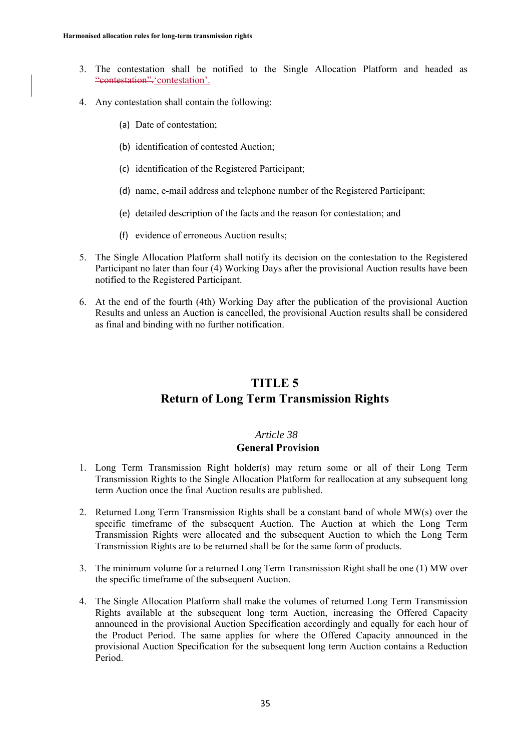- 3. The contestation shall be notified to the Single Allocation Platform and headed as "contestation". 'contestation'.
- 4. Any contestation shall contain the following:
	- (a) Date of contestation;
	- (b) identification of contested Auction;
	- (c) identification of the Registered Participant;
	- (d) name, e-mail address and telephone number of the Registered Participant;
	- (e) detailed description of the facts and the reason for contestation; and
	- (f) evidence of erroneous Auction results;
- 5. The Single Allocation Platform shall notify its decision on the contestation to the Registered Participant no later than four (4) Working Days after the provisional Auction results have been notified to the Registered Participant.
- 6. At the end of the fourth (4th) Working Day after the publication of the provisional Auction Results and unless an Auction is cancelled, the provisional Auction results shall be considered as final and binding with no further notification.

# **TITLE 5**

# **Return of Long Term Transmission Rights**

#### *Article 38*

#### **General Provision**

- 1. Long Term Transmission Right holder(s) may return some or all of their Long Term Transmission Rights to the Single Allocation Platform for reallocation at any subsequent long term Auction once the final Auction results are published.
- 2. Returned Long Term Transmission Rights shall be a constant band of whole MW(s) over the specific timeframe of the subsequent Auction. The Auction at which the Long Term Transmission Rights were allocated and the subsequent Auction to which the Long Term Transmission Rights are to be returned shall be for the same form of products.
- 3. The minimum volume for a returned Long Term Transmission Right shall be one (1) MW over the specific timeframe of the subsequent Auction.
- 4. The Single Allocation Platform shall make the volumes of returned Long Term Transmission Rights available at the subsequent long term Auction, increasing the Offered Capacity announced in the provisional Auction Specification accordingly and equally for each hour of the Product Period. The same applies for where the Offered Capacity announced in the provisional Auction Specification for the subsequent long term Auction contains a Reduction Period.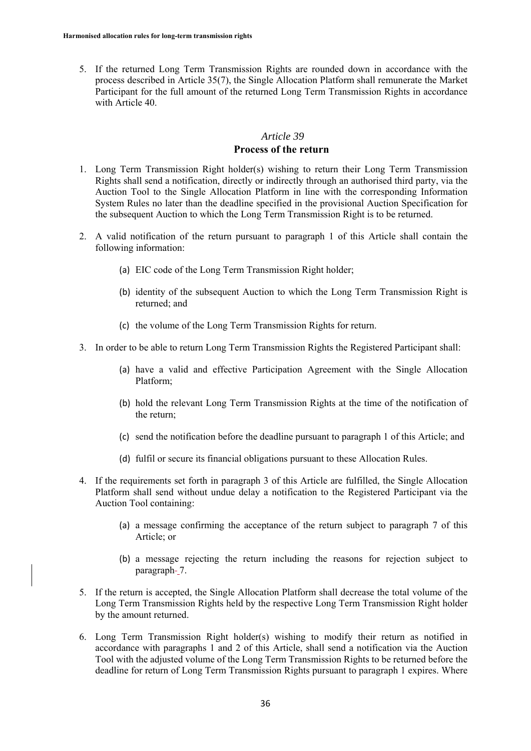5. If the returned Long Term Transmission Rights are rounded down in accordance with the process described in Article 35(7), the Single Allocation Platform shall remunerate the Market Participant for the full amount of the returned Long Term Transmission Rights in accordance with Article 40.

#### *Article 39* **Process of the return**

- 1. Long Term Transmission Right holder(s) wishing to return their Long Term Transmission Rights shall send a notification, directly or indirectly through an authorised third party, via the Auction Tool to the Single Allocation Platform in line with the corresponding Information System Rules no later than the deadline specified in the provisional Auction Specification for the subsequent Auction to which the Long Term Transmission Right is to be returned.
- 2. A valid notification of the return pursuant to paragraph 1 of this Article shall contain the following information:
	- (a) EIC code of the Long Term Transmission Right holder;
	- (b) identity of the subsequent Auction to which the Long Term Transmission Right is returned; and
	- (c) the volume of the Long Term Transmission Rights for return.
- 3. In order to be able to return Long Term Transmission Rights the Registered Participant shall:
	- (a) have a valid and effective Participation Agreement with the Single Allocation Platform;
	- (b) hold the relevant Long Term Transmission Rights at the time of the notification of the return;
	- (c) send the notification before the deadline pursuant to paragraph 1 of this Article; and
	- (d) fulfil or secure its financial obligations pursuant to these Allocation Rules.
- 4. If the requirements set forth in paragraph 3 of this Article are fulfilled, the Single Allocation Platform shall send without undue delay a notification to the Registered Participant via the Auction Tool containing:
	- (a) a message confirming the acceptance of the return subject to paragraph 7 of this Article; or
	- (b) a message rejecting the return including the reasons for rejection subject to paragraph-7.
- 5. If the return is accepted, the Single Allocation Platform shall decrease the total volume of the Long Term Transmission Rights held by the respective Long Term Transmission Right holder by the amount returned.
- 6. Long Term Transmission Right holder(s) wishing to modify their return as notified in accordance with paragraphs 1 and 2 of this Article, shall send a notification via the Auction Tool with the adjusted volume of the Long Term Transmission Rights to be returned before the deadline for return of Long Term Transmission Rights pursuant to paragraph 1 expires. Where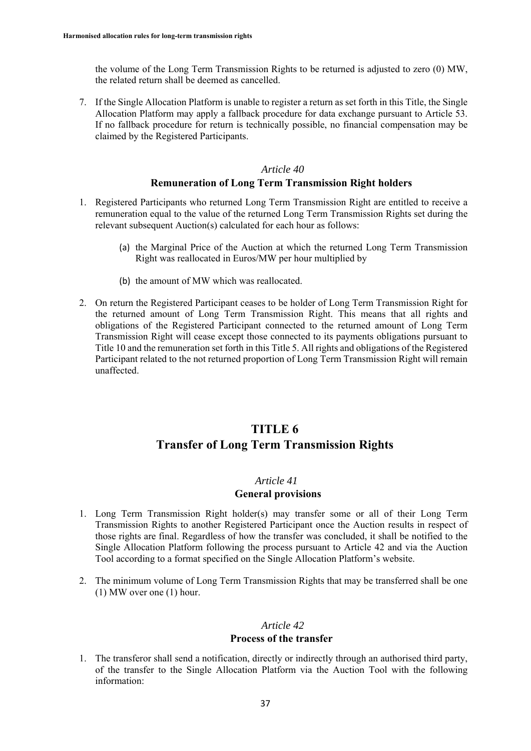the volume of the Long Term Transmission Rights to be returned is adjusted to zero (0) MW, the related return shall be deemed as cancelled.

7. If the Single Allocation Platform is unable to register a return as set forth in this Title, the Single Allocation Platform may apply a fallback procedure for data exchange pursuant to Article 53. If no fallback procedure for return is technically possible, no financial compensation may be claimed by the Registered Participants.

#### *Article 40*

#### **Remuneration of Long Term Transmission Right holders**

- 1. Registered Participants who returned Long Term Transmission Right are entitled to receive a remuneration equal to the value of the returned Long Term Transmission Rights set during the relevant subsequent Auction(s) calculated for each hour as follows:
	- (a) the Marginal Price of the Auction at which the returned Long Term Transmission Right was reallocated in Euros/MW per hour multiplied by
	- (b) the amount of MW which was reallocated.
- 2. On return the Registered Participant ceases to be holder of Long Term Transmission Right for the returned amount of Long Term Transmission Right. This means that all rights and obligations of the Registered Participant connected to the returned amount of Long Term Transmission Right will cease except those connected to its payments obligations pursuant to Title 10 and the remuneration set forth in this Title 5. All rights and obligations of the Registered Participant related to the not returned proportion of Long Term Transmission Right will remain unaffected.

# **TITLE 6 Transfer of Long Term Transmission Rights**

#### *Article 41*

#### **General provisions**

- 1. Long Term Transmission Right holder(s) may transfer some or all of their Long Term Transmission Rights to another Registered Participant once the Auction results in respect of those rights are final. Regardless of how the transfer was concluded, it shall be notified to the Single Allocation Platform following the process pursuant to Article 42 and via the Auction Tool according to a format specified on the Single Allocation Platform's website.
- 2. The minimum volume of Long Term Transmission Rights that may be transferred shall be one (1) MW over one (1) hour.

#### *Article 42*

#### **Process of the transfer**

1. The transferor shall send a notification, directly or indirectly through an authorised third party, of the transfer to the Single Allocation Platform via the Auction Tool with the following information: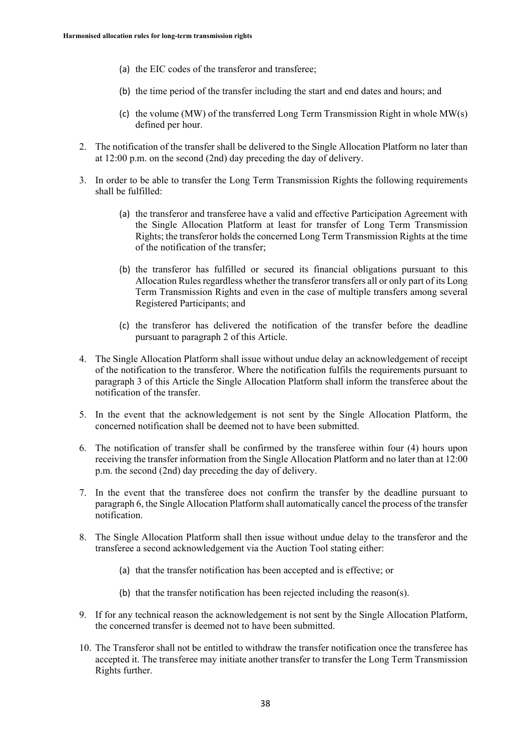- (a) the EIC codes of the transferor and transferee;
- (b) the time period of the transfer including the start and end dates and hours; and
- (c) the volume (MW) of the transferred Long Term Transmission Right in whole MW(s) defined per hour.
- 2. The notification of the transfer shall be delivered to the Single Allocation Platform no later than at 12:00 p.m. on the second (2nd) day preceding the day of delivery.
- 3. In order to be able to transfer the Long Term Transmission Rights the following requirements shall be fulfilled:
	- (a) the transferor and transferee have a valid and effective Participation Agreement with the Single Allocation Platform at least for transfer of Long Term Transmission Rights; the transferor holds the concerned Long Term Transmission Rights at the time of the notification of the transfer;
	- (b) the transferor has fulfilled or secured its financial obligations pursuant to this Allocation Rules regardless whether the transferor transfers all or only part of its Long Term Transmission Rights and even in the case of multiple transfers among several Registered Participants; and
	- (c) the transferor has delivered the notification of the transfer before the deadline pursuant to paragraph 2 of this Article.
- 4. The Single Allocation Platform shall issue without undue delay an acknowledgement of receipt of the notification to the transferor. Where the notification fulfils the requirements pursuant to paragraph 3 of this Article the Single Allocation Platform shall inform the transferee about the notification of the transfer.
- 5. In the event that the acknowledgement is not sent by the Single Allocation Platform, the concerned notification shall be deemed not to have been submitted.
- 6. The notification of transfer shall be confirmed by the transferee within four (4) hours upon receiving the transfer information from the Single Allocation Platform and no later than at 12:00 p.m. the second (2nd) day preceding the day of delivery.
- 7. In the event that the transferee does not confirm the transfer by the deadline pursuant to paragraph 6, the Single Allocation Platform shall automatically cancel the process of the transfer notification.
- 8. The Single Allocation Platform shall then issue without undue delay to the transferor and the transferee a second acknowledgement via the Auction Tool stating either:
	- (a) that the transfer notification has been accepted and is effective; or
	- (b) that the transfer notification has been rejected including the reason(s).
- 9. If for any technical reason the acknowledgement is not sent by the Single Allocation Platform, the concerned transfer is deemed not to have been submitted.
- 10. The Transferor shall not be entitled to withdraw the transfer notification once the transferee has accepted it. The transferee may initiate another transfer to transfer the Long Term Transmission Rights further.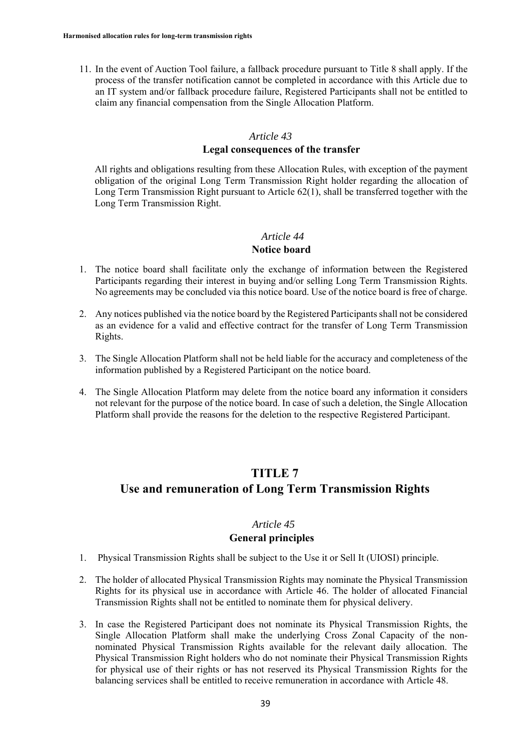11. In the event of Auction Tool failure, a fallback procedure pursuant to Title 8 shall apply. If the process of the transfer notification cannot be completed in accordance with this Article due to an IT system and/or fallback procedure failure, Registered Participants shall not be entitled to claim any financial compensation from the Single Allocation Platform.

#### *Article 43*

#### **Legal consequences of the transfer**

All rights and obligations resulting from these Allocation Rules, with exception of the payment obligation of the original Long Term Transmission Right holder regarding the allocation of Long Term Transmission Right pursuant to Article 62(1), shall be transferred together with the Long Term Transmission Right.

#### *Article 44*

#### **Notice board**

- 1. The notice board shall facilitate only the exchange of information between the Registered Participants regarding their interest in buying and/or selling Long Term Transmission Rights. No agreements may be concluded via this notice board. Use of the notice board is free of charge.
- 2. Any notices published via the notice board by the Registered Participants shall not be considered as an evidence for a valid and effective contract for the transfer of Long Term Transmission Rights.
- 3. The Single Allocation Platform shall not be held liable for the accuracy and completeness of the information published by a Registered Participant on the notice board.
- 4. The Single Allocation Platform may delete from the notice board any information it considers not relevant for the purpose of the notice board. In case of such a deletion, the Single Allocation Platform shall provide the reasons for the deletion to the respective Registered Participant.

# **TITLE 7 Use and remuneration of Long Term Transmission Rights**

#### *Article 45*

#### **General principles**

- 1. Physical Transmission Rights shall be subject to the Use it or Sell It (UIOSI) principle.
- 2. The holder of allocated Physical Transmission Rights may nominate the Physical Transmission Rights for its physical use in accordance with Article 46. The holder of allocated Financial Transmission Rights shall not be entitled to nominate them for physical delivery.
- 3. In case the Registered Participant does not nominate its Physical Transmission Rights, the Single Allocation Platform shall make the underlying Cross Zonal Capacity of the nonnominated Physical Transmission Rights available for the relevant daily allocation. The Physical Transmission Right holders who do not nominate their Physical Transmission Rights for physical use of their rights or has not reserved its Physical Transmission Rights for the balancing services shall be entitled to receive remuneration in accordance with Article 48.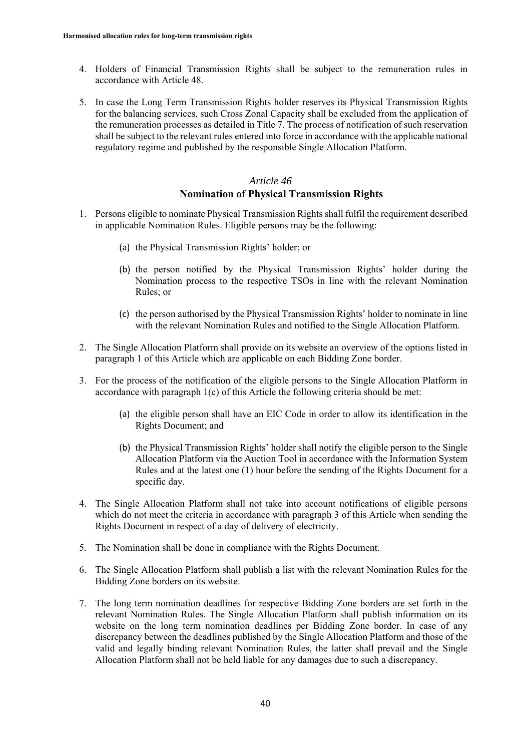- 4. Holders of Financial Transmission Rights shall be subject to the remuneration rules in accordance with Article 48.
- 5. In case the Long Term Transmission Rights holder reserves its Physical Transmission Rights for the balancing services, such Cross Zonal Capacity shall be excluded from the application of the remuneration processes as detailed in Title 7. The process of notification of such reservation shall be subject to the relevant rules entered into force in accordance with the applicable national regulatory regime and published by the responsible Single Allocation Platform.

#### *Article 46* **Nomination of Physical Transmission Rights**

- 1. Persons eligible to nominate Physical Transmission Rights shall fulfil the requirement described in applicable Nomination Rules. Eligible persons may be the following:
	- (a) the Physical Transmission Rights' holder; or
	- (b) the person notified by the Physical Transmission Rights' holder during the Nomination process to the respective TSOs in line with the relevant Nomination Rules; or
	- (c) the person authorised by the Physical Transmission Rights' holder to nominate in line with the relevant Nomination Rules and notified to the Single Allocation Platform.
- 2. The Single Allocation Platform shall provide on its website an overview of the options listed in paragraph 1 of this Article which are applicable on each Bidding Zone border.
- 3. For the process of the notification of the eligible persons to the Single Allocation Platform in accordance with paragraph 1(c) of this Article the following criteria should be met:
	- (a) the eligible person shall have an EIC Code in order to allow its identification in the Rights Document; and
	- (b) the Physical Transmission Rights' holder shall notify the eligible person to the Single Allocation Platform via the Auction Tool in accordance with the Information System Rules and at the latest one (1) hour before the sending of the Rights Document for a specific day.
- 4. The Single Allocation Platform shall not take into account notifications of eligible persons which do not meet the criteria in accordance with paragraph 3 of this Article when sending the Rights Document in respect of a day of delivery of electricity.
- 5. The Nomination shall be done in compliance with the Rights Document.
- 6. The Single Allocation Platform shall publish a list with the relevant Nomination Rules for the Bidding Zone borders on its website.
- 7. The long term nomination deadlines for respective Bidding Zone borders are set forth in the relevant Nomination Rules. The Single Allocation Platform shall publish information on its website on the long term nomination deadlines per Bidding Zone border. In case of any discrepancy between the deadlines published by the Single Allocation Platform and those of the valid and legally binding relevant Nomination Rules, the latter shall prevail and the Single Allocation Platform shall not be held liable for any damages due to such a discrepancy.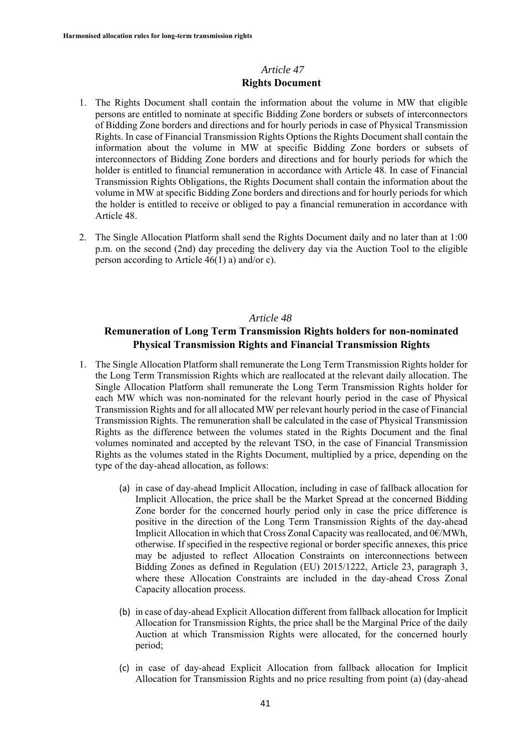#### *Article 47* **Rights Document**

- 1. The Rights Document shall contain the information about the volume in MW that eligible persons are entitled to nominate at specific Bidding Zone borders or subsets of interconnectors of Bidding Zone borders and directions and for hourly periods in case of Physical Transmission Rights. In case of Financial Transmission Rights Options the Rights Document shall contain the information about the volume in MW at specific Bidding Zone borders or subsets of interconnectors of Bidding Zone borders and directions and for hourly periods for which the holder is entitled to financial remuneration in accordance with Article 48. In case of Financial Transmission Rights Obligations, the Rights Document shall contain the information about the volume in MW at specific Bidding Zone borders and directions and for hourly periods for which the holder is entitled to receive or obliged to pay a financial remuneration in accordance with Article 48.
- 2. The Single Allocation Platform shall send the Rights Document daily and no later than at 1:00 p.m. on the second (2nd) day preceding the delivery day via the Auction Tool to the eligible person according to Article 46(1) a) and/or c).

#### *Article 48*

#### **Remuneration of Long Term Transmission Rights holders for non-nominated Physical Transmission Rights and Financial Transmission Rights**

- 1. The Single Allocation Platform shall remunerate the Long Term Transmission Rights holder for the Long Term Transmission Rights which are reallocated at the relevant daily allocation. The Single Allocation Platform shall remunerate the Long Term Transmission Rights holder for each MW which was non-nominated for the relevant hourly period in the case of Physical Transmission Rights and for all allocated MW per relevant hourly period in the case of Financial Transmission Rights. The remuneration shall be calculated in the case of Physical Transmission Rights as the difference between the volumes stated in the Rights Document and the final volumes nominated and accepted by the relevant TSO, in the case of Financial Transmission Rights as the volumes stated in the Rights Document, multiplied by a price, depending on the type of the day-ahead allocation, as follows:
	- (a) in case of day-ahead Implicit Allocation, including in case of fallback allocation for Implicit Allocation, the price shall be the Market Spread at the concerned Bidding Zone border for the concerned hourly period only in case the price difference is positive in the direction of the Long Term Transmission Rights of the day-ahead Implicit Allocation in which that Cross Zonal Capacity was reallocated, and 0€/MWh, otherwise. If specified in the respective regional or border specific annexes, this price may be adjusted to reflect Allocation Constraints on interconnections between Bidding Zones as defined in Regulation (EU) 2015/1222, Article 23, paragraph 3, where these Allocation Constraints are included in the day-ahead Cross Zonal Capacity allocation process.
	- (b) in case of day-ahead Explicit Allocation different from fallback allocation for Implicit Allocation for Transmission Rights, the price shall be the Marginal Price of the daily Auction at which Transmission Rights were allocated, for the concerned hourly period;
	- (c) in case of day-ahead Explicit Allocation from fallback allocation for Implicit Allocation for Transmission Rights and no price resulting from point (a) (day-ahead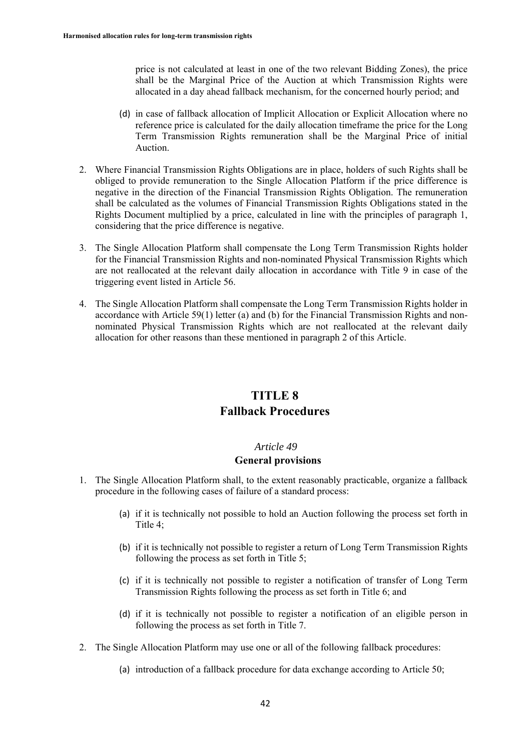price is not calculated at least in one of the two relevant Bidding Zones), the price shall be the Marginal Price of the Auction at which Transmission Rights were allocated in a day ahead fallback mechanism, for the concerned hourly period; and

- (d) in case of fallback allocation of Implicit Allocation or Explicit Allocation where no reference price is calculated for the daily allocation timeframe the price for the Long Term Transmission Rights remuneration shall be the Marginal Price of initial Auction.
- 2. Where Financial Transmission Rights Obligations are in place, holders of such Rights shall be obliged to provide remuneration to the Single Allocation Platform if the price difference is negative in the direction of the Financial Transmission Rights Obligation. The remuneration shall be calculated as the volumes of Financial Transmission Rights Obligations stated in the Rights Document multiplied by a price, calculated in line with the principles of paragraph 1, considering that the price difference is negative.
- 3. The Single Allocation Platform shall compensate the Long Term Transmission Rights holder for the Financial Transmission Rights and non-nominated Physical Transmission Rights which are not reallocated at the relevant daily allocation in accordance with Title 9 in case of the triggering event listed in Article 56.
- 4. The Single Allocation Platform shall compensate the Long Term Transmission Rights holder in accordance with Article 59(1) letter (a) and (b) for the Financial Transmission Rights and nonnominated Physical Transmission Rights which are not reallocated at the relevant daily allocation for other reasons than these mentioned in paragraph 2 of this Article.

# **TITLE 8 Fallback Procedures**

#### *Article 49*

#### **General provisions**

- 1. The Single Allocation Platform shall, to the extent reasonably practicable, organize a fallback procedure in the following cases of failure of a standard process:
	- (a) if it is technically not possible to hold an Auction following the process set forth in Title 4;
	- (b) if it is technically not possible to register a return of Long Term Transmission Rights following the process as set forth in Title 5;
	- (c) if it is technically not possible to register a notification of transfer of Long Term Transmission Rights following the process as set forth in Title 6; and
	- (d) if it is technically not possible to register a notification of an eligible person in following the process as set forth in Title 7.
- 2. The Single Allocation Platform may use one or all of the following fallback procedures:
	- (a) introduction of a fallback procedure for data exchange according to Article 50;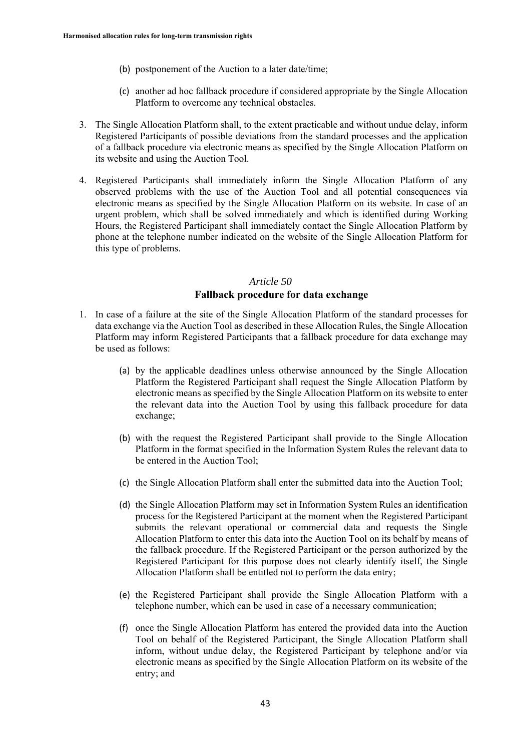- (b) postponement of the Auction to a later date/time;
- (c) another ad hoc fallback procedure if considered appropriate by the Single Allocation Platform to overcome any technical obstacles.
- 3. The Single Allocation Platform shall, to the extent practicable and without undue delay, inform Registered Participants of possible deviations from the standard processes and the application of a fallback procedure via electronic means as specified by the Single Allocation Platform on its website and using the Auction Tool.
- 4. Registered Participants shall immediately inform the Single Allocation Platform of any observed problems with the use of the Auction Tool and all potential consequences via electronic means as specified by the Single Allocation Platform on its website. In case of an urgent problem, which shall be solved immediately and which is identified during Working Hours, the Registered Participant shall immediately contact the Single Allocation Platform by phone at the telephone number indicated on the website of the Single Allocation Platform for this type of problems.

#### **Fallback procedure for data exchange**

- 1. In case of a failure at the site of the Single Allocation Platform of the standard processes for data exchange via the Auction Tool as described in these Allocation Rules, the Single Allocation Platform may inform Registered Participants that a fallback procedure for data exchange may be used as follows:
	- (a) by the applicable deadlines unless otherwise announced by the Single Allocation Platform the Registered Participant shall request the Single Allocation Platform by electronic means as specified by the Single Allocation Platform on its website to enter the relevant data into the Auction Tool by using this fallback procedure for data exchange;
	- (b) with the request the Registered Participant shall provide to the Single Allocation Platform in the format specified in the Information System Rules the relevant data to be entered in the Auction Tool;
	- (c) the Single Allocation Platform shall enter the submitted data into the Auction Tool;
	- (d) the Single Allocation Platform may set in Information System Rules an identification process for the Registered Participant at the moment when the Registered Participant submits the relevant operational or commercial data and requests the Single Allocation Platform to enter this data into the Auction Tool on its behalf by means of the fallback procedure. If the Registered Participant or the person authorized by the Registered Participant for this purpose does not clearly identify itself, the Single Allocation Platform shall be entitled not to perform the data entry;
	- (e) the Registered Participant shall provide the Single Allocation Platform with a telephone number, which can be used in case of a necessary communication;
	- (f) once the Single Allocation Platform has entered the provided data into the Auction Tool on behalf of the Registered Participant, the Single Allocation Platform shall inform, without undue delay, the Registered Participant by telephone and/or via electronic means as specified by the Single Allocation Platform on its website of the entry; and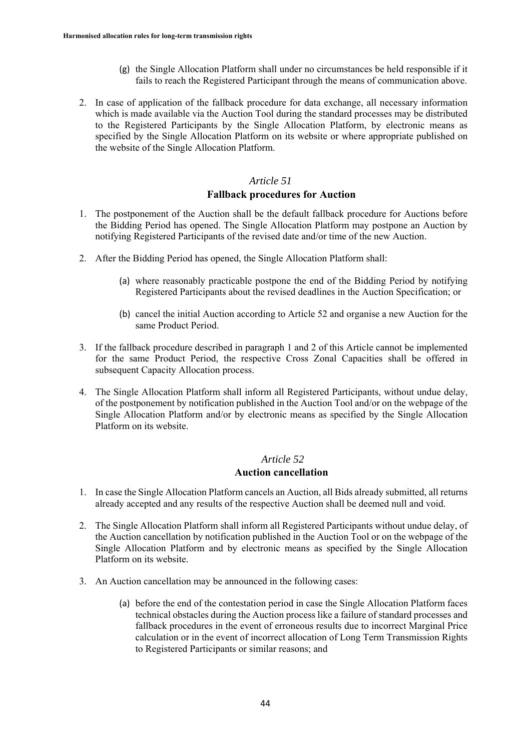- (g) the Single Allocation Platform shall under no circumstances be held responsible if it fails to reach the Registered Participant through the means of communication above.
- 2. In case of application of the fallback procedure for data exchange, all necessary information which is made available via the Auction Tool during the standard processes may be distributed to the Registered Participants by the Single Allocation Platform, by electronic means as specified by the Single Allocation Platform on its website or where appropriate published on the website of the Single Allocation Platform.

#### *Article 51* **Fallback procedures for Auction**

- 1. The postponement of the Auction shall be the default fallback procedure for Auctions before the Bidding Period has opened. The Single Allocation Platform may postpone an Auction by notifying Registered Participants of the revised date and/or time of the new Auction.
- 2. After the Bidding Period has opened, the Single Allocation Platform shall:
	- (a) where reasonably practicable postpone the end of the Bidding Period by notifying Registered Participants about the revised deadlines in the Auction Specification; or
	- (b) cancel the initial Auction according to Article 52 and organise a new Auction for the same Product Period.
- 3. If the fallback procedure described in paragraph 1 and 2 of this Article cannot be implemented for the same Product Period, the respective Cross Zonal Capacities shall be offered in subsequent Capacity Allocation process.
- 4. The Single Allocation Platform shall inform all Registered Participants, without undue delay, of the postponement by notification published in the Auction Tool and/or on the webpage of the Single Allocation Platform and/or by electronic means as specified by the Single Allocation Platform on its website.

#### *Article 52*

#### **Auction cancellation**

- 1. In case the Single Allocation Platform cancels an Auction, all Bids already submitted, all returns already accepted and any results of the respective Auction shall be deemed null and void.
- 2. The Single Allocation Platform shall inform all Registered Participants without undue delay, of the Auction cancellation by notification published in the Auction Tool or on the webpage of the Single Allocation Platform and by electronic means as specified by the Single Allocation Platform on its website.
- 3. An Auction cancellation may be announced in the following cases:
	- (a) before the end of the contestation period in case the Single Allocation Platform faces technical obstacles during the Auction process like a failure of standard processes and fallback procedures in the event of erroneous results due to incorrect Marginal Price calculation or in the event of incorrect allocation of Long Term Transmission Rights to Registered Participants or similar reasons; and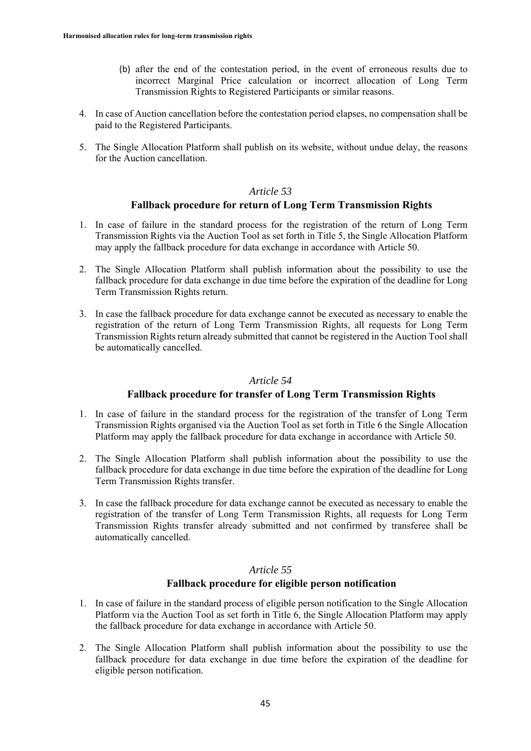- (b) after the end of the contestation period, in the event of erroneous results due to incorrect Marginal Price calculation or incorrect allocation of Long Term Transmission Rights to Registered Participants or similar reasons.
- 4. In case of Auction cancellation before the contestation period elapses, no compensation shall be paid to the Registered Participants.
- 5. The Single Allocation Platform shall publish on its website, without undue delay, the reasons for the Auction cancellation.

#### **Fallback procedure for return of Long Term Transmission Rights**

- 1. In case of failure in the standard process for the registration of the return of Long Term Transmission Rights via the Auction Tool as set forth in Title 5, the Single Allocation Platform may apply the fallback procedure for data exchange in accordance with Article 50.
- 2. The Single Allocation Platform shall publish information about the possibility to use the fallback procedure for data exchange in due time before the expiration of the deadline for Long Term Transmission Rights return.
- 3. In case the fallback procedure for data exchange cannot be executed as necessary to enable the registration of the return of Long Term Transmission Rights, all requests for Long Term Transmission Rights return already submitted that cannot be registered in the Auction Tool shall be automatically cancelled.

#### *Article 54*

#### **Fallback procedure for transfer of Long Term Transmission Rights**

- 1. In case of failure in the standard process for the registration of the transfer of Long Term Transmission Rights organised via the Auction Tool as set forth in Title 6 the Single Allocation Platform may apply the fallback procedure for data exchange in accordance with Article 50.
- 2. The Single Allocation Platform shall publish information about the possibility to use the fallback procedure for data exchange in due time before the expiration of the deadline for Long Term Transmission Rights transfer.
- 3. In case the fallback procedure for data exchange cannot be executed as necessary to enable the registration of the transfer of Long Term Transmission Rights, all requests for Long Term Transmission Rights transfer already submitted and not confirmed by transferee shall be automatically cancelled.

#### *Article 55*

#### **Fallback procedure for eligible person notification**

- 1. In case of failure in the standard process of eligible person notification to the Single Allocation Platform via the Auction Tool as set forth in Title 6, the Single Allocation Platform may apply the fallback procedure for data exchange in accordance with Article 50.
- 2. The Single Allocation Platform shall publish information about the possibility to use the fallback procedure for data exchange in due time before the expiration of the deadline for eligible person notification.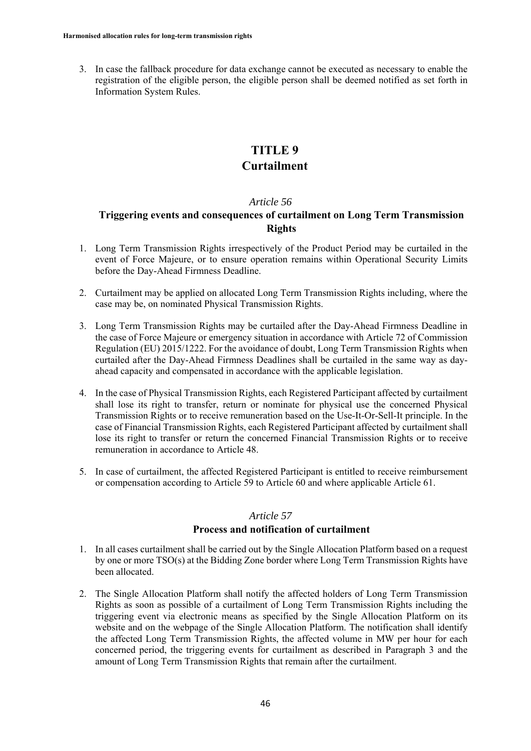3. In case the fallback procedure for data exchange cannot be executed as necessary to enable the registration of the eligible person, the eligible person shall be deemed notified as set forth in Information System Rules.

# **TITLE 9 Curtailment**

#### *Article 56*

#### **Triggering events and consequences of curtailment on Long Term Transmission Rights**

- 1. Long Term Transmission Rights irrespectively of the Product Period may be curtailed in the event of Force Majeure, or to ensure operation remains within Operational Security Limits before the Day-Ahead Firmness Deadline.
- 2. Curtailment may be applied on allocated Long Term Transmission Rights including, where the case may be, on nominated Physical Transmission Rights.
- 3. Long Term Transmission Rights may be curtailed after the Day-Ahead Firmness Deadline in the case of Force Majeure or emergency situation in accordance with Article 72 of Commission Regulation (EU) 2015/1222. For the avoidance of doubt, Long Term Transmission Rights when curtailed after the Day-Ahead Firmness Deadlines shall be curtailed in the same way as dayahead capacity and compensated in accordance with the applicable legislation.
- 4. In the case of Physical Transmission Rights, each Registered Participant affected by curtailment shall lose its right to transfer, return or nominate for physical use the concerned Physical Transmission Rights or to receive remuneration based on the Use-It-Or-Sell-It principle. In the case of Financial Transmission Rights, each Registered Participant affected by curtailment shall lose its right to transfer or return the concerned Financial Transmission Rights or to receive remuneration in accordance to Article 48.
- 5. In case of curtailment, the affected Registered Participant is entitled to receive reimbursement or compensation according to Article 59 to Article 60 and where applicable Article 61.

#### *Article 57*

#### **Process and notification of curtailment**

- 1. In all cases curtailment shall be carried out by the Single Allocation Platform based on a request by one or more TSO(s) at the Bidding Zone border where Long Term Transmission Rights have been allocated.
- 2. The Single Allocation Platform shall notify the affected holders of Long Term Transmission Rights as soon as possible of a curtailment of Long Term Transmission Rights including the triggering event via electronic means as specified by the Single Allocation Platform on its website and on the webpage of the Single Allocation Platform. The notification shall identify the affected Long Term Transmission Rights, the affected volume in MW per hour for each concerned period, the triggering events for curtailment as described in Paragraph 3 and the amount of Long Term Transmission Rights that remain after the curtailment.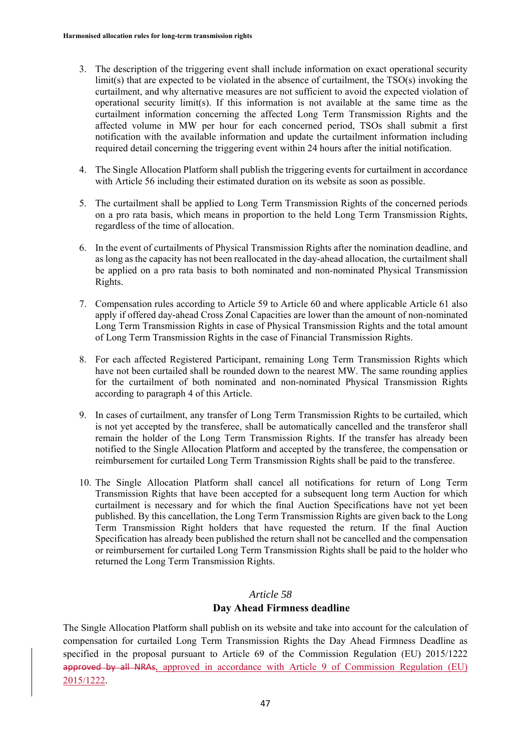- 3. The description of the triggering event shall include information on exact operational security  $limit(s)$  that are expected to be violated in the absence of curtailment, the  $TSO(s)$  invoking the curtailment, and why alternative measures are not sufficient to avoid the expected violation of operational security limit(s). If this information is not available at the same time as the curtailment information concerning the affected Long Term Transmission Rights and the affected volume in MW per hour for each concerned period, TSOs shall submit a first notification with the available information and update the curtailment information including required detail concerning the triggering event within 24 hours after the initial notification.
- 4. The Single Allocation Platform shall publish the triggering events for curtailment in accordance with Article 56 including their estimated duration on its website as soon as possible.
- 5. The curtailment shall be applied to Long Term Transmission Rights of the concerned periods on a pro rata basis, which means in proportion to the held Long Term Transmission Rights, regardless of the time of allocation.
- 6. In the event of curtailments of Physical Transmission Rights after the nomination deadline, and as long as the capacity has not been reallocated in the day-ahead allocation, the curtailment shall be applied on a pro rata basis to both nominated and non-nominated Physical Transmission Rights.
- 7. Compensation rules according to Article 59 to Article 60 and where applicable Article 61 also apply if offered day-ahead Cross Zonal Capacities are lower than the amount of non-nominated Long Term Transmission Rights in case of Physical Transmission Rights and the total amount of Long Term Transmission Rights in the case of Financial Transmission Rights.
- 8. For each affected Registered Participant, remaining Long Term Transmission Rights which have not been curtailed shall be rounded down to the nearest MW. The same rounding applies for the curtailment of both nominated and non-nominated Physical Transmission Rights according to paragraph 4 of this Article.
- 9. In cases of curtailment, any transfer of Long Term Transmission Rights to be curtailed, which is not yet accepted by the transferee, shall be automatically cancelled and the transferor shall remain the holder of the Long Term Transmission Rights. If the transfer has already been notified to the Single Allocation Platform and accepted by the transferee, the compensation or reimbursement for curtailed Long Term Transmission Rights shall be paid to the transferee.
- 10. The Single Allocation Platform shall cancel all notifications for return of Long Term Transmission Rights that have been accepted for a subsequent long term Auction for which curtailment is necessary and for which the final Auction Specifications have not yet been published. By this cancellation, the Long Term Transmission Rights are given back to the Long Term Transmission Right holders that have requested the return. If the final Auction Specification has already been published the return shall not be cancelled and the compensation or reimbursement for curtailed Long Term Transmission Rights shall be paid to the holder who returned the Long Term Transmission Rights.

# *Article 58* **Day Ahead Firmness deadline**

The Single Allocation Platform shall publish on its website and take into account for the calculation of compensation for curtailed Long Term Transmission Rights the Day Ahead Firmness Deadline as specified in the proposal pursuant to Article 69 of the Commission Regulation (EU) 2015/1222 approved by all NRAs, approved in accordance with Article 9 of Commission Regulation (EU) 2015/1222.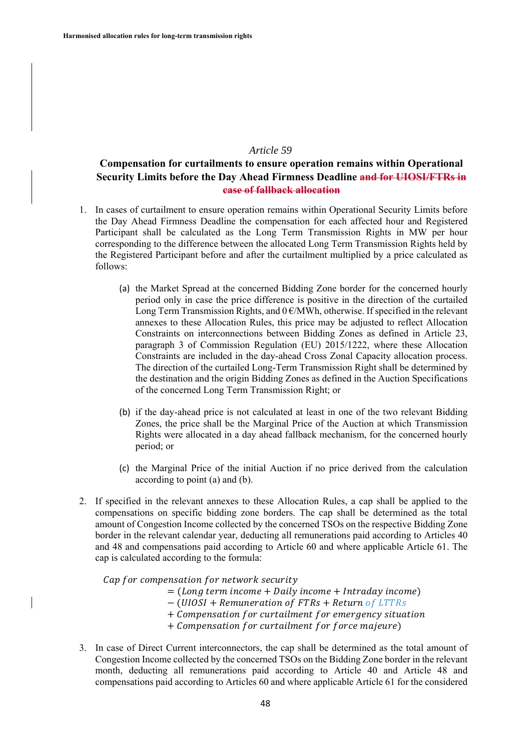#### **Compensation for curtailments to ensure operation remains within Operational Security Limits before the Day Ahead Firmness Deadline and for UIOSI/FTRs in case of fallback allocation**

- 1. In cases of curtailment to ensure operation remains within Operational Security Limits before the Day Ahead Firmness Deadline the compensation for each affected hour and Registered Participant shall be calculated as the Long Term Transmission Rights in MW per hour corresponding to the difference between the allocated Long Term Transmission Rights held by the Registered Participant before and after the curtailment multiplied by a price calculated as follows:
	- (a) the Market Spread at the concerned Bidding Zone border for the concerned hourly period only in case the price difference is positive in the direction of the curtailed Long Term Transmission Rights, and  $0 \in MWh$ , otherwise. If specified in the relevant annexes to these Allocation Rules, this price may be adjusted to reflect Allocation Constraints on interconnections between Bidding Zones as defined in Article 23, paragraph 3 of Commission Regulation (EU) 2015/1222, where these Allocation Constraints are included in the day-ahead Cross Zonal Capacity allocation process. The direction of the curtailed Long-Term Transmission Right shall be determined by the destination and the origin Bidding Zones as defined in the Auction Specifications of the concerned Long Term Transmission Right; or
	- (b) if the day-ahead price is not calculated at least in one of the two relevant Bidding Zones, the price shall be the Marginal Price of the Auction at which Transmission Rights were allocated in a day ahead fallback mechanism, for the concerned hourly period; or
	- (c) the Marginal Price of the initial Auction if no price derived from the calculation according to point (a) and (b).
- 2. If specified in the relevant annexes to these Allocation Rules, a cap shall be applied to the compensations on specific bidding zone borders. The cap shall be determined as the total amount of Congestion Income collected by the concerned TSOs on the respective Bidding Zone border in the relevant calendar year, deducting all remunerations paid according to Articles 40 and 48 and compensations paid according to Article 60 and where applicable Article 61. The cap is calculated according to the formula:

Cap for compensation for network security

- $=$  (Long term income  $+$  Daily income  $+$  Intraday income)
- (UIOSI + Remuneration of FTRs + Return of LTTRs
- + Compensation for curtailment for emergency situation
- + Compensation for curtailment for force majeure)
- 3. In case of Direct Current interconnectors, the cap shall be determined as the total amount of Congestion Income collected by the concerned TSOs on the Bidding Zone border in the relevant month, deducting all remunerations paid according to Article 40 and Article 48 and compensations paid according to Articles 60 and where applicable Article 61 for the considered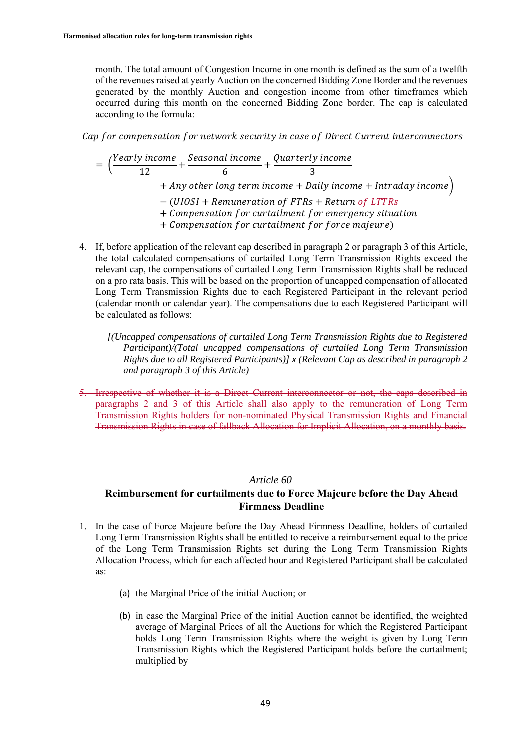month. The total amount of Congestion Income in one month is defined as the sum of a twelfth of the revenues raised at yearly Auction on the concerned Bidding Zone Border and the revenues generated by the monthly Auction and congestion income from other timeframes which occurred during this month on the concerned Bidding Zone border. The cap is calculated according to the formula:

Cap for compensation for network security in case of Direct Current interconnectors

 $= ($ Yearly income  $\frac{12}{12}$  $\frac{Seasonal\ income}{6} + \frac{Quarterly\ income}{3}$  $+$  Any other long term income  $+$  Daily income  $+$  Intraday income - (UIOSI + Remuneration of FTRs + Return of LTTRs + Compensation for curtailment for emergency situation + Compensation for curtailment for force majeure)

- 4. If, before application of the relevant cap described in paragraph 2 or paragraph 3 of this Article, the total calculated compensations of curtailed Long Term Transmission Rights exceed the relevant cap, the compensations of curtailed Long Term Transmission Rights shall be reduced on a pro rata basis. This will be based on the proportion of uncapped compensation of allocated Long Term Transmission Rights due to each Registered Participant in the relevant period (calendar month or calendar year). The compensations due to each Registered Participant will be calculated as follows:
	- *[(Uncapped compensations of curtailed Long Term Transmission Rights due to Registered Participant)/(Total uncapped compensations of curtailed Long Term Transmission Rights due to all Registered Participants)] x (Relevant Cap as described in paragraph 2 and paragraph 3 of this Article)*
- 5. Irrespective of whether it is a Direct Current interconnector or not, the caps described in paragraphs 2 and 3 of this Article shall also apply to the remuneration of Long Term Transmission Rights holders for non-nominated Physical Transmission Rights and Financial Transmission Rights in case of fallback Allocation for Implicit Allocation, on a monthly basis.

#### *Article 60*

#### **Reimbursement for curtailments due to Force Majeure before the Day Ahead Firmness Deadline**

- 1. In the case of Force Majeure before the Day Ahead Firmness Deadline, holders of curtailed Long Term Transmission Rights shall be entitled to receive a reimbursement equal to the price of the Long Term Transmission Rights set during the Long Term Transmission Rights Allocation Process, which for each affected hour and Registered Participant shall be calculated as:
	- (a) the Marginal Price of the initial Auction; or
	- (b) in case the Marginal Price of the initial Auction cannot be identified, the weighted average of Marginal Prices of all the Auctions for which the Registered Participant holds Long Term Transmission Rights where the weight is given by Long Term Transmission Rights which the Registered Participant holds before the curtailment; multiplied by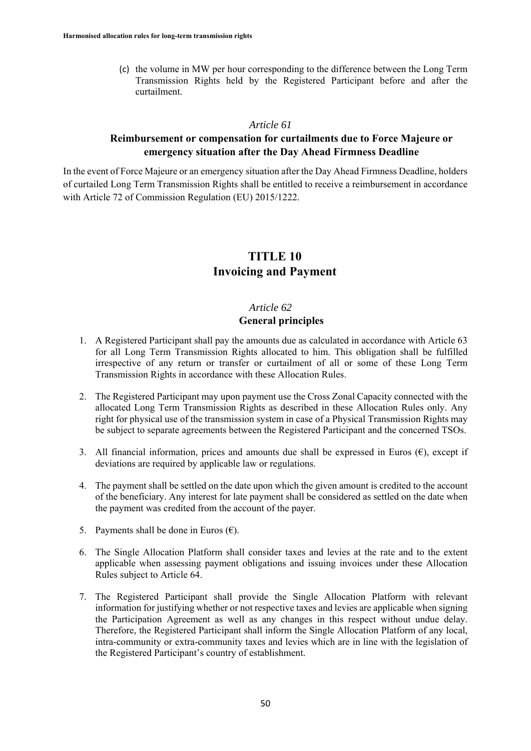(c) the volume in MW per hour corresponding to the difference between the Long Term Transmission Rights held by the Registered Participant before and after the curtailment.

#### *Article 61*

#### **Reimbursement or compensation for curtailments due to Force Majeure or emergency situation after the Day Ahead Firmness Deadline**

In the event of Force Majeure or an emergency situation after the Day Ahead Firmness Deadline, holders of curtailed Long Term Transmission Rights shall be entitled to receive a reimbursement in accordance with Article 72 of Commission Regulation (EU) 2015/1222.

# **TITLE 10 Invoicing and Payment**

### *Article 62* **General principles**

- 1. A Registered Participant shall pay the amounts due as calculated in accordance with Article 63 for all Long Term Transmission Rights allocated to him. This obligation shall be fulfilled irrespective of any return or transfer or curtailment of all or some of these Long Term Transmission Rights in accordance with these Allocation Rules.
- 2. The Registered Participant may upon payment use the Cross Zonal Capacity connected with the allocated Long Term Transmission Rights as described in these Allocation Rules only. Any right for physical use of the transmission system in case of a Physical Transmission Rights may be subject to separate agreements between the Registered Participant and the concerned TSOs.
- 3. All financial information, prices and amounts due shall be expressed in Euros  $(\epsilon)$ , except if deviations are required by applicable law or regulations.
- 4. The payment shall be settled on the date upon which the given amount is credited to the account of the beneficiary. Any interest for late payment shall be considered as settled on the date when the payment was credited from the account of the payer.
- 5. Payments shall be done in Euros  $(\epsilon)$ .
- 6. The Single Allocation Platform shall consider taxes and levies at the rate and to the extent applicable when assessing payment obligations and issuing invoices under these Allocation Rules subject to Article 64.
- 7. The Registered Participant shall provide the Single Allocation Platform with relevant information for justifying whether or not respective taxes and levies are applicable when signing the Participation Agreement as well as any changes in this respect without undue delay. Therefore, the Registered Participant shall inform the Single Allocation Platform of any local, intra-community or extra-community taxes and levies which are in line with the legislation of the Registered Participant's country of establishment.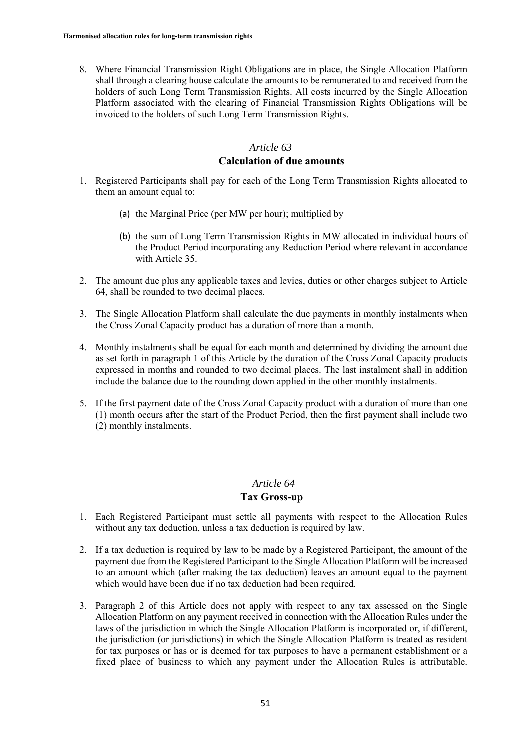8. Where Financial Transmission Right Obligations are in place, the Single Allocation Platform shall through a clearing house calculate the amounts to be remunerated to and received from the holders of such Long Term Transmission Rights. All costs incurred by the Single Allocation Platform associated with the clearing of Financial Transmission Rights Obligations will be invoiced to the holders of such Long Term Transmission Rights.

### *Article 63* **Calculation of due amounts**

- 1. Registered Participants shall pay for each of the Long Term Transmission Rights allocated to them an amount equal to:
	- (a) the Marginal Price (per MW per hour); multiplied by
	- (b) the sum of Long Term Transmission Rights in MW allocated in individual hours of the Product Period incorporating any Reduction Period where relevant in accordance with Article 35.
- 2. The amount due plus any applicable taxes and levies, duties or other charges subject to Article 64, shall be rounded to two decimal places.
- 3. The Single Allocation Platform shall calculate the due payments in monthly instalments when the Cross Zonal Capacity product has a duration of more than a month.
- 4. Monthly instalments shall be equal for each month and determined by dividing the amount due as set forth in paragraph 1 of this Article by the duration of the Cross Zonal Capacity products expressed in months and rounded to two decimal places. The last instalment shall in addition include the balance due to the rounding down applied in the other monthly instalments.
- 5. If the first payment date of the Cross Zonal Capacity product with a duration of more than one (1) month occurs after the start of the Product Period, then the first payment shall include two (2) monthly instalments.

#### *Article 64*

#### **Tax Gross-up**

- 1. Each Registered Participant must settle all payments with respect to the Allocation Rules without any tax deduction, unless a tax deduction is required by law.
- 2. If a tax deduction is required by law to be made by a Registered Participant, the amount of the payment due from the Registered Participant to the Single Allocation Platform will be increased to an amount which (after making the tax deduction) leaves an amount equal to the payment which would have been due if no tax deduction had been required.
- 3. Paragraph 2 of this Article does not apply with respect to any tax assessed on the Single Allocation Platform on any payment received in connection with the Allocation Rules under the laws of the jurisdiction in which the Single Allocation Platform is incorporated or, if different, the jurisdiction (or jurisdictions) in which the Single Allocation Platform is treated as resident for tax purposes or has or is deemed for tax purposes to have a permanent establishment or a fixed place of business to which any payment under the Allocation Rules is attributable.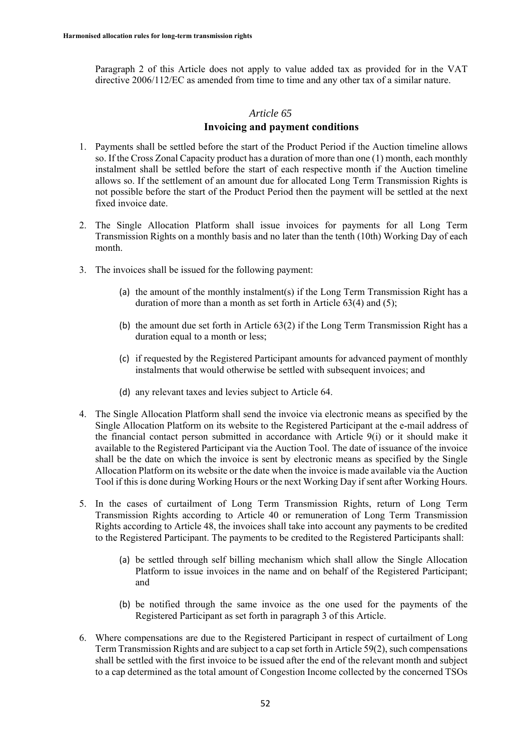Paragraph 2 of this Article does not apply to value added tax as provided for in the VAT directive 2006/112/EC as amended from time to time and any other tax of a similar nature.

#### *Article 65*

#### **Invoicing and payment conditions**

- 1. Payments shall be settled before the start of the Product Period if the Auction timeline allows so. If the Cross Zonal Capacity product has a duration of more than one (1) month, each monthly instalment shall be settled before the start of each respective month if the Auction timeline allows so. If the settlement of an amount due for allocated Long Term Transmission Rights is not possible before the start of the Product Period then the payment will be settled at the next fixed invoice date.
- 2. The Single Allocation Platform shall issue invoices for payments for all Long Term Transmission Rights on a monthly basis and no later than the tenth (10th) Working Day of each month.
- 3. The invoices shall be issued for the following payment:
	- (a) the amount of the monthly instalment(s) if the Long Term Transmission Right has a duration of more than a month as set forth in Article 63(4) and (5);
	- (b) the amount due set forth in Article 63(2) if the Long Term Transmission Right has a duration equal to a month or less;
	- (c) if requested by the Registered Participant amounts for advanced payment of monthly instalments that would otherwise be settled with subsequent invoices; and
	- (d) any relevant taxes and levies subject to Article 64.
- 4. The Single Allocation Platform shall send the invoice via electronic means as specified by the Single Allocation Platform on its website to the Registered Participant at the e-mail address of the financial contact person submitted in accordance with Article 9(i) or it should make it available to the Registered Participant via the Auction Tool. The date of issuance of the invoice shall be the date on which the invoice is sent by electronic means as specified by the Single Allocation Platform on its website or the date when the invoice is made available via the Auction Tool if this is done during Working Hours or the next Working Day if sent after Working Hours.
- 5. In the cases of curtailment of Long Term Transmission Rights, return of Long Term Transmission Rights according to Article 40 or remuneration of Long Term Transmission Rights according to Article 48, the invoices shall take into account any payments to be credited to the Registered Participant. The payments to be credited to the Registered Participants shall:
	- (a) be settled through self billing mechanism which shall allow the Single Allocation Platform to issue invoices in the name and on behalf of the Registered Participant; and
	- (b) be notified through the same invoice as the one used for the payments of the Registered Participant as set forth in paragraph 3 of this Article.
- 6. Where compensations are due to the Registered Participant in respect of curtailment of Long Term Transmission Rights and are subject to a cap set forth in Article 59(2), such compensations shall be settled with the first invoice to be issued after the end of the relevant month and subject to a cap determined as the total amount of Congestion Income collected by the concerned TSOs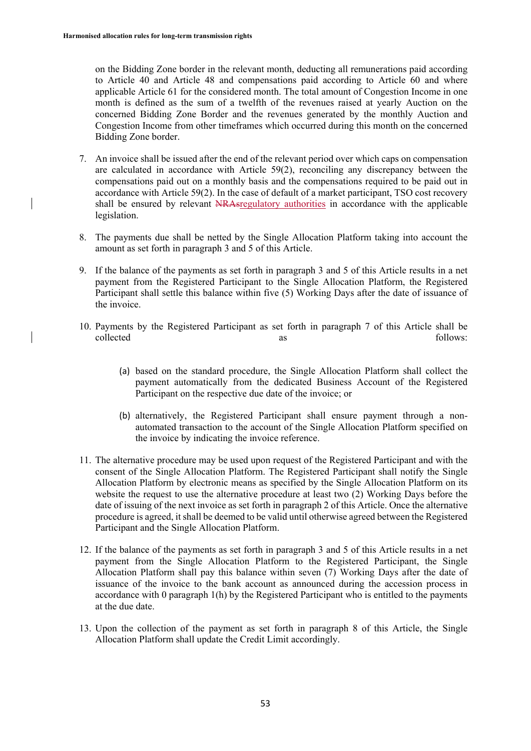on the Bidding Zone border in the relevant month, deducting all remunerations paid according to Article 40 and Article 48 and compensations paid according to Article 60 and where applicable Article 61 for the considered month. The total amount of Congestion Income in one month is defined as the sum of a twelfth of the revenues raised at yearly Auction on the concerned Bidding Zone Border and the revenues generated by the monthly Auction and Congestion Income from other timeframes which occurred during this month on the concerned Bidding Zone border.

- 7. An invoice shall be issued after the end of the relevant period over which caps on compensation are calculated in accordance with Article 59(2), reconciling any discrepancy between the compensations paid out on a monthly basis and the compensations required to be paid out in accordance with Article 59(2). In the case of default of a market participant, TSO cost recovery shall be ensured by relevant NRAsregulatory authorities in accordance with the applicable legislation.
- 8. The payments due shall be netted by the Single Allocation Platform taking into account the amount as set forth in paragraph 3 and 5 of this Article.
- 9. If the balance of the payments as set forth in paragraph 3 and 5 of this Article results in a net payment from the Registered Participant to the Single Allocation Platform, the Registered Participant shall settle this balance within five (5) Working Days after the date of issuance of the invoice.
- 10. Payments by the Registered Participant as set forth in paragraph 7 of this Article shall be collected as as follows:
	- (a) based on the standard procedure, the Single Allocation Platform shall collect the payment automatically from the dedicated Business Account of the Registered Participant on the respective due date of the invoice; or
	- (b) alternatively, the Registered Participant shall ensure payment through a nonautomated transaction to the account of the Single Allocation Platform specified on the invoice by indicating the invoice reference.
- 11. The alternative procedure may be used upon request of the Registered Participant and with the consent of the Single Allocation Platform. The Registered Participant shall notify the Single Allocation Platform by electronic means as specified by the Single Allocation Platform on its website the request to use the alternative procedure at least two (2) Working Days before the date of issuing of the next invoice as set forth in paragraph 2 of this Article. Once the alternative procedure is agreed, it shall be deemed to be valid until otherwise agreed between the Registered Participant and the Single Allocation Platform.
- 12. If the balance of the payments as set forth in paragraph 3 and 5 of this Article results in a net payment from the Single Allocation Platform to the Registered Participant, the Single Allocation Platform shall pay this balance within seven (7) Working Days after the date of issuance of the invoice to the bank account as announced during the accession process in accordance with 0 paragraph 1(h) by the Registered Participant who is entitled to the payments at the due date.
- 13. Upon the collection of the payment as set forth in paragraph 8 of this Article, the Single Allocation Platform shall update the Credit Limit accordingly.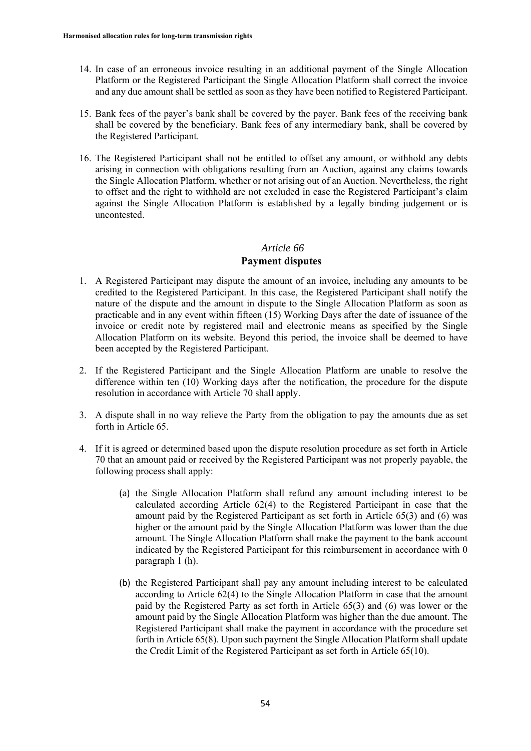- 14. In case of an erroneous invoice resulting in an additional payment of the Single Allocation Platform or the Registered Participant the Single Allocation Platform shall correct the invoice and any due amount shall be settled as soon as they have been notified to Registered Participant.
- 15. Bank fees of the payer's bank shall be covered by the payer. Bank fees of the receiving bank shall be covered by the beneficiary. Bank fees of any intermediary bank, shall be covered by the Registered Participant.
- 16. The Registered Participant shall not be entitled to offset any amount, or withhold any debts arising in connection with obligations resulting from an Auction, against any claims towards the Single Allocation Platform, whether or not arising out of an Auction. Nevertheless, the right to offset and the right to withhold are not excluded in case the Registered Participant's claim against the Single Allocation Platform is established by a legally binding judgement or is uncontested.

#### **Payment disputes**

- 1. A Registered Participant may dispute the amount of an invoice, including any amounts to be credited to the Registered Participant. In this case, the Registered Participant shall notify the nature of the dispute and the amount in dispute to the Single Allocation Platform as soon as practicable and in any event within fifteen (15) Working Days after the date of issuance of the invoice or credit note by registered mail and electronic means as specified by the Single Allocation Platform on its website. Beyond this period, the invoice shall be deemed to have been accepted by the Registered Participant.
- 2. If the Registered Participant and the Single Allocation Platform are unable to resolve the difference within ten (10) Working days after the notification, the procedure for the dispute resolution in accordance with Article 70 shall apply.
- 3. A dispute shall in no way relieve the Party from the obligation to pay the amounts due as set forth in Article 65.
- 4. If it is agreed or determined based upon the dispute resolution procedure as set forth in Article 70 that an amount paid or received by the Registered Participant was not properly payable, the following process shall apply:
	- (a) the Single Allocation Platform shall refund any amount including interest to be calculated according Article 62(4) to the Registered Participant in case that the amount paid by the Registered Participant as set forth in Article 65(3) and (6) was higher or the amount paid by the Single Allocation Platform was lower than the due amount. The Single Allocation Platform shall make the payment to the bank account indicated by the Registered Participant for this reimbursement in accordance with 0 paragraph 1 (h).
	- (b) the Registered Participant shall pay any amount including interest to be calculated according to Article 62(4) to the Single Allocation Platform in case that the amount paid by the Registered Party as set forth in Article 65(3) and (6) was lower or the amount paid by the Single Allocation Platform was higher than the due amount. The Registered Participant shall make the payment in accordance with the procedure set forth in Article 65(8). Upon such payment the Single Allocation Platform shall update the Credit Limit of the Registered Participant as set forth in Article 65(10).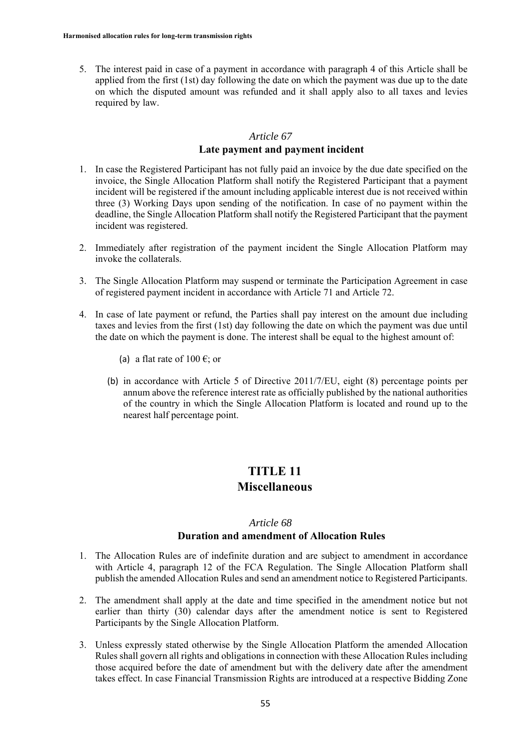5. The interest paid in case of a payment in accordance with paragraph 4 of this Article shall be applied from the first (1st) day following the date on which the payment was due up to the date on which the disputed amount was refunded and it shall apply also to all taxes and levies required by law.

# *Article 67*

#### **Late payment and payment incident**

- 1. In case the Registered Participant has not fully paid an invoice by the due date specified on the invoice, the Single Allocation Platform shall notify the Registered Participant that a payment incident will be registered if the amount including applicable interest due is not received within three (3) Working Days upon sending of the notification. In case of no payment within the deadline, the Single Allocation Platform shall notify the Registered Participant that the payment incident was registered.
- 2. Immediately after registration of the payment incident the Single Allocation Platform may invoke the collaterals.
- 3. The Single Allocation Platform may suspend or terminate the Participation Agreement in case of registered payment incident in accordance with Article 71 and Article 72.
- 4. In case of late payment or refund, the Parties shall pay interest on the amount due including taxes and levies from the first (1st) day following the date on which the payment was due until the date on which the payment is done. The interest shall be equal to the highest amount of:
	- (a) a flat rate of 100  $\epsilon$ ; or
	- (b) in accordance with Article 5 of Directive 2011/7/EU, eight (8) percentage points per annum above the reference interest rate as officially published by the national authorities of the country in which the Single Allocation Platform is located and round up to the nearest half percentage point.

# **TITLE 11 Miscellaneous**

#### *Article 68*

#### **Duration and amendment of Allocation Rules**

- 1. The Allocation Rules are of indefinite duration and are subject to amendment in accordance with Article 4, paragraph 12 of the FCA Regulation. The Single Allocation Platform shall publish the amended Allocation Rules and send an amendment notice to Registered Participants.
- 2. The amendment shall apply at the date and time specified in the amendment notice but not earlier than thirty (30) calendar days after the amendment notice is sent to Registered Participants by the Single Allocation Platform.
- 3. Unless expressly stated otherwise by the Single Allocation Platform the amended Allocation Rules shall govern all rights and obligations in connection with these Allocation Rules including those acquired before the date of amendment but with the delivery date after the amendment takes effect. In case Financial Transmission Rights are introduced at a respective Bidding Zone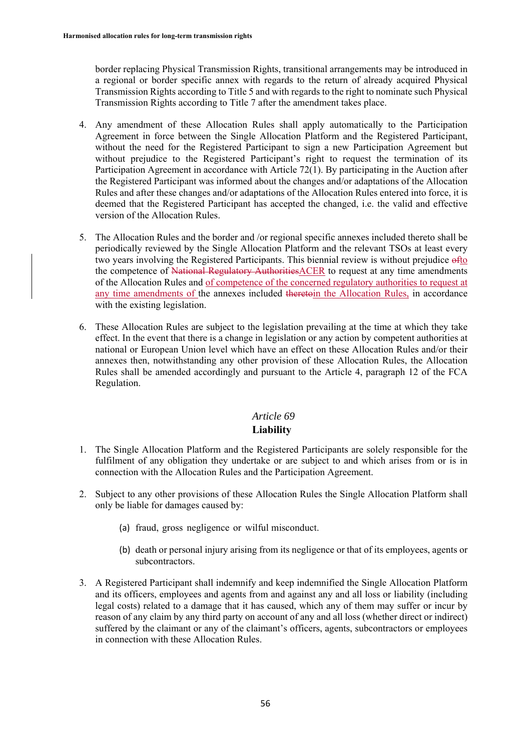border replacing Physical Transmission Rights, transitional arrangements may be introduced in a regional or border specific annex with regards to the return of already acquired Physical Transmission Rights according to Title 5 and with regards to the right to nominate such Physical Transmission Rights according to Title 7 after the amendment takes place.

- 4. Any amendment of these Allocation Rules shall apply automatically to the Participation Agreement in force between the Single Allocation Platform and the Registered Participant, without the need for the Registered Participant to sign a new Participation Agreement but without prejudice to the Registered Participant's right to request the termination of its Participation Agreement in accordance with Article 72(1). By participating in the Auction after the Registered Participant was informed about the changes and/or adaptations of the Allocation Rules and after these changes and/or adaptations of the Allocation Rules entered into force, it is deemed that the Registered Participant has accepted the changed, i.e. the valid and effective version of the Allocation Rules.
- 5. The Allocation Rules and the border and /or regional specific annexes included thereto shall be periodically reviewed by the Single Allocation Platform and the relevant TSOs at least every two years involving the Registered Participants. This biennial review is without prejudice ofto the competence of National Regulatory AuthoritiesACER to request at any time amendments of the Allocation Rules and of competence of the concerned regulatory authorities to request at any time amendments of the annexes included theretoin the Allocation Rules, in accordance with the existing legislation.
- 6. These Allocation Rules are subject to the legislation prevailing at the time at which they take effect. In the event that there is a change in legislation or any action by competent authorities at national or European Union level which have an effect on these Allocation Rules and/or their annexes then, notwithstanding any other provision of these Allocation Rules, the Allocation Rules shall be amended accordingly and pursuant to the Article 4, paragraph 12 of the FCA Regulation.

#### *Article 69* **Liability**

- 1. The Single Allocation Platform and the Registered Participants are solely responsible for the fulfilment of any obligation they undertake or are subject to and which arises from or is in connection with the Allocation Rules and the Participation Agreement.
- 2. Subject to any other provisions of these Allocation Rules the Single Allocation Platform shall only be liable for damages caused by:
	- (a) fraud, gross negligence or wilful misconduct.
	- (b) death or personal injury arising from its negligence or that of its employees, agents or subcontractors.
- 3. A Registered Participant shall indemnify and keep indemnified the Single Allocation Platform and its officers, employees and agents from and against any and all loss or liability (including legal costs) related to a damage that it has caused, which any of them may suffer or incur by reason of any claim by any third party on account of any and all loss (whether direct or indirect) suffered by the claimant or any of the claimant's officers, agents, subcontractors or employees in connection with these Allocation Rules.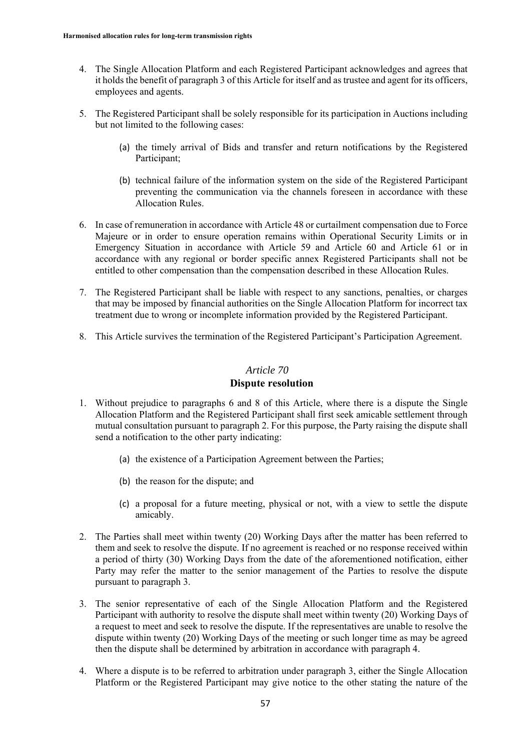- 4. The Single Allocation Platform and each Registered Participant acknowledges and agrees that it holds the benefit of paragraph 3 of this Article for itself and as trustee and agent for its officers, employees and agents.
- 5. The Registered Participant shall be solely responsible for its participation in Auctions including but not limited to the following cases:
	- (a) the timely arrival of Bids and transfer and return notifications by the Registered Participant;
	- (b) technical failure of the information system on the side of the Registered Participant preventing the communication via the channels foreseen in accordance with these Allocation Rules.
- 6. In case of remuneration in accordance with Article 48 or curtailment compensation due to Force Majeure or in order to ensure operation remains within Operational Security Limits or in Emergency Situation in accordance with Article 59 and Article 60 and Article 61 or in accordance with any regional or border specific annex Registered Participants shall not be entitled to other compensation than the compensation described in these Allocation Rules.
- 7. The Registered Participant shall be liable with respect to any sanctions, penalties, or charges that may be imposed by financial authorities on the Single Allocation Platform for incorrect tax treatment due to wrong or incomplete information provided by the Registered Participant.
- 8. This Article survives the termination of the Registered Participant's Participation Agreement.

#### **Dispute resolution**

- 1. Without prejudice to paragraphs 6 and 8 of this Article, where there is a dispute the Single Allocation Platform and the Registered Participant shall first seek amicable settlement through mutual consultation pursuant to paragraph 2. For this purpose, the Party raising the dispute shall send a notification to the other party indicating:
	- (a) the existence of a Participation Agreement between the Parties;
	- (b) the reason for the dispute; and
	- (c) a proposal for a future meeting, physical or not, with a view to settle the dispute amicably.
- 2. The Parties shall meet within twenty (20) Working Days after the matter has been referred to them and seek to resolve the dispute. If no agreement is reached or no response received within a period of thirty (30) Working Days from the date of the aforementioned notification, either Party may refer the matter to the senior management of the Parties to resolve the dispute pursuant to paragraph 3.
- 3. The senior representative of each of the Single Allocation Platform and the Registered Participant with authority to resolve the dispute shall meet within twenty (20) Working Days of a request to meet and seek to resolve the dispute. If the representatives are unable to resolve the dispute within twenty (20) Working Days of the meeting or such longer time as may be agreed then the dispute shall be determined by arbitration in accordance with paragraph 4.
- 4. Where a dispute is to be referred to arbitration under paragraph 3, either the Single Allocation Platform or the Registered Participant may give notice to the other stating the nature of the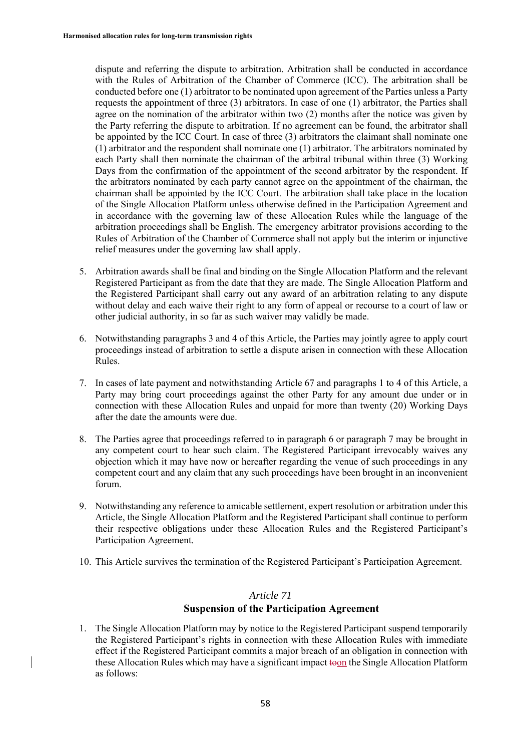dispute and referring the dispute to arbitration. Arbitration shall be conducted in accordance with the Rules of Arbitration of the Chamber of Commerce (ICC). The arbitration shall be conducted before one (1) arbitrator to be nominated upon agreement of the Parties unless a Party requests the appointment of three (3) arbitrators. In case of one (1) arbitrator, the Parties shall agree on the nomination of the arbitrator within two (2) months after the notice was given by the Party referring the dispute to arbitration. If no agreement can be found, the arbitrator shall be appointed by the ICC Court. In case of three (3) arbitrators the claimant shall nominate one (1) arbitrator and the respondent shall nominate one (1) arbitrator. The arbitrators nominated by each Party shall then nominate the chairman of the arbitral tribunal within three (3) Working Days from the confirmation of the appointment of the second arbitrator by the respondent. If the arbitrators nominated by each party cannot agree on the appointment of the chairman, the chairman shall be appointed by the ICC Court. The arbitration shall take place in the location of the Single Allocation Platform unless otherwise defined in the Participation Agreement and in accordance with the governing law of these Allocation Rules while the language of the arbitration proceedings shall be English. The emergency arbitrator provisions according to the Rules of Arbitration of the Chamber of Commerce shall not apply but the interim or injunctive relief measures under the governing law shall apply.

- 5. Arbitration awards shall be final and binding on the Single Allocation Platform and the relevant Registered Participant as from the date that they are made. The Single Allocation Platform and the Registered Participant shall carry out any award of an arbitration relating to any dispute without delay and each waive their right to any form of appeal or recourse to a court of law or other judicial authority, in so far as such waiver may validly be made.
- 6. Notwithstanding paragraphs 3 and 4 of this Article, the Parties may jointly agree to apply court proceedings instead of arbitration to settle a dispute arisen in connection with these Allocation Rules.
- 7. In cases of late payment and notwithstanding Article 67 and paragraphs 1 to 4 of this Article, a Party may bring court proceedings against the other Party for any amount due under or in connection with these Allocation Rules and unpaid for more than twenty (20) Working Days after the date the amounts were due.
- 8. The Parties agree that proceedings referred to in paragraph 6 or paragraph 7 may be brought in any competent court to hear such claim. The Registered Participant irrevocably waives any objection which it may have now or hereafter regarding the venue of such proceedings in any competent court and any claim that any such proceedings have been brought in an inconvenient forum.
- 9. Notwithstanding any reference to amicable settlement, expert resolution or arbitration under this Article, the Single Allocation Platform and the Registered Participant shall continue to perform their respective obligations under these Allocation Rules and the Registered Participant's Participation Agreement.
- 10. This Article survives the termination of the Registered Participant's Participation Agreement.

#### *Article 71*

#### **Suspension of the Participation Agreement**

1. The Single Allocation Platform may by notice to the Registered Participant suspend temporarily the Registered Participant's rights in connection with these Allocation Rules with immediate effect if the Registered Participant commits a major breach of an obligation in connection with these Allocation Rules which may have a significant impact toon the Single Allocation Platform as follows: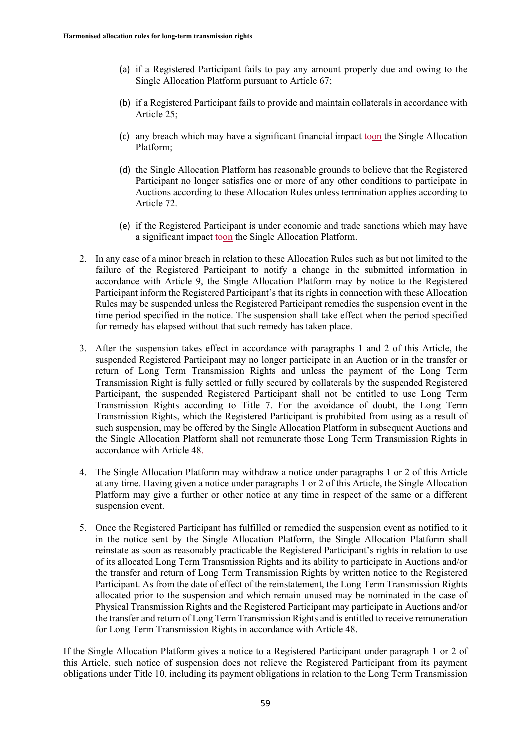- (a) if a Registered Participant fails to pay any amount properly due and owing to the Single Allocation Platform pursuant to Article 67;
- (b) if a Registered Participant fails to provide and maintain collaterals in accordance with Article 25;
- (c) any breach which may have a significant financial impact toon the Single Allocation Platform;
- (d) the Single Allocation Platform has reasonable grounds to believe that the Registered Participant no longer satisfies one or more of any other conditions to participate in Auctions according to these Allocation Rules unless termination applies according to Article 72.
- (e) if the Registered Participant is under economic and trade sanctions which may have a significant impact toon the Single Allocation Platform.
- 2. In any case of a minor breach in relation to these Allocation Rules such as but not limited to the failure of the Registered Participant to notify a change in the submitted information in accordance with Article 9, the Single Allocation Platform may by notice to the Registered Participant inform the Registered Participant's that its rights in connection with these Allocation Rules may be suspended unless the Registered Participant remedies the suspension event in the time period specified in the notice. The suspension shall take effect when the period specified for remedy has elapsed without that such remedy has taken place.
- 3. After the suspension takes effect in accordance with paragraphs 1 and 2 of this Article, the suspended Registered Participant may no longer participate in an Auction or in the transfer or return of Long Term Transmission Rights and unless the payment of the Long Term Transmission Right is fully settled or fully secured by collaterals by the suspended Registered Participant, the suspended Registered Participant shall not be entitled to use Long Term Transmission Rights according to Title 7. For the avoidance of doubt, the Long Term Transmission Rights, which the Registered Participant is prohibited from using as a result of such suspension, may be offered by the Single Allocation Platform in subsequent Auctions and the Single Allocation Platform shall not remunerate those Long Term Transmission Rights in accordance with Article 48.
- 4. The Single Allocation Platform may withdraw a notice under paragraphs 1 or 2 of this Article at any time. Having given a notice under paragraphs 1 or 2 of this Article, the Single Allocation Platform may give a further or other notice at any time in respect of the same or a different suspension event.
- 5. Once the Registered Participant has fulfilled or remedied the suspension event as notified to it in the notice sent by the Single Allocation Platform, the Single Allocation Platform shall reinstate as soon as reasonably practicable the Registered Participant's rights in relation to use of its allocated Long Term Transmission Rights and its ability to participate in Auctions and/or the transfer and return of Long Term Transmission Rights by written notice to the Registered Participant. As from the date of effect of the reinstatement, the Long Term Transmission Rights allocated prior to the suspension and which remain unused may be nominated in the case of Physical Transmission Rights and the Registered Participant may participate in Auctions and/or the transfer and return of Long Term Transmission Rights and is entitled to receive remuneration for Long Term Transmission Rights in accordance with Article 48.

If the Single Allocation Platform gives a notice to a Registered Participant under paragraph 1 or 2 of this Article, such notice of suspension does not relieve the Registered Participant from its payment obligations under Title 10, including its payment obligations in relation to the Long Term Transmission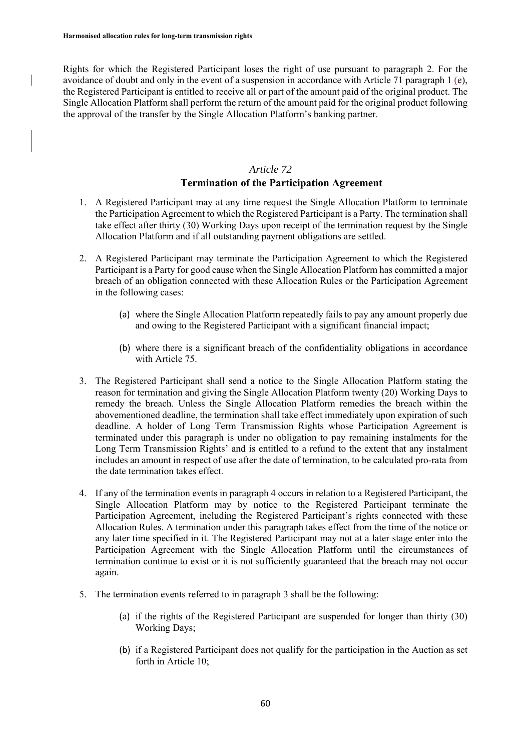Rights for which the Registered Participant loses the right of use pursuant to paragraph 2. For the avoidance of doubt and only in the event of a suspension in accordance with Article 71 paragraph 1 (e), the Registered Participant is entitled to receive all or part of the amount paid of the original product. The Single Allocation Platform shall perform the return of the amount paid for the original product following the approval of the transfer by the Single Allocation Platform's banking partner.

#### *Article 72* **Termination of the Participation Agreement**

- 1. A Registered Participant may at any time request the Single Allocation Platform to terminate the Participation Agreement to which the Registered Participant is a Party. The termination shall take effect after thirty (30) Working Days upon receipt of the termination request by the Single Allocation Platform and if all outstanding payment obligations are settled.
- 2. A Registered Participant may terminate the Participation Agreement to which the Registered Participant is a Party for good cause when the Single Allocation Platform has committed a major breach of an obligation connected with these Allocation Rules or the Participation Agreement in the following cases:
	- (a) where the Single Allocation Platform repeatedly fails to pay any amount properly due and owing to the Registered Participant with a significant financial impact;
	- (b) where there is a significant breach of the confidentiality obligations in accordance with Article 75.
- 3. The Registered Participant shall send a notice to the Single Allocation Platform stating the reason for termination and giving the Single Allocation Platform twenty (20) Working Days to remedy the breach. Unless the Single Allocation Platform remedies the breach within the abovementioned deadline, the termination shall take effect immediately upon expiration of such deadline. A holder of Long Term Transmission Rights whose Participation Agreement is terminated under this paragraph is under no obligation to pay remaining instalments for the Long Term Transmission Rights' and is entitled to a refund to the extent that any instalment includes an amount in respect of use after the date of termination, to be calculated pro-rata from the date termination takes effect.
- 4. If any of the termination events in paragraph 4 occurs in relation to a Registered Participant, the Single Allocation Platform may by notice to the Registered Participant terminate the Participation Agreement, including the Registered Participant's rights connected with these Allocation Rules. A termination under this paragraph takes effect from the time of the notice or any later time specified in it. The Registered Participant may not at a later stage enter into the Participation Agreement with the Single Allocation Platform until the circumstances of termination continue to exist or it is not sufficiently guaranteed that the breach may not occur again.
- 5. The termination events referred to in paragraph 3 shall be the following:
	- (a) if the rights of the Registered Participant are suspended for longer than thirty (30) Working Days;
	- (b) if a Registered Participant does not qualify for the participation in the Auction as set forth in Article 10;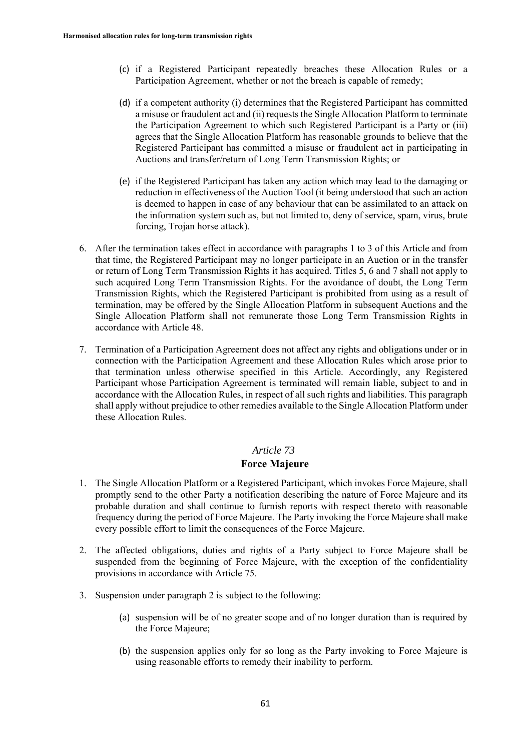- (c) if a Registered Participant repeatedly breaches these Allocation Rules or a Participation Agreement, whether or not the breach is capable of remedy;
- (d) if a competent authority (i) determines that the Registered Participant has committed a misuse or fraudulent act and (ii) requests the Single Allocation Platform to terminate the Participation Agreement to which such Registered Participant is a Party or (iii) agrees that the Single Allocation Platform has reasonable grounds to believe that the Registered Participant has committed a misuse or fraudulent act in participating in Auctions and transfer/return of Long Term Transmission Rights; or
- (e) if the Registered Participant has taken any action which may lead to the damaging or reduction in effectiveness of the Auction Tool (it being understood that such an action is deemed to happen in case of any behaviour that can be assimilated to an attack on the information system such as, but not limited to, deny of service, spam, virus, brute forcing, Trojan horse attack).
- 6. After the termination takes effect in accordance with paragraphs 1 to 3 of this Article and from that time, the Registered Participant may no longer participate in an Auction or in the transfer or return of Long Term Transmission Rights it has acquired. Titles 5, 6 and 7 shall not apply to such acquired Long Term Transmission Rights. For the avoidance of doubt, the Long Term Transmission Rights, which the Registered Participant is prohibited from using as a result of termination, may be offered by the Single Allocation Platform in subsequent Auctions and the Single Allocation Platform shall not remunerate those Long Term Transmission Rights in accordance with Article 48.
- 7. Termination of a Participation Agreement does not affect any rights and obligations under or in connection with the Participation Agreement and these Allocation Rules which arose prior to that termination unless otherwise specified in this Article. Accordingly, any Registered Participant whose Participation Agreement is terminated will remain liable, subject to and in accordance with the Allocation Rules, in respect of all such rights and liabilities. This paragraph shall apply without prejudice to other remedies available to the Single Allocation Platform under these Allocation Rules.

#### **Force Majeure**

- 1. The Single Allocation Platform or a Registered Participant, which invokes Force Majeure, shall promptly send to the other Party a notification describing the nature of Force Majeure and its probable duration and shall continue to furnish reports with respect thereto with reasonable frequency during the period of Force Majeure. The Party invoking the Force Majeure shall make every possible effort to limit the consequences of the Force Majeure.
- 2. The affected obligations, duties and rights of a Party subject to Force Majeure shall be suspended from the beginning of Force Majeure, with the exception of the confidentiality provisions in accordance with Article 75.
- 3. Suspension under paragraph 2 is subject to the following:
	- (a) suspension will be of no greater scope and of no longer duration than is required by the Force Majeure;
	- (b) the suspension applies only for so long as the Party invoking to Force Majeure is using reasonable efforts to remedy their inability to perform.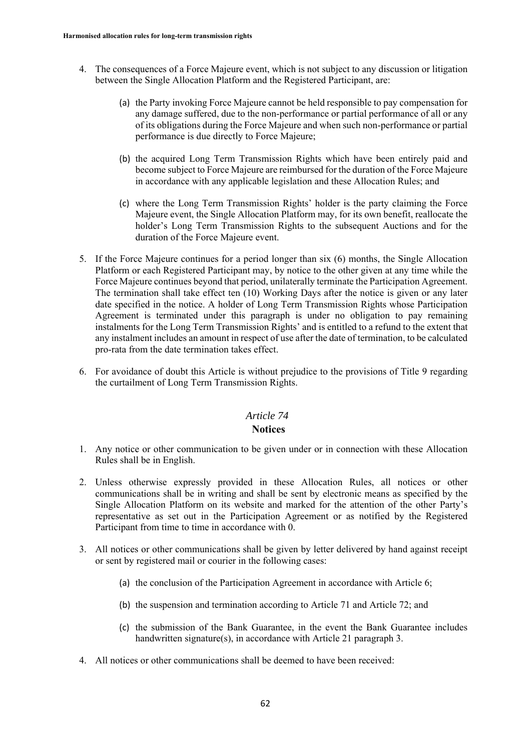- 4. The consequences of a Force Majeure event, which is not subject to any discussion or litigation between the Single Allocation Platform and the Registered Participant, are:
	- (a) the Party invoking Force Majeure cannot be held responsible to pay compensation for any damage suffered, due to the non-performance or partial performance of all or any of its obligations during the Force Majeure and when such non-performance or partial performance is due directly to Force Majeure;
	- (b) the acquired Long Term Transmission Rights which have been entirely paid and become subject to Force Majeure are reimbursed for the duration of the Force Majeure in accordance with any applicable legislation and these Allocation Rules; and
	- (c) where the Long Term Transmission Rights' holder is the party claiming the Force Majeure event, the Single Allocation Platform may, for its own benefit, reallocate the holder's Long Term Transmission Rights to the subsequent Auctions and for the duration of the Force Majeure event.
- 5. If the Force Majeure continues for a period longer than six (6) months, the Single Allocation Platform or each Registered Participant may, by notice to the other given at any time while the Force Majeure continues beyond that period, unilaterally terminate the Participation Agreement. The termination shall take effect ten (10) Working Days after the notice is given or any later date specified in the notice. A holder of Long Term Transmission Rights whose Participation Agreement is terminated under this paragraph is under no obligation to pay remaining instalments for the Long Term Transmission Rights' and is entitled to a refund to the extent that any instalment includes an amount in respect of use after the date of termination, to be calculated pro-rata from the date termination takes effect.
- 6. For avoidance of doubt this Article is without prejudice to the provisions of Title 9 regarding the curtailment of Long Term Transmission Rights.

### *Article 74* **Notices**

- 1. Any notice or other communication to be given under or in connection with these Allocation Rules shall be in English.
- 2. Unless otherwise expressly provided in these Allocation Rules, all notices or other communications shall be in writing and shall be sent by electronic means as specified by the Single Allocation Platform on its website and marked for the attention of the other Party's representative as set out in the Participation Agreement or as notified by the Registered Participant from time to time in accordance with 0.
- 3. All notices or other communications shall be given by letter delivered by hand against receipt or sent by registered mail or courier in the following cases:
	- (a) the conclusion of the Participation Agreement in accordance with Article 6;
	- (b) the suspension and termination according to Article 71 and Article 72; and
	- (c) the submission of the Bank Guarantee, in the event the Bank Guarantee includes handwritten signature(s), in accordance with Article 21 paragraph 3.
- 4. All notices or other communications shall be deemed to have been received: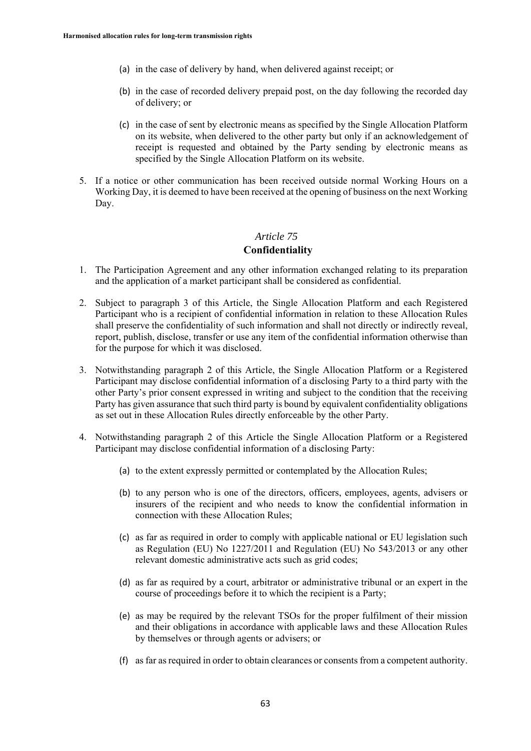- (a) in the case of delivery by hand, when delivered against receipt; or
- (b) in the case of recorded delivery prepaid post, on the day following the recorded day of delivery; or
- (c) in the case of sent by electronic means as specified by the Single Allocation Platform on its website, when delivered to the other party but only if an acknowledgement of receipt is requested and obtained by the Party sending by electronic means as specified by the Single Allocation Platform on its website.
- 5. If a notice or other communication has been received outside normal Working Hours on a Working Day, it is deemed to have been received at the opening of business on the next Working Day.

#### **Confidentiality**

- 1. The Participation Agreement and any other information exchanged relating to its preparation and the application of a market participant shall be considered as confidential.
- 2. Subject to paragraph 3 of this Article, the Single Allocation Platform and each Registered Participant who is a recipient of confidential information in relation to these Allocation Rules shall preserve the confidentiality of such information and shall not directly or indirectly reveal, report, publish, disclose, transfer or use any item of the confidential information otherwise than for the purpose for which it was disclosed.
- 3. Notwithstanding paragraph 2 of this Article, the Single Allocation Platform or a Registered Participant may disclose confidential information of a disclosing Party to a third party with the other Party's prior consent expressed in writing and subject to the condition that the receiving Party has given assurance that such third party is bound by equivalent confidentiality obligations as set out in these Allocation Rules directly enforceable by the other Party.
- 4. Notwithstanding paragraph 2 of this Article the Single Allocation Platform or a Registered Participant may disclose confidential information of a disclosing Party:
	- (a) to the extent expressly permitted or contemplated by the Allocation Rules;
	- (b) to any person who is one of the directors, officers, employees, agents, advisers or insurers of the recipient and who needs to know the confidential information in connection with these Allocation Rules;
	- (c) as far as required in order to comply with applicable national or EU legislation such as Regulation (EU) No 1227/2011 and Regulation (EU) No 543/2013 or any other relevant domestic administrative acts such as grid codes;
	- (d) as far as required by a court, arbitrator or administrative tribunal or an expert in the course of proceedings before it to which the recipient is a Party;
	- (e) as may be required by the relevant TSOs for the proper fulfilment of their mission and their obligations in accordance with applicable laws and these Allocation Rules by themselves or through agents or advisers; or
	- (f) as far as required in order to obtain clearances or consents from a competent authority.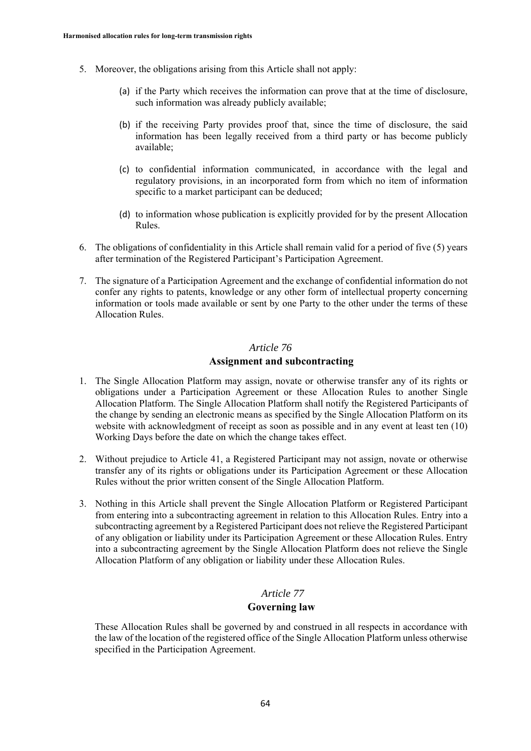- 5. Moreover, the obligations arising from this Article shall not apply:
	- (a) if the Party which receives the information can prove that at the time of disclosure, such information was already publicly available;
	- (b) if the receiving Party provides proof that, since the time of disclosure, the said information has been legally received from a third party or has become publicly available;
	- (c) to confidential information communicated, in accordance with the legal and regulatory provisions, in an incorporated form from which no item of information specific to a market participant can be deduced;
	- (d) to information whose publication is explicitly provided for by the present Allocation Rules.
- 6. The obligations of confidentiality in this Article shall remain valid for a period of five (5) years after termination of the Registered Participant's Participation Agreement.
- 7. The signature of a Participation Agreement and the exchange of confidential information do not confer any rights to patents, knowledge or any other form of intellectual property concerning information or tools made available or sent by one Party to the other under the terms of these Allocation Rules.

#### **Assignment and subcontracting**

- 1. The Single Allocation Platform may assign, novate or otherwise transfer any of its rights or obligations under a Participation Agreement or these Allocation Rules to another Single Allocation Platform. The Single Allocation Platform shall notify the Registered Participants of the change by sending an electronic means as specified by the Single Allocation Platform on its website with acknowledgment of receipt as soon as possible and in any event at least ten (10) Working Days before the date on which the change takes effect.
- 2. Without prejudice to Article 41, a Registered Participant may not assign, novate or otherwise transfer any of its rights or obligations under its Participation Agreement or these Allocation Rules without the prior written consent of the Single Allocation Platform.
- 3. Nothing in this Article shall prevent the Single Allocation Platform or Registered Participant from entering into a subcontracting agreement in relation to this Allocation Rules. Entry into a subcontracting agreement by a Registered Participant does not relieve the Registered Participant of any obligation or liability under its Participation Agreement or these Allocation Rules. Entry into a subcontracting agreement by the Single Allocation Platform does not relieve the Single Allocation Platform of any obligation or liability under these Allocation Rules.

### *Article 77*

#### **Governing law**

These Allocation Rules shall be governed by and construed in all respects in accordance with the law of the location of the registered office of the Single Allocation Platform unless otherwise specified in the Participation Agreement.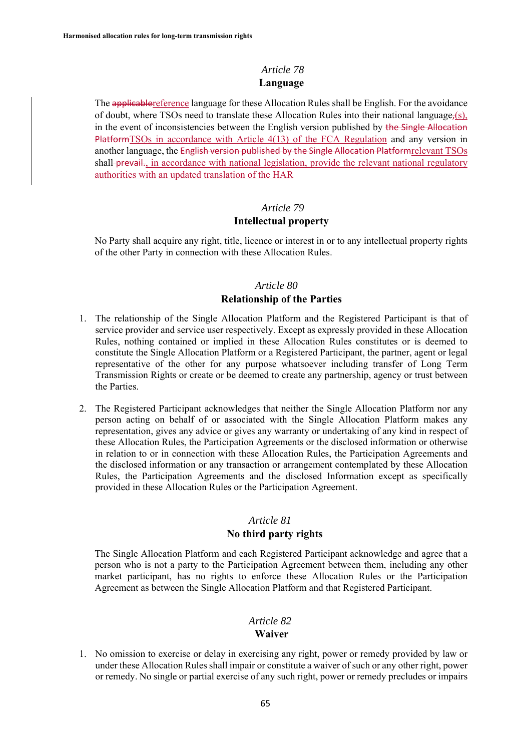#### *Article 78* **Language**

The applicablereference language for these Allocation Rules shall be English. For the avoidance of doubt, where TSOs need to translate these Allocation Rules into their national language, $(s)$ , in the event of inconsistencies between the English version published by the Single Allocation PlatformTSOs in accordance with Article 4(13) of the FCA Regulation and any version in another language, the English version published by the Single Allocation Platformrelevant TSOs shall-**prevail**, in accordance with national legislation, provide the relevant national regulatory authorities with an updated translation of the HAR

#### *Article 79*

#### **Intellectual property**

No Party shall acquire any right, title, licence or interest in or to any intellectual property rights of the other Party in connection with these Allocation Rules.

#### *Article 80*

#### **Relationship of the Parties**

- 1. The relationship of the Single Allocation Platform and the Registered Participant is that of service provider and service user respectively. Except as expressly provided in these Allocation Rules, nothing contained or implied in these Allocation Rules constitutes or is deemed to constitute the Single Allocation Platform or a Registered Participant, the partner, agent or legal representative of the other for any purpose whatsoever including transfer of Long Term Transmission Rights or create or be deemed to create any partnership, agency or trust between the Parties.
- 2. The Registered Participant acknowledges that neither the Single Allocation Platform nor any person acting on behalf of or associated with the Single Allocation Platform makes any representation, gives any advice or gives any warranty or undertaking of any kind in respect of these Allocation Rules, the Participation Agreements or the disclosed information or otherwise in relation to or in connection with these Allocation Rules, the Participation Agreements and the disclosed information or any transaction or arrangement contemplated by these Allocation Rules, the Participation Agreements and the disclosed Information except as specifically provided in these Allocation Rules or the Participation Agreement.

#### *Article 81*

#### **No third party rights**

The Single Allocation Platform and each Registered Participant acknowledge and agree that a person who is not a party to the Participation Agreement between them, including any other market participant, has no rights to enforce these Allocation Rules or the Participation Agreement as between the Single Allocation Platform and that Registered Participant.

#### *Article 82*

#### **Waiver**

1. No omission to exercise or delay in exercising any right, power or remedy provided by law or under these Allocation Rules shall impair or constitute a waiver of such or any other right, power or remedy. No single or partial exercise of any such right, power or remedy precludes or impairs